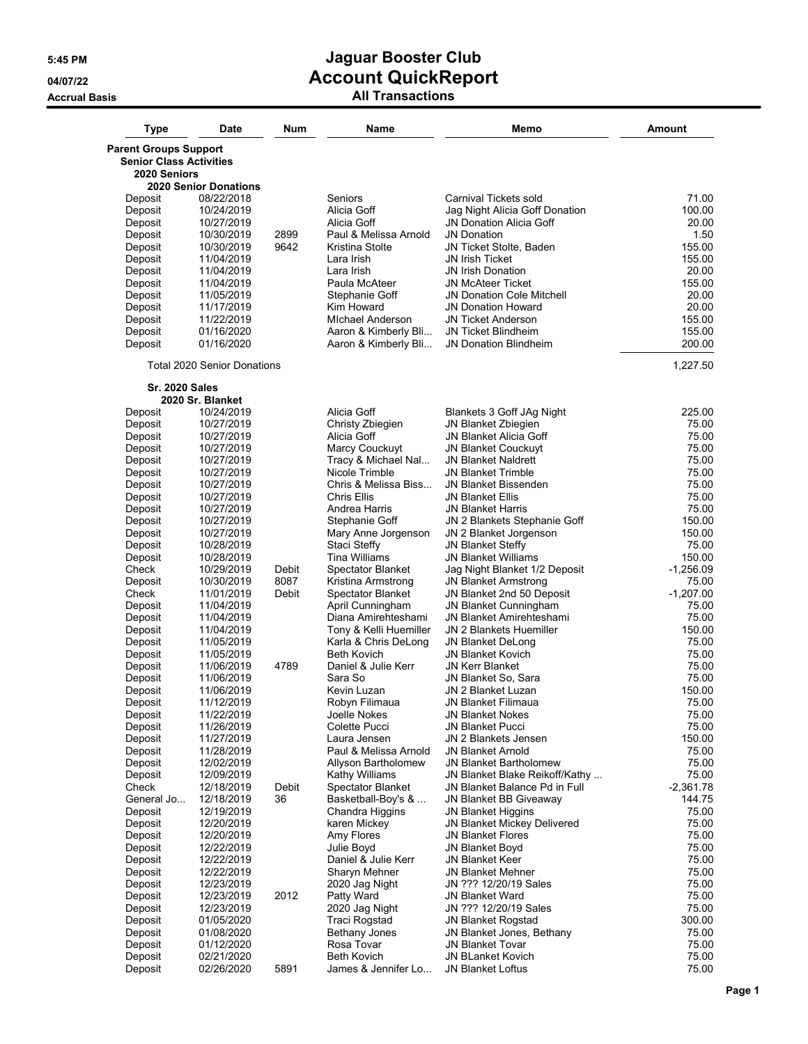| <b>Type</b>                    | Date                               | Num   | Name                                          | Memo                                                       | <b>Amount</b>   |
|--------------------------------|------------------------------------|-------|-----------------------------------------------|------------------------------------------------------------|-----------------|
| <b>Parent Groups Support</b>   |                                    |       |                                               |                                                            |                 |
| <b>Senior Class Activities</b> |                                    |       |                                               |                                                            |                 |
| 2020 Seniors                   |                                    |       |                                               |                                                            |                 |
|                                | <b>2020 Senior Donations</b>       |       |                                               |                                                            |                 |
| Deposit                        | 08/22/2018                         |       | Seniors                                       | Carnival Tickets sold                                      | 71.00           |
| Deposit                        | 10/24/2019                         |       | Alicia Goff                                   | Jag Night Alicia Goff Donation                             | 100.00          |
| Deposit<br>Deposit             | 10/27/2019                         | 2899  | Alicia Goff<br>Paul & Melissa Arnold          | <b>JN Donation Alicia Goff</b><br><b>JN Donation</b>       | 20.00<br>1.50   |
| Deposit                        | 10/30/2019<br>10/30/2019           | 9642  | Kristina Stolte                               | JN Ticket Stolte, Baden                                    | 155.00          |
| Deposit                        | 11/04/2019                         |       | Lara Irish                                    | JN Irish Ticket                                            | 155.00          |
| Deposit                        | 11/04/2019                         |       | Lara Irish                                    | <b>JN Irish Donation</b>                                   | 20.00           |
| Deposit                        | 11/04/2019                         |       | Paula McAteer                                 | <b>JN McAteer Ticket</b>                                   | 155.00          |
| Deposit                        | 11/05/2019                         |       | Stephanie Goff                                | <b>JN Donation Cole Mitchell</b>                           | 20.00           |
| Deposit                        | 11/17/2019                         |       | Kim Howard                                    | <b>JN Donation Howard</b>                                  | 20.00           |
| Deposit                        | 11/22/2019                         |       | <b>MIchael Anderson</b>                       | <b>JN Ticket Anderson</b>                                  | 155.00          |
| Deposit                        | 01/16/2020                         |       | Aaron & Kimberly Bli                          | JN Ticket Blindheim                                        | 155.00          |
| Deposit                        | 01/16/2020                         |       | Aaron & Kimberly Bli                          | <b>JN Donation Blindheim</b>                               | 200.00          |
|                                | <b>Total 2020 Senior Donations</b> |       |                                               |                                                            | 1,227.50        |
| <b>Sr. 2020 Sales</b>          |                                    |       |                                               |                                                            |                 |
| Deposit                        | 2020 Sr. Blanket<br>10/24/2019     |       | Alicia Goff                                   | Blankets 3 Goff JAg Night                                  | 225.00          |
| Deposit                        | 10/27/2019                         |       | Christy Zbiegien                              | JN Blanket Zbiegien                                        | 75.00           |
| Deposit                        | 10/27/2019                         |       | Alicia Goff                                   | JN Blanket Alicia Goff                                     | 75.00           |
| Deposit                        | 10/27/2019                         |       | Marcy Couckuyt                                | <b>JN Blanket Couckuyt</b>                                 | 75.00           |
| Deposit                        | 10/27/2019                         |       | Tracy & Michael Nal                           | <b>JN Blanket Naldrett</b>                                 | 75.00           |
| Deposit                        | 10/27/2019                         |       | Nicole Trimble                                | <b>JN Blanket Trimble</b>                                  | 75.00           |
| Deposit                        | 10/27/2019                         |       | Chris & Melissa Biss                          | <b>JN Blanket Bissenden</b>                                | 75.00           |
| Deposit                        | 10/27/2019                         |       | <b>Chris Ellis</b>                            | JN Blanket Ellis                                           | 75.00<br>75.00  |
| Deposit<br>Deposit             | 10/27/2019<br>10/27/2019           |       | Andrea Harris<br>Stephanie Goff               | <b>JN Blanket Harris</b><br>JN 2 Blankets Stephanie Goff   | 150.00          |
| Deposit                        | 10/27/2019                         |       | Mary Anne Jorgenson                           | JN 2 Blanket Jorgenson                                     | 150.00          |
| Deposit                        | 10/28/2019                         |       | Staci Steffy                                  | JN Blanket Steffy                                          | 75.00           |
| Deposit                        | 10/28/2019                         |       | <b>Tina Williams</b>                          | <b>JN Blanket Williams</b>                                 | 150.00          |
| Check                          | 10/29/2019                         | Debit | <b>Spectator Blanket</b>                      | Jag Night Blanket 1/2 Deposit                              | $-1,256.09$     |
| Deposit                        | 10/30/2019                         | 8087  | Kristina Armstrong                            | <b>JN Blanket Armstrong</b>                                | 75.00           |
| Check                          | 11/01/2019                         | Debit | Spectator Blanket                             | JN Blanket 2nd 50 Deposit                                  | $-1,207.00$     |
| Deposit                        | 11/04/2019                         |       | April Cunningham                              | JN Blanket Cunningham                                      | 75.00           |
| Deposit<br>Deposit             | 11/04/2019                         |       | Diana Amirehteshami<br>Tony & Kelli Huemiller | <b>JN Blanket Amirehteshami</b><br>JN 2 Blankets Huemiller | 75.00<br>150.00 |
| Deposit                        | 11/04/2019<br>11/05/2019           |       | Karla & Chris DeLong                          | <b>JN Blanket DeLong</b>                                   | 75.00           |
| Deposit                        | 11/05/2019                         |       | <b>Beth Kovich</b>                            | <b>JN Blanket Kovich</b>                                   | 75.00           |
| Deposit                        | 11/06/2019                         | 4789  | Daniel & Julie Kerr                           | <b>JN Kerr Blanket</b>                                     | 75.00           |
| Deposit                        | 11/06/2019                         |       | Sara So                                       | JN Blanket So, Sara                                        | 75.00           |
| Deposit                        | 11/06/2019                         |       | Kevin Luzan                                   | JN 2 Blanket Luzan                                         | 150.00          |
| Deposit                        | 11/12/2019                         |       | Robyn Filimaua                                | JN Blanket Filimaua                                        | 75.00           |
| Deposit                        | 11/22/2019                         |       | Joelle Nokes                                  | <b>JN Blanket Nokes</b>                                    | 75.00           |
| Deposit                        | 11/26/2019                         |       | Colette Pucci                                 | <b>JN Blanket Pucci</b>                                    | 75.00           |
| Deposit<br>Deposit             | 11/27/2019<br>11/28/2019           |       | Laura Jensen<br>Paul & Melissa Arnold         | JN 2 Blankets Jensen<br><b>JN Blanket Arnold</b>           | 150.00<br>75.00 |
| Deposit                        | 12/02/2019                         |       | Allyson Bartholomew                           | <b>JN Blanket Bartholomew</b>                              | 75.00           |
| Deposit                        | 12/09/2019                         |       | Kathy Williams                                | JN Blanket Blake Reikoff/Kathy                             | 75.00           |
| Check                          | 12/18/2019                         | Debit | <b>Spectator Blanket</b>                      | JN Blanket Balance Pd in Full                              | $-2,361.78$     |
| General Jo                     | 12/18/2019                         | 36    | Basketball-Boy's &                            | JN Blanket BB Giveaway                                     | 144.75          |
| Deposit                        | 12/19/2019                         |       | Chandra Higgins                               | <b>JN Blanket Higgins</b>                                  | 75.00           |
| Deposit                        | 12/20/2019                         |       | karen Mickey                                  | JN Blanket Mickey Delivered                                | 75.00           |
| Deposit                        | 12/20/2019                         |       | Amy Flores                                    | <b>JN Blanket Flores</b>                                   | 75.00           |
| Deposit                        | 12/22/2019                         |       | Julie Boyd                                    | JN Blanket Boyd<br><b>JN Blanket Keer</b>                  | 75.00           |
| Deposit<br>Deposit             | 12/22/2019<br>12/22/2019           |       | Daniel & Julie Kerr<br>Sharyn Mehner          | <b>JN Blanket Mehner</b>                                   | 75.00<br>75.00  |
| Deposit                        | 12/23/2019                         |       | 2020 Jag Night                                | JN ??? 12/20/19 Sales                                      | 75.00           |
| Deposit                        | 12/23/2019                         | 2012  | Patty Ward                                    | JN Blanket Ward                                            | 75.00           |
| Deposit                        | 12/23/2019                         |       | 2020 Jag Night                                | JN ??? 12/20/19 Sales                                      | 75.00           |
| Deposit                        | 01/05/2020                         |       | Traci Rogstad                                 | <b>JN Blanket Rogstad</b>                                  | 300.00          |
| Deposit                        | 01/08/2020                         |       | Bethany Jones                                 | JN Blanket Jones, Bethany                                  | 75.00           |
| Deposit                        | 01/12/2020                         |       | Rosa Tovar                                    | <b>JN Blanket Tovar</b>                                    | 75.00           |
| Deposit                        | 02/21/2020                         |       | <b>Beth Kovich</b>                            | <b>JN BLanket Kovich</b>                                   | 75.00           |
| Deposit                        | 02/26/2020                         | 5891  | James & Jennifer Lo                           | JN Blanket Loftus                                          | 75.00           |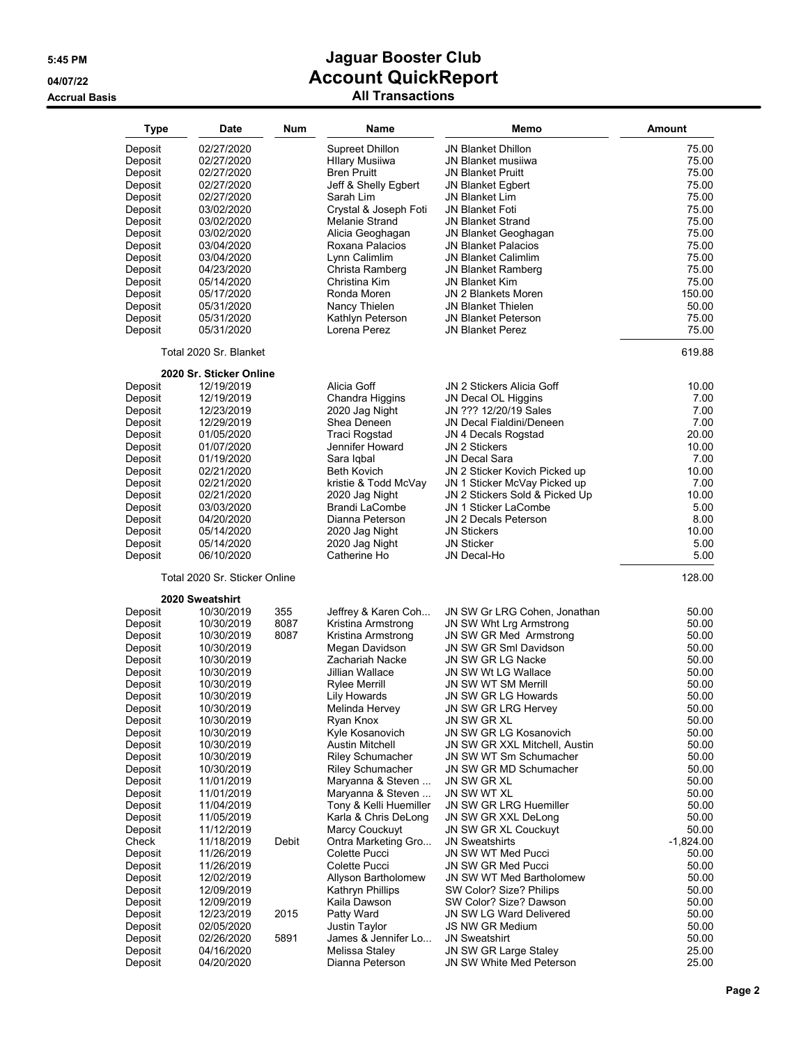**Accrual Basis** 

# **5:45 PM Jaguar Booster Club 04/07/22 Account QuickReport**

| All Transactions |  |
|------------------|--|
|------------------|--|

| <b>Type</b>        | <b>Date</b>                   | Num   | Name                              | Memo                                            | Amount         |
|--------------------|-------------------------------|-------|-----------------------------------|-------------------------------------------------|----------------|
|                    | 02/27/2020                    |       | <b>Supreet Dhillon</b>            | <b>JN Blanket Dhillon</b>                       | 75.00          |
| Deposit            |                               |       |                                   |                                                 |                |
| Deposit            | 02/27/2020                    |       | <b>Hllary Musiiwa</b>             | JN Blanket musiiwa                              | 75.00          |
| Deposit            | 02/27/2020                    |       | <b>Bren Pruitt</b>                | <b>JN Blanket Pruitt</b>                        | 75.00          |
| Deposit            | 02/27/2020                    |       | Jeff & Shelly Egbert              | <b>JN Blanket Egbert</b>                        | 75.00          |
| Deposit            | 02/27/2020                    |       | Sarah Lim                         | <b>JN Blanket Lim</b>                           | 75.00          |
| Deposit            | 03/02/2020                    |       | Crystal & Joseph Foti             | <b>JN Blanket Foti</b>                          | 75.00          |
| Deposit            | 03/02/2020                    |       | Melanie Strand                    | <b>JN Blanket Strand</b>                        | 75.00          |
| Deposit            | 03/02/2020                    |       | Alicia Geoghagan                  | JN Blanket Geoghagan                            | 75.00          |
| Deposit            | 03/04/2020                    |       | Roxana Palacios                   | <b>JN Blanket Palacios</b>                      | 75.00          |
| Deposit            | 03/04/2020                    |       | Lynn Calimlim                     | <b>JN Blanket Calimlim</b>                      | 75.00          |
| Deposit            | 04/23/2020                    |       | Christa Ramberg                   | <b>JN Blanket Ramberg</b>                       | 75.00          |
| Deposit            | 05/14/2020                    |       | Christina Kim                     | <b>JN Blanket Kim</b>                           | 75.00          |
| Deposit            | 05/17/2020                    |       | Ronda Moren                       | JN 2 Blankets Moren                             | 150.00         |
| Deposit            | 05/31/2020                    |       | Nancy Thielen                     | <b>JN Blanket Thielen</b>                       | 50.00          |
| Deposit            | 05/31/2020                    |       | Kathlyn Peterson                  | <b>JN Blanket Peterson</b>                      | 75.00          |
| Deposit            | 05/31/2020                    |       | Lorena Perez                      | <b>JN Blanket Perez</b>                         | 75.00          |
|                    | Total 2020 Sr. Blanket        |       |                                   |                                                 | 619.88         |
|                    | 2020 Sr. Sticker Online       |       |                                   |                                                 |                |
| Deposit            | 12/19/2019                    |       | Alicia Goff                       | JN 2 Stickers Alicia Goff                       | 10.00          |
| Deposit            | 12/19/2019                    |       | Chandra Higgins                   | JN Decal OL Higgins                             | 7.00           |
| Deposit            | 12/23/2019                    |       | 2020 Jag Night                    | JN ??? 12/20/19 Sales                           | 7.00           |
| Deposit            | 12/29/2019                    |       | Shea Deneen                       | JN Decal Fialdini/Deneen                        | 7.00           |
| Deposit            | 01/05/2020                    |       | <b>Traci Rogstad</b>              | JN 4 Decals Rogstad                             | 20.00          |
| Deposit            | 01/07/2020                    |       | Jennifer Howard                   | <b>JN 2 Stickers</b>                            | 10.00          |
| Deposit            | 01/19/2020                    |       | Sara Igbal                        | <b>JN Decal Sara</b>                            | 7.00           |
| Deposit            | 02/21/2020                    |       | <b>Beth Kovich</b>                | JN 2 Sticker Kovich Picked up                   | 10.00          |
| Deposit            | 02/21/2020                    |       | kristie & Todd McVay              | JN 1 Sticker McVay Picked up                    | 7.00           |
| Deposit            | 02/21/2020                    |       | 2020 Jag Night                    | JN 2 Stickers Sold & Picked Up                  | 10.00          |
| Deposit            | 03/03/2020                    |       | <b>Brandi LaCombe</b>             | JN 1 Sticker LaCombe                            | 5.00           |
| Deposit            | 04/20/2020                    |       | Dianna Peterson                   | JN 2 Decals Peterson                            | 8.00           |
| Deposit            | 05/14/2020                    |       | 2020 Jag Night                    | <b>JN Stickers</b>                              | 10.00          |
| Deposit            | 05/14/2020                    |       | 2020 Jag Night                    | <b>JN Sticker</b>                               | 5.00           |
| Deposit            | 06/10/2020                    |       | Catherine Ho                      | JN Decal-Ho                                     | 5.00           |
|                    | Total 2020 Sr. Sticker Online |       |                                   |                                                 | 128.00         |
|                    | 2020 Sweatshirt               |       |                                   |                                                 |                |
| Deposit            | 10/30/2019                    | 355   | Jeffrey & Karen Coh               | JN SW Gr LRG Cohen, Jonathan                    | 50.00          |
| Deposit            | 10/30/2019                    | 8087  | Kristina Armstrong                | JN SW Wht Lrg Armstrong                         | 50.00          |
| Deposit            | 10/30/2019                    | 8087  | Kristina Armstrong                | JN SW GR Med Armstrong<br>JN SW GR Sml Davidson | 50.00<br>50.00 |
| Deposit            | 10/30/2019                    |       | Megan Davidson<br>Zachariah Nacke | JN SW GR LG Nacke                               |                |
| Deposit            | 10/30/2019                    |       | Jillian Wallace                   | JN SW Wt LG Wallace                             | 50.00<br>50.00 |
| Deposit            | 10/30/2019                    |       |                                   | <b>JN SW WT SM Merrill</b>                      | 50.00          |
| Deposit            | 10/30/2019<br>10/30/2019      |       | Rylee Merrill<br>Lily Howards     | JN SW GR LG Howards                             | 50.00          |
| Deposit            |                               |       |                                   |                                                 |                |
| Deposit            | 10/30/2019<br>10/30/2019      |       | Melinda Hervey<br>Ryan Knox       | JN SW GR LRG Hervey<br>JN SW GR XL              | 50.00<br>50.00 |
| Deposit<br>Deposit | 10/30/2019                    |       | Kyle Kosanovich                   | JN SW GR LG Kosanovich                          | 50.00          |
| Deposit            | 10/30/2019                    |       | Austin Mitchell                   | JN SW GR XXL Mitchell, Austin                   | 50.00          |
| Deposit            | 10/30/2019                    |       | <b>Riley Schumacher</b>           | JN SW WT Sm Schumacher                          | 50.00          |
| Deposit            | 10/30/2019                    |       | <b>Riley Schumacher</b>           | JN SW GR MD Schumacher                          | 50.00          |
| Deposit            | 11/01/2019                    |       | Maryanna & Steven                 | JN SW GR XL                                     | 50.00          |
| Deposit            | 11/01/2019                    |       | Maryanna & Steven                 | JN SW WT XL                                     | 50.00          |
| Deposit            |                               |       | Tony & Kelli Huemiller            | JN SW GR LRG Huemiller                          | 50.00          |
| Deposit            | 11/04/2019<br>11/05/2019      |       | Karla & Chris DeLong              | JN SW GR XXL DeLong                             | 50.00          |
| Deposit            |                               |       | Marcy Couckuyt                    |                                                 | 50.00          |
| Check              | 11/12/2019<br>11/18/2019      | Debit | Ontra Marketing Gro               | JN SW GR XL Couckuyt<br><b>JN Sweatshirts</b>   | $-1,824.00$    |
| Deposit            | 11/26/2019                    |       | Colette Pucci                     | JN SW WT Med Pucci                              | 50.00          |
| Deposit            | 11/26/2019                    |       | Colette Pucci                     | JN SW GR Med Pucci                              | 50.00          |
| Deposit            | 12/02/2019                    |       | Allyson Bartholomew               | JN SW WT Med Bartholomew                        | 50.00          |
| Deposit            | 12/09/2019                    |       | Kathryn Phillips                  | SW Color? Size? Philips                         | 50.00          |
| Deposit            | 12/09/2019                    |       | Kaila Dawson                      | SW Color? Size? Dawson                          | 50.00          |
|                    |                               | 2015  | Patty Ward                        | JN SW LG Ward Delivered                         | 50.00          |
| Deposit            | 12/23/2019<br>02/05/2020      |       | Justin Taylor                     | JS NW GR Medium                                 | 50.00          |
| Deposit            | 02/26/2020                    |       | James & Jennifer Lo               | <b>JN Sweatshirt</b>                            |                |
| Deposit<br>Deposit | 04/16/2020                    | 5891  | Melissa Staley                    | JN SW GR Large Staley                           | 50.00<br>25.00 |
|                    | 04/20/2020                    |       | Dianna Peterson                   | JN SW White Med Peterson                        | 25.00          |
| Deposit            |                               |       |                                   |                                                 |                |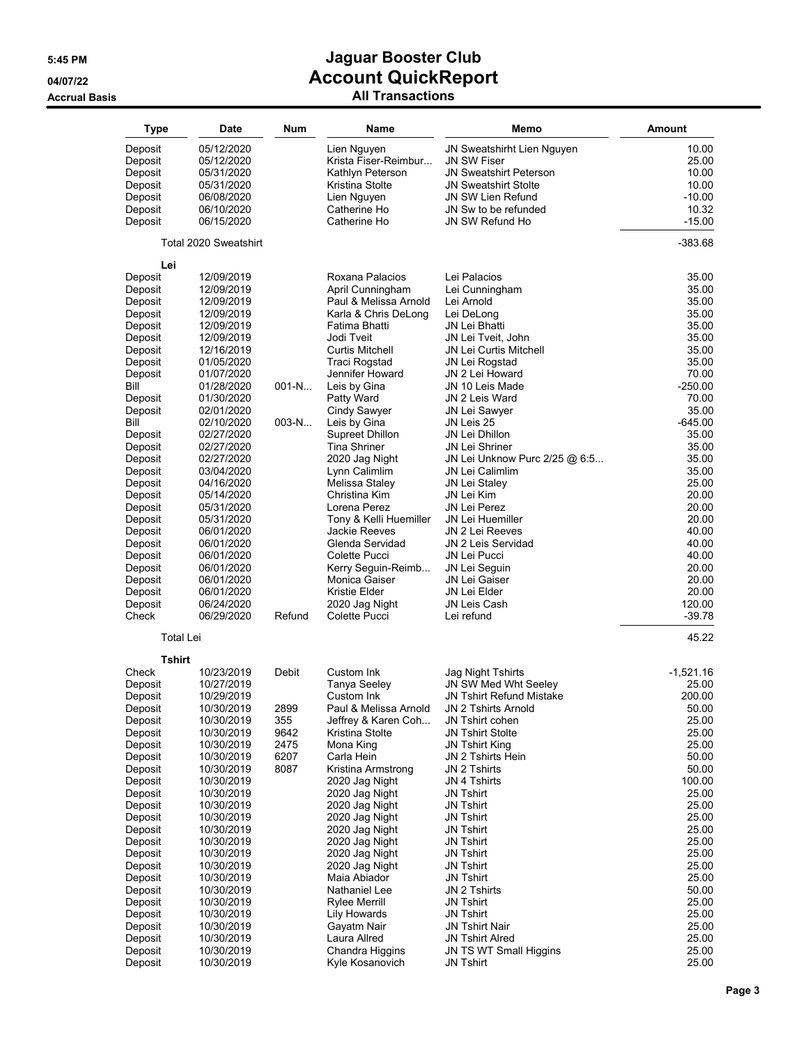| <b>Type</b>        | <b>Date</b>              | <b>Num</b> | Name                             | Memo                                            | Amount         |
|--------------------|--------------------------|------------|----------------------------------|-------------------------------------------------|----------------|
| Deposit            | 05/12/2020               |            | Lien Nguyen                      | JN Sweatshirht Lien Nguyen                      | 10.00          |
| Deposit            | 05/12/2020               |            | Krista Fiser-Reimbur             | <b>JN SW Fiser</b>                              | 25.00          |
| Deposit            | 05/31/2020               |            | Kathlyn Peterson                 | <b>JN Sweatshirt Peterson</b>                   | 10.00          |
| Deposit            | 05/31/2020               |            | Kristina Stolte                  | <b>JN Sweatshirt Stolte</b>                     | 10.00          |
| Deposit            | 06/08/2020               |            | Lien Nguyen                      | <b>JN SW Lien Refund</b>                        | $-10.00$       |
| Deposit            | 06/10/2020               |            | Catherine Ho                     | JN Sw to be refunded                            | 10.32          |
| Deposit            | 06/15/2020               |            | Catherine Ho                     | JN SW Refund Ho                                 | $-15.00$       |
|                    | Total 2020 Sweatshirt    |            |                                  |                                                 | $-383.68$      |
| Lei                |                          |            |                                  |                                                 |                |
| Deposit            | 12/09/2019               |            | Roxana Palacios                  | Lei Palacios                                    | 35.00          |
| Deposit            | 12/09/2019               |            | April Cunningham                 | Lei Cunningham                                  | 35.00          |
| Deposit            | 12/09/2019               |            | Paul & Melissa Arnold            | Lei Arnold                                      | 35.00          |
| Deposit            | 12/09/2019               |            | Karla & Chris DeLong             | Lei DeLong                                      | 35.00          |
| Deposit            | 12/09/2019               |            | Fatima Bhatti                    | <b>JN Lei Bhatti</b>                            | 35.00          |
| Deposit            | 12/09/2019               |            | Jodi Tveit                       | JN Lei Tveit, John                              | 35.00          |
| Deposit            | 12/16/2019               |            | Curtis Mitchell<br>Traci Rogstad | <b>JN Lei Curtis Mitchell</b><br>JN Lei Rogstad | 35.00<br>35.00 |
| Deposit<br>Deposit | 01/05/2020<br>01/07/2020 |            | Jennifer Howard                  | JN 2 Lei Howard                                 | 70.00          |
| Bill               | 01/28/2020               | $001-N$    | Leis by Gina                     | JN 10 Leis Made                                 | $-250.00$      |
| Deposit            | 01/30/2020               |            | Patty Ward                       | JN 2 Leis Ward                                  | 70.00          |
| Deposit            | 02/01/2020               |            | Cindy Sawyer                     | JN Lei Sawyer                                   | 35.00          |
| Bill               | 02/10/2020               | $003-N$    | Leis by Gina                     | JN Leis 25                                      | $-645.00$      |
| Deposit            | 02/27/2020               |            | Supreet Dhillon                  | JN Lei Dhillon                                  | 35.00          |
| Deposit            | 02/27/2020               |            | <b>Tina Shriner</b>              | JN Lei Shriner                                  | 35.00          |
| Deposit            | 02/27/2020               |            | 2020 Jag Night                   | JN Lei Unknow Purc 2/25 @ 6:5                   | 35.00          |
| Deposit            | 03/04/2020               |            | Lynn Calimlim                    | <b>JN Lei Calimlim</b>                          | 35.00          |
| Deposit            | 04/16/2020               |            | Melissa Staley                   | JN Lei Staley                                   | 25.00          |
| Deposit            | 05/14/2020               |            | Christina Kim                    | JN Lei Kim                                      | 20.00          |
| Deposit            | 05/31/2020               |            | Lorena Perez                     | JN Lei Perez                                    | 20.00          |
| Deposit            | 05/31/2020               |            | Tony & Kelli Huemiller           | <b>JN Lei Huemiller</b>                         | 20.00          |
| Deposit            | 06/01/2020<br>06/01/2020 |            | Jackie Reeves<br>Glenda Servidad | JN 2 Lei Reeves<br>JN 2 Leis Servidad           | 40.00<br>40.00 |
| Deposit<br>Deposit | 06/01/2020               |            | Colette Pucci                    | JN Lei Pucci                                    | 40.00          |
| Deposit            | 06/01/2020               |            | Kerry Seguin-Reimb               | JN Lei Seguin                                   | 20.00          |
| Deposit            | 06/01/2020               |            | Monica Gaiser                    | JN Lei Gaiser                                   | 20.00          |
| Deposit            | 06/01/2020               |            | Kristie Elder                    | JN Lei Elder                                    | 20.00          |
| Deposit            | 06/24/2020               |            | 2020 Jag Night                   | JN Leis Cash                                    | 120.00         |
| Check              | 06/29/2020               | Refund     | Colette Pucci                    | Lei refund                                      | $-39.78$       |
| <b>Total Lei</b>   |                          |            |                                  |                                                 | 45.22          |
| Tshirt<br>Check    | 10/23/2019               |            | Custom Ink                       |                                                 | $-1,521.16$    |
| Deposit            | 10/27/2019               | Debit      | <b>Tanya Seeley</b>              | Jag Night Tshirts<br>JN SW Med Wht Seeley       | 25.00          |
| Deposit            | 10/29/2019               |            | Custom Ink                       | <b>JN Tshirt Refund Mistake</b>                 | 200.00         |
| Deposit            | 10/30/2019               | 2899       | Paul & Melissa Arnold            | JN 2 Tshirts Arnold                             | 50.00          |
| Deposit            | 10/30/2019               | 355        | Jeffrey & Karen Coh              | JN Tshirt cohen                                 | 25.00          |
| Deposit            | 10/30/2019               | 9642       | Kristina Stolte                  | <b>JN Tshirt Stolte</b>                         | 25.00          |
| Deposit            | 10/30/2019               | 2475       | Mona King                        | JN Tshirt King                                  | 25.00          |
| Deposit            | 10/30/2019               | 6207       | Carla Hein                       | JN 2 Tshirts Hein                               | 50.00          |
| Deposit            | 10/30/2019               | 8087       | Kristina Armstrong               | JN 2 Tshirts                                    | 50.00          |
| Deposit            | 10/30/2019               |            | 2020 Jag Night                   | JN 4 Tshirts                                    | 100.00         |
| Deposit            | 10/30/2019               |            | 2020 Jag Night                   | <b>JN Tshirt</b>                                | 25.00          |
| Deposit            | 10/30/2019               |            | 2020 Jag Night                   | <b>JN Tshirt</b>                                | 25.00          |
| Deposit            | 10/30/2019               |            | 2020 Jag Night<br>2020 Jag Night | <b>JN Tshirt</b>                                | 25.00<br>25.00 |
| Deposit<br>Deposit | 10/30/2019<br>10/30/2019 |            | 2020 Jag Night                   | <b>JN Tshirt</b><br><b>JN Tshirt</b>            | 25.00          |
| Deposit            | 10/30/2019               |            | 2020 Jag Night                   | <b>JN Tshirt</b>                                | 25.00          |
| Deposit            | 10/30/2019               |            | 2020 Jag Night                   | <b>JN Tshirt</b>                                | 25.00          |
| Deposit            | 10/30/2019               |            | Maia Abiador                     | <b>JN Tshirt</b>                                | 25.00          |
| Deposit            | 10/30/2019               |            | Nathaniel Lee                    | JN 2 Tshirts                                    | 50.00          |
| Deposit            | 10/30/2019               |            | Rylee Merrill                    | <b>JN Tshirt</b>                                | 25.00          |
| Deposit            | 10/30/2019               |            | Lily Howards                     | <b>JN Tshirt</b>                                | 25.00          |
| Deposit            | 10/30/2019               |            | Gayatm Nair                      | JN Tshirt Nair                                  | 25.00          |
| Deposit            | 10/30/2019               |            | Laura Allred                     | JN Tshirt Alred                                 | 25.00          |
| Deposit            | 10/30/2019               |            | Chandra Higgins                  | JN TS WT Small Higgins                          | 25.00          |
| Deposit            | 10/30/2019               |            | Kyle Kosanovich                  | <b>JN Tshirt</b>                                | 25.00          |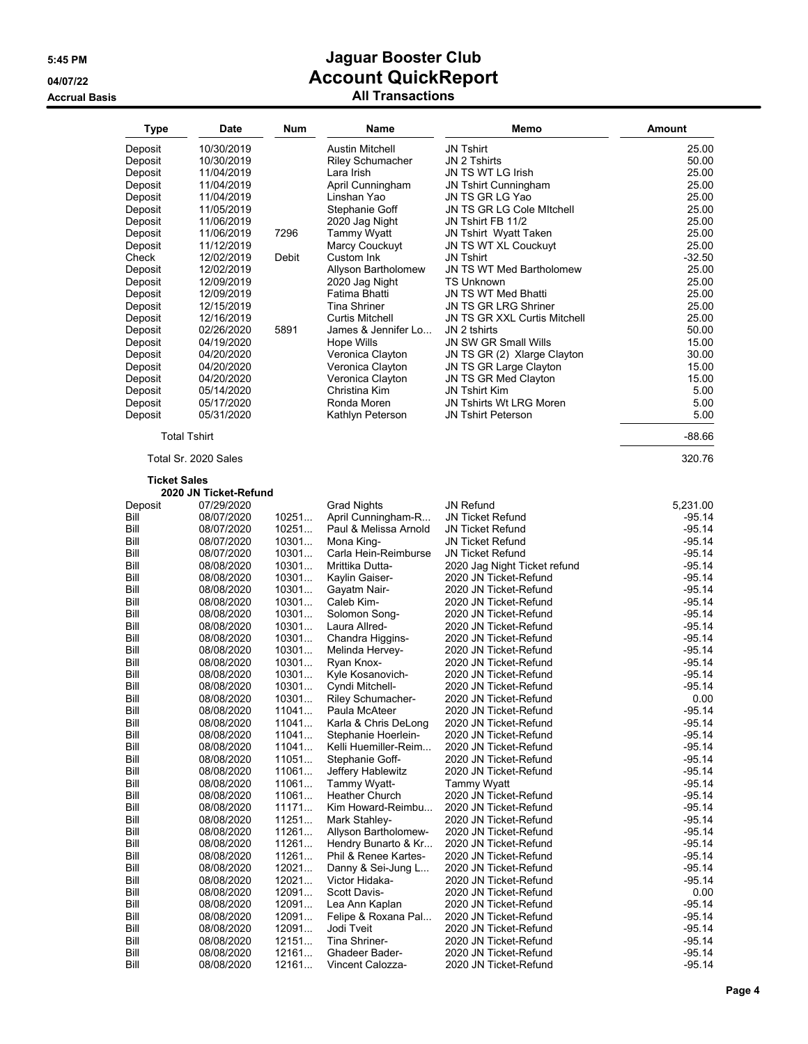| Type                | Date                  | Num   | Name                     | Memo                         | Amount   |
|---------------------|-----------------------|-------|--------------------------|------------------------------|----------|
| Deposit             | 10/30/2019            |       | <b>Austin Mitchell</b>   | <b>JN Tshirt</b>             | 25.00    |
| Deposit             | 10/30/2019            |       | <b>Riley Schumacher</b>  | JN 2 Tshirts                 | 50.00    |
| Deposit             | 11/04/2019            |       | Lara Irish               | JN TS WT LG Irish            | 25.00    |
| Deposit             | 11/04/2019            |       | April Cunningham         | <b>JN Tshirt Cunningham</b>  | 25.00    |
| Deposit             | 11/04/2019            |       | Linshan Yao              | JN TS GR LG Yao              | 25.00    |
| Deposit             | 11/05/2019            |       | Stephanie Goff           | JN TS GR LG Cole Mitchell    | 25.00    |
| Deposit             | 11/06/2019            |       | 2020 Jag Night           | JN Tshirt FB 11/2            | 25.00    |
| Deposit             | 11/06/2019            | 7296  | <b>Tammy Wyatt</b>       | JN Tshirt Wyatt Taken        | 25.00    |
| Deposit             | 11/12/2019            |       | Marcy Couckuyt           | JN TS WT XL Couckuyt         | 25.00    |
| Check               |                       |       | Custom Ink               |                              | $-32.50$ |
|                     | 12/02/2019            | Debit |                          | <b>JN Tshirt</b>             |          |
| Deposit             | 12/02/2019            |       | Allyson Bartholomew      | JN TS WT Med Bartholomew     | 25.00    |
| Deposit             | 12/09/2019            |       | 2020 Jag Night           | <b>TS Unknown</b>            | 25.00    |
| Deposit             | 12/09/2019            |       | Fatima Bhatti            | JN TS WT Med Bhatti          | 25.00    |
| Deposit             | 12/15/2019            |       | <b>Tina Shriner</b>      | <b>JN TS GR LRG Shriner</b>  | 25.00    |
| Deposit             | 12/16/2019            |       | Curtis Mitchell          | JN TS GR XXL Curtis Mitchell | 25.00    |
| Deposit             | 02/26/2020            | 5891  | James & Jennifer Lo      | JN 2 tshirts                 | 50.00    |
| Deposit             | 04/19/2020            |       | Hope Wills               | JN SW GR Small Wills         | 15.00    |
| Deposit             | 04/20/2020            |       | Veronica Clayton         | JN TS GR (2) Xlarge Clayton  | 30.00    |
| Deposit             | 04/20/2020            |       | Veronica Clayton         | JN TS GR Large Clayton       | 15.00    |
| Deposit             | 04/20/2020            |       | Veronica Clayton         | JN TS GR Med Clayton         | 15.00    |
| Deposit             | 05/14/2020            |       | Christina Kim            | <b>JN Tshirt Kim</b>         | 5.00     |
| Deposit             | 05/17/2020            |       | Ronda Moren              | JN Tshirts Wt LRG Moren      | 5.00     |
| Deposit             | 05/31/2020            |       | Kathlyn Peterson         | <b>JN Tshirt Peterson</b>    | 5.00     |
|                     | <b>Total Tshirt</b>   |       |                          |                              | $-88.66$ |
|                     | Total Sr. 2020 Sales  |       |                          |                              | 320.76   |
| <b>Ticket Sales</b> |                       |       |                          |                              |          |
|                     | 2020 JN Ticket-Refund |       |                          |                              |          |
| Deposit             | 07/29/2020            |       | <b>Grad Nights</b>       | <b>JN Refund</b>             | 5,231.00 |
| Bill                | 08/07/2020            | 10251 | April Cunningham-R       | <b>JN Ticket Refund</b>      | $-95.14$ |
| Bill                | 08/07/2020            | 10251 | Paul & Melissa Arnold    | <b>JN Ticket Refund</b>      | $-95.14$ |
| Bill                | 08/07/2020            | 10301 | Mona King-               | <b>JN Ticket Refund</b>      | $-95.14$ |
| Bill                | 08/07/2020            | 10301 | Carla Hein-Reimburse     | <b>JN Ticket Refund</b>      | $-95.14$ |
| Bill                | 08/08/2020            | 10301 | Mrittika Dutta-          | 2020 Jag Night Ticket refund | $-95.14$ |
| Bill                | 08/08/2020            | 10301 | Kaylin Gaiser-           | 2020 JN Ticket-Refund        | $-95.14$ |
| Bill                | 08/08/2020            | 10301 | Gayatm Nair-             | 2020 JN Ticket-Refund        | $-95.14$ |
| Bill                | 08/08/2020            | 10301 | Caleb Kim-               | 2020 JN Ticket-Refund        | $-95.14$ |
| Bill                | 08/08/2020            | 10301 | Solomon Song-            | 2020 JN Ticket-Refund        | $-95.14$ |
| Bill                | 08/08/2020            | 10301 | Laura Allred-            | 2020 JN Ticket-Refund        | $-95.14$ |
| Bill                | 08/08/2020            | 10301 | Chandra Higgins-         | 2020 JN Ticket-Refund        | $-95.14$ |
| Bill                | 08/08/2020            | 10301 | Melinda Hervey-          | 2020 JN Ticket-Refund        | $-95.14$ |
| Bill                | 08/08/2020            | 10301 | Ryan Knox-               | 2020 JN Ticket-Refund        | $-95.14$ |
| Bill                | 08/08/2020            | 10301 | Kyle Kosanovich-         | 2020 JN Ticket-Refund        | $-95.14$ |
| Bill                | 08/08/2020            | 10301 | Cyndi Mitchell-          | 2020 JN Ticket-Refund        | -95.14   |
| Bill                | 08/08/2020            | 10301 | <b>Riley Schumacher-</b> | 2020 JN Ticket-Refund        | 0.00     |
| Bill                | 08/08/2020            | 11041 | Paula McAteer            | 2020 JN Ticket-Refund        | $-95.14$ |
| Bill                | 08/08/2020            | 11041 | Karla & Chris DeLong     | 2020 JN Ticket-Refund        | -95.14   |
| Bill                | 08/08/2020            | 11041 | Stephanie Hoerlein-      | 2020 JN Ticket-Refund        | $-95.14$ |
| Bill                | 08/08/2020            | 11041 | Kelli Huemiller-Reim     | 2020 JN Ticket-Refund        | $-95.14$ |
|                     |                       |       |                          |                              |          |
| Bill                | 08/08/2020            | 11051 | Stephanie Goff-          | 2020 JN Ticket-Refund        | $-95.14$ |
| Bill                | 08/08/2020            | 11061 | Jeffery Hablewitz        | 2020 JN Ticket-Refund        | $-95.14$ |
| Bill                | 08/08/2020            | 11061 | Tammy Wyatt-             | Tammy Wyatt                  | -95.14   |
| Bill                | 08/08/2020            | 11061 | Heather Church           | 2020 JN Ticket-Refund        | -95.14   |
| Bill                | 08/08/2020            | 11171 | Kim Howard-Reimbu        | 2020 JN Ticket-Refund        | -95.14   |
| Bill                | 08/08/2020            | 11251 | Mark Stahley-            | 2020 JN Ticket-Refund        | -95.14   |
| Bill                | 08/08/2020            | 11261 | Allyson Bartholomew-     | 2020 JN Ticket-Refund        | -95.14   |
| Bill                | 08/08/2020            | 11261 | Hendry Bunarto & Kr      | 2020 JN Ticket-Refund        | -95.14   |
| Bill                | 08/08/2020            | 11261 | Phil & Renee Kartes-     | 2020 JN Ticket-Refund        | -95.14   |
| Bill                | 08/08/2020            | 12021 | Danny & Sei-Jung L       | 2020 JN Ticket-Refund        | -95.14   |
| Bill                | 08/08/2020            | 12021 | Victor Hidaka-           | 2020 JN Ticket-Refund        | -95.14   |
| Bill                | 08/08/2020            | 12091 | Scott Davis-             | 2020 JN Ticket-Refund        | 0.00     |
| Bill                | 08/08/2020            | 12091 | Lea Ann Kaplan           | 2020 JN Ticket-Refund        | -95.14   |
| Bill                | 08/08/2020            | 12091 | Felipe & Roxana Pal      | 2020 JN Ticket-Refund        | $-95.14$ |
| Bill                | 08/08/2020            | 12091 | Jodi Tveit               | 2020 JN Ticket-Refund        | -95.14   |
| Bill                | 08/08/2020            | 12151 | Tina Shriner-            | 2020 JN Ticket-Refund        | $-95.14$ |
| Bill                | 08/08/2020            | 12161 | <b>Ghadeer Bader-</b>    | 2020 JN Ticket-Refund        | $-95.14$ |
| Bill                | 08/08/2020            | 12161 | Vincent Calozza-         | 2020 JN Ticket-Refund        | -95.14   |
|                     |                       |       |                          |                              |          |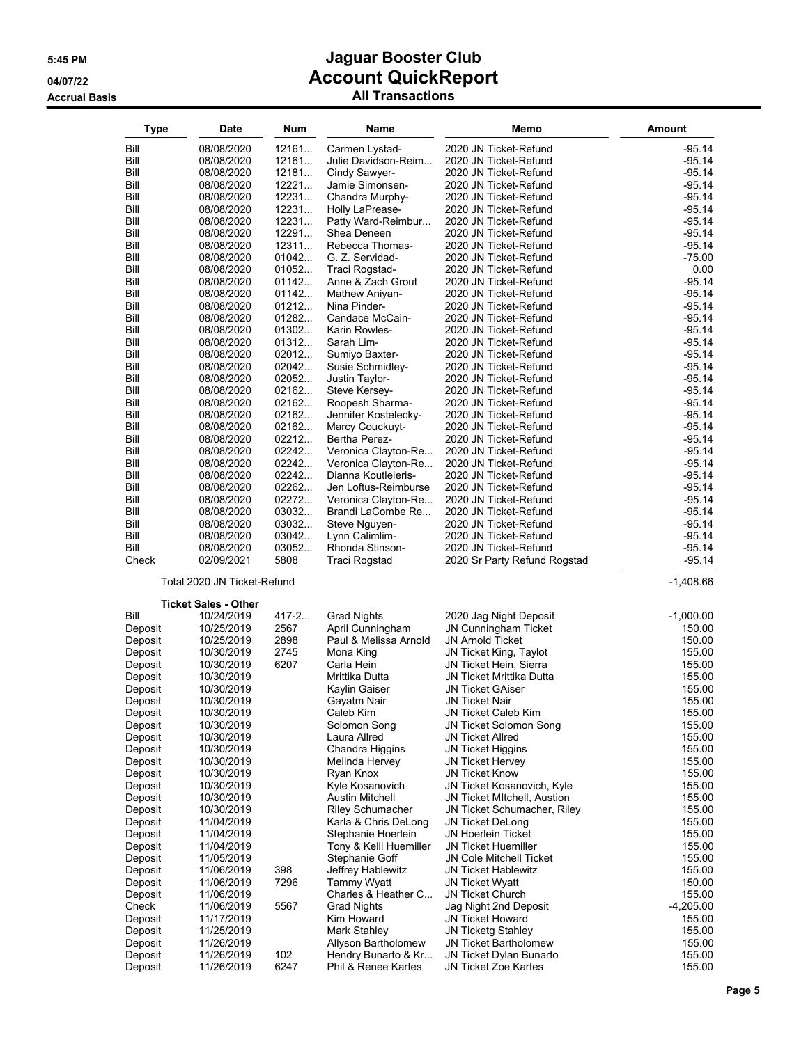| Type               | <b>Date</b>                 | <b>Num</b>     | Name                                 | Memo                                                      | <b>Amount</b>        |
|--------------------|-----------------------------|----------------|--------------------------------------|-----------------------------------------------------------|----------------------|
| Bill               | 08/08/2020                  | 12161          | Carmen Lystad-                       | 2020 JN Ticket-Refund                                     | $-95.14$             |
| Bill               | 08/08/2020                  | 12161          | Julie Davidson-Reim                  | 2020 JN Ticket-Refund                                     | $-95.14$             |
| Bill               | 08/08/2020                  | 12181          | Cindy Sawyer-                        | 2020 JN Ticket-Refund                                     | $-95.14$             |
| Bill               | 08/08/2020                  | 12221          | Jamie Simonsen-                      | 2020 JN Ticket-Refund                                     | $-95.14$             |
| Bill               | 08/08/2020                  | 12231          | Chandra Murphy-                      | 2020 JN Ticket-Refund                                     | -95.14               |
| Bill               | 08/08/2020                  | 12231          | Holly LaPrease-                      | 2020 JN Ticket-Refund                                     | $-95.14$             |
| Bill               | 08/08/2020                  | 12231          | Patty Ward-Reimbur                   | 2020 JN Ticket-Refund                                     | $-95.14$             |
| Bill               | 08/08/2020                  | 12291          | Shea Deneen                          | 2020 JN Ticket-Refund                                     | $-95.14$             |
| Bill               | 08/08/2020                  | 12311          | Rebecca Thomas-                      | 2020 JN Ticket-Refund                                     | $-95.14$             |
| Bill               | 08/08/2020                  | 01042          | G. Z. Servidad-                      | 2020 JN Ticket-Refund                                     | $-75.00$             |
| Bill<br>Bill       | 08/08/2020                  | 01052<br>01142 | Traci Rogstad-                       | 2020 JN Ticket-Refund                                     | 0.00<br>$-95.14$     |
| Bill               | 08/08/2020<br>08/08/2020    | 01142          | Anne & Zach Grout<br>Mathew Aniyan-  | 2020 JN Ticket-Refund<br>2020 JN Ticket-Refund            | $-95.14$             |
| Bill               | 08/08/2020                  | 01212          | Nina Pinder-                         | 2020 JN Ticket-Refund                                     | $-95.14$             |
| Bill               | 08/08/2020                  | 01282          | Candace McCain-                      | 2020 JN Ticket-Refund                                     | $-95.14$             |
| Bill               | 08/08/2020                  | 01302          | Karin Rowles-                        | 2020 JN Ticket-Refund                                     | $-95.14$             |
| Bill               | 08/08/2020                  | 01312          | Sarah Lim-                           | 2020 JN Ticket-Refund                                     | $-95.14$             |
| Bill               | 08/08/2020                  | 02012          | Sumiyo Baxter-                       | 2020 JN Ticket-Refund                                     | -95.14               |
| Bill               | 08/08/2020                  | 02042          | Susie Schmidley-                     | 2020 JN Ticket-Refund                                     | $-95.14$             |
| Bill               | 08/08/2020                  | 02052          | Justin Taylor-                       | 2020 JN Ticket-Refund                                     | -95.14               |
| Bill               | 08/08/2020                  | 02162          | Steve Kersey-                        | 2020 JN Ticket-Refund                                     | $-95.14$             |
| Bill               | 08/08/2020                  | 02162          | Roopesh Sharma-                      | 2020 JN Ticket-Refund                                     | $-95.14$             |
| Bill               | 08/08/2020                  | 02162          | Jennifer Kostelecky-                 | 2020 JN Ticket-Refund                                     | $-95.14$             |
| Bill               | 08/08/2020                  | 02162          | Marcy Couckuyt-                      | 2020 JN Ticket-Refund                                     | $-95.14$             |
| Bill<br>Bill       | 08/08/2020<br>08/08/2020    | 02212<br>02242 | Bertha Perez-<br>Veronica Clayton-Re | 2020 JN Ticket-Refund<br>2020 JN Ticket-Refund            | $-95.14$<br>$-95.14$ |
| Bill               | 08/08/2020                  | 02242          | Veronica Clayton-Re                  | 2020 JN Ticket-Refund                                     | $-95.14$             |
| Bill               | 08/08/2020                  | 02242          | Dianna Koutleieris-                  | 2020 JN Ticket-Refund                                     | $-95.14$             |
| Bill               | 08/08/2020                  | 02262          | Jen Loftus-Reimburse                 | 2020 JN Ticket-Refund                                     | $-95.14$             |
| Bill               | 08/08/2020                  | 02272          | Veronica Clayton-Re                  | 2020 JN Ticket-Refund                                     | $-95.14$             |
| Bill               | 08/08/2020                  | 03032          | Brandi LaCombe Re                    | 2020 JN Ticket-Refund                                     | $-95.14$             |
| Bill               | 08/08/2020                  | 03032          | Steve Nguyen-                        | 2020 JN Ticket-Refund                                     | $-95.14$             |
| Bill               | 08/08/2020                  | 03042          | Lynn Calimlim-                       | 2020 JN Ticket-Refund                                     | $-95.14$             |
| Bill               | 08/08/2020                  | 03052          | Rhonda Stinson-                      | 2020 JN Ticket-Refund                                     | $-95.14$             |
| Check              | 02/09/2021                  | 5808           | Traci Rogstad                        | 2020 Sr Party Refund Rogstad                              | $-95.14$             |
|                    | Total 2020 JN Ticket-Refund |                |                                      |                                                           | $-1,408.66$          |
|                    | <b>Ticket Sales - Other</b> |                |                                      |                                                           |                      |
| Bill               | 10/24/2019                  | 417-2          | <b>Grad Nights</b>                   | 2020 Jag Night Deposit                                    | $-1,000.00$          |
| Deposit            | 10/25/2019                  | 2567           | April Cunningham                     | JN Cunningham Ticket                                      | 150.00               |
| Deposit            | 10/25/2019                  | 2898<br>2745   | Paul & Melissa Arnold                | <b>JN Arnold Ticket</b>                                   | 150.00<br>155.00     |
| Deposit<br>Deposit | 10/30/2019<br>10/30/2019    | 6207           | Mona King<br>Carla Hein              | JN Ticket King, Taylot<br>JN Ticket Hein, Sierra          | 155.00               |
| Deposit            | 10/30/2019                  |                | Mrittika Dutta                       | JN Ticket Mrittika Dutta                                  | 155.00               |
| Deposit            | 10/30/2019                  |                | Kaylin Gaiser                        | JN Ticket GAiser                                          | 155.00               |
| Deposit            | 10/30/2019                  |                | Gayatm Nair                          | JN Ticket Nair                                            | 155.00               |
| Deposit            | 10/30/2019                  |                | Caleb Kim                            | JN Ticket Caleb Kim                                       | 155.00               |
| Deposit            | 10/30/2019                  |                | Solomon Song                         | JN Ticket Solomon Song                                    | 155.00               |
| Deposit            | 10/30/2019                  |                | Laura Allred                         | <b>JN Ticket Allred</b>                                   | 155.00               |
| Deposit            | 10/30/2019                  |                | Chandra Higgins                      | <b>JN Ticket Higgins</b>                                  | 155.00               |
| Deposit            | 10/30/2019                  |                | Melinda Hervey                       | JN Ticket Hervey                                          | 155.00               |
| Deposit            | 10/30/2019                  |                | Ryan Knox                            | JN Ticket Know                                            | 155.00               |
| Deposit<br>Deposit | 10/30/2019<br>10/30/2019    |                | Kyle Kosanovich<br>Austin Mitchell   | JN Ticket Kosanovich, Kyle<br>JN Ticket MItchell, Austion | 155.00<br>155.00     |
| Deposit            | 10/30/2019                  |                | <b>Riley Schumacher</b>              | <b>JN Ticket Schumacher, Riley</b>                        | 155.00               |
| Deposit            | 11/04/2019                  |                | Karla & Chris DeLong                 | JN Ticket DeLong                                          | 155.00               |
| Deposit            | 11/04/2019                  |                | Stephanie Hoerlein                   | <b>JN Hoerlein Ticket</b>                                 | 155.00               |
| Deposit            | 11/04/2019                  |                | Tony & Kelli Huemiller               | <b>JN Ticket Huemiller</b>                                | 155.00               |
| Deposit            | 11/05/2019                  |                | Stephanie Goff                       | JN Cole Mitchell Ticket                                   | 155.00               |
| Deposit            | 11/06/2019                  | 398            | Jeffrey Hablewitz                    | JN Ticket Hablewitz                                       | 155.00               |
| Deposit            | 11/06/2019                  | 7296           | Tammy Wyatt                          | <b>JN Ticket Wyatt</b>                                    | 150.00               |
| Deposit            | 11/06/2019                  |                | Charles & Heather C                  | <b>JN Ticket Church</b>                                   | 155.00               |
| Check              | 11/06/2019                  | 5567           | <b>Grad Nights</b>                   | Jag Night 2nd Deposit                                     | $-4,205.00$          |
| Deposit<br>Deposit | 11/17/2019<br>11/25/2019    |                | Kim Howard<br>Mark Stahley           | <b>JN Ticket Howard</b><br><b>JN Ticketg Stahley</b>      | 155.00<br>155.00     |
| Deposit            | 11/26/2019                  |                | Allyson Bartholomew                  | JN Ticket Bartholomew                                     | 155.00               |
| Deposit            | 11/26/2019                  | 102            | Hendry Bunarto & Kr                  | JN Ticket Dylan Bunarto                                   | 155.00               |
| Deposit            | 11/26/2019                  | 6247           | Phil & Renee Kartes                  | JN Ticket Zoe Kartes                                      | 155.00               |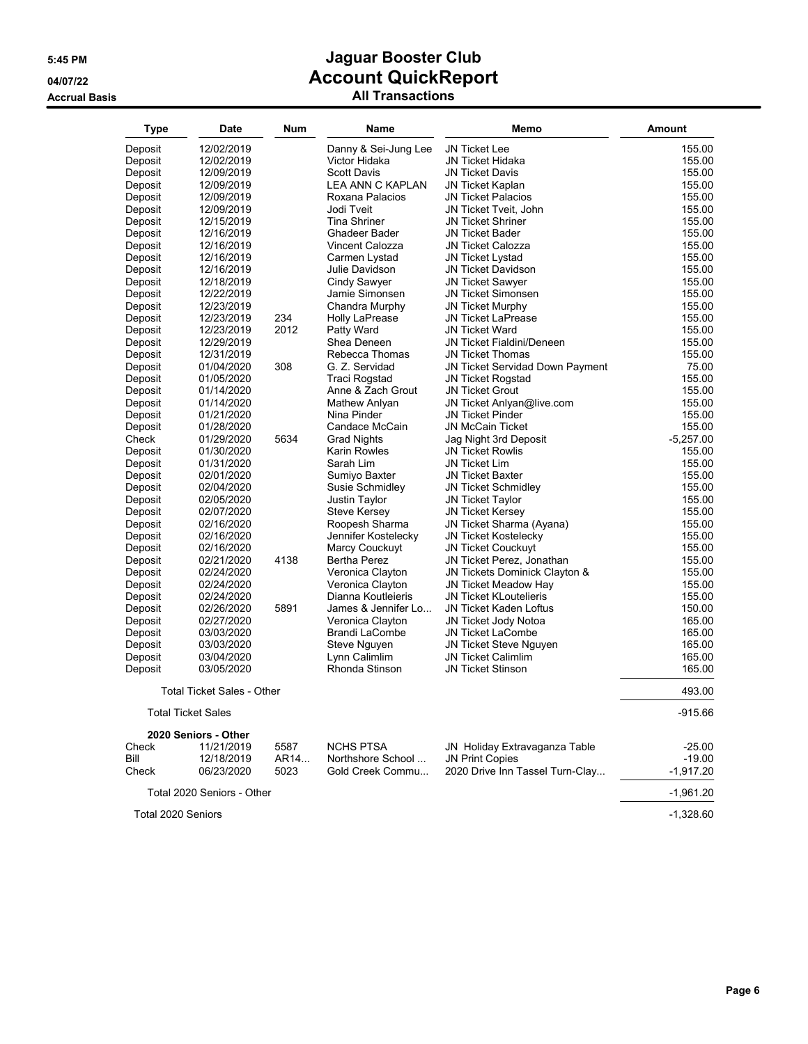| <b>Type</b>        | <b>Date</b>                       | <b>Num</b> | Name                    | Memo                             | Amount      |
|--------------------|-----------------------------------|------------|-------------------------|----------------------------------|-------------|
| Deposit            | 12/02/2019                        |            | Danny & Sei-Jung Lee    | <b>JN Ticket Lee</b>             | 155.00      |
| Deposit            | 12/02/2019                        |            | Victor Hidaka           | <b>JN Ticket Hidaka</b>          | 155.00      |
| Deposit            | 12/09/2019                        |            | <b>Scott Davis</b>      | <b>JN Ticket Davis</b>           | 155.00      |
| Deposit            | 12/09/2019                        |            | <b>LEA ANN C KAPLAN</b> | <b>JN Ticket Kaplan</b>          | 155.00      |
| Deposit            | 12/09/2019                        |            | Roxana Palacios         | <b>JN Ticket Palacios</b>        | 155.00      |
| Deposit            | 12/09/2019                        |            | Jodi Tveit              | JN Ticket Tveit, John            | 155.00      |
| Deposit            | 12/15/2019                        |            | <b>Tina Shriner</b>     | <b>JN Ticket Shriner</b>         | 155.00      |
| Deposit            | 12/16/2019                        |            | Ghadeer Bader           | <b>JN Ticket Bader</b>           | 155.00      |
| Deposit            | 12/16/2019                        |            | <b>Vincent Calozza</b>  | <b>JN Ticket Calozza</b>         | 155.00      |
| Deposit            | 12/16/2019                        |            | Carmen Lystad           | JN Ticket Lystad                 | 155.00      |
| Deposit            | 12/16/2019                        |            | Julie Davidson          | JN Ticket Davidson               | 155.00      |
| Deposit            | 12/18/2019                        |            | Cindy Sawyer            | <b>JN Ticket Sawver</b>          | 155.00      |
| Deposit            | 12/22/2019                        |            | Jamie Simonsen          | <b>JN Ticket Simonsen</b>        | 155.00      |
| Deposit            | 12/23/2019                        |            | Chandra Murphy          | <b>JN Ticket Murphy</b>          | 155.00      |
| Deposit            | 12/23/2019                        | 234        | <b>Holly LaPrease</b>   | <b>JN Ticket LaPrease</b>        | 155.00      |
| Deposit            | 12/23/2019                        | 2012       | Patty Ward              | <b>JN Ticket Ward</b>            | 155.00      |
| Deposit            | 12/29/2019                        |            | Shea Deneen             | <b>JN Ticket Fialdini/Deneen</b> | 155.00      |
| Deposit            | 12/31/2019                        |            | Rebecca Thomas          | <b>JN Ticket Thomas</b>          | 155.00      |
| Deposit            | 01/04/2020                        | 308        | G. Z. Servidad          | JN Ticket Servidad Down Payment  | 75.00       |
| Deposit            | 01/05/2020                        |            | <b>Traci Rogstad</b>    | <b>JN Ticket Rogstad</b>         | 155.00      |
| Deposit            | 01/14/2020                        |            | Anne & Zach Grout       | <b>JN Ticket Grout</b>           | 155.00      |
| Deposit            | 01/14/2020                        |            | Mathew Anlyan           | JN Ticket Anlyan@live.com        | 155.00      |
| Deposit            | 01/21/2020                        |            | Nina Pinder             | <b>JN Ticket Pinder</b>          | 155.00      |
| Deposit            | 01/28/2020                        |            | Candace McCain          | JN McCain Ticket                 | 155.00      |
| Check              | 01/29/2020                        | 5634       | <b>Grad Nights</b>      | Jag Night 3rd Deposit            | $-5.257.00$ |
| Deposit            | 01/30/2020                        |            | <b>Karin Rowles</b>     | <b>JN Ticket Rowlis</b>          | 155.00      |
| Deposit            | 01/31/2020                        |            | Sarah Lim               | <b>JN Ticket Lim</b>             | 155.00      |
| Deposit            | 02/01/2020                        |            | Sumiyo Baxter           | <b>JN Ticket Baxter</b>          | 155.00      |
| Deposit            | 02/04/2020                        |            | Susie Schmidley         | <b>JN Ticket Schmidley</b>       | 155.00      |
| Deposit            | 02/05/2020                        |            | Justin Taylor           | <b>JN Ticket Taylor</b>          | 155.00      |
| Deposit            | 02/07/2020                        |            | Steve Kersey            | <b>JN Ticket Kersey</b>          | 155.00      |
| Deposit            | 02/16/2020                        |            | Roopesh Sharma          | JN Ticket Sharma (Ayana)         | 155.00      |
| Deposit            | 02/16/2020                        |            | Jennifer Kostelecky     | JN Ticket Kostelecky             | 155.00      |
| Deposit            | 02/16/2020                        |            | Marcy Couckuyt          | JN Ticket Couckuyt               | 155.00      |
| Deposit            | 02/21/2020                        | 4138       | <b>Bertha Perez</b>     | JN Ticket Perez, Jonathan        | 155.00      |
| Deposit            | 02/24/2020                        |            | Veronica Clayton        | JN Tickets Dominick Clayton &    | 155.00      |
| Deposit            | 02/24/2020                        |            | Veronica Clayton        | JN Ticket Meadow Hay             | 155.00      |
| Deposit            | 02/24/2020                        |            | Dianna Koutleieris      | <b>JN Ticket KLoutelieris</b>    | 155.00      |
| Deposit            | 02/26/2020                        | 5891       | James & Jennifer Lo     | <b>JN Ticket Kaden Loftus</b>    | 150.00      |
| Deposit            | 02/27/2020                        |            | Veronica Clayton        | JN Ticket Jody Notoa             | 165.00      |
| Deposit            | 03/03/2020                        |            | <b>Brandi LaCombe</b>   | <b>JN Ticket LaCombe</b>         | 165.00      |
| Deposit            | 03/03/2020                        |            | Steve Nguyen            | JN Ticket Steve Nguyen           | 165.00      |
| Deposit            | 03/04/2020                        |            | Lynn Calimlim           | <b>JN Ticket Calimlim</b>        | 165.00      |
| Deposit            | 03/05/2020                        |            | Rhonda Stinson          | <b>JN Ticket Stinson</b>         | 165.00      |
|                    | <b>Total Ticket Sales - Other</b> |            |                         |                                  | 493.00      |
|                    | <b>Total Ticket Sales</b>         |            |                         |                                  | $-915.66$   |
|                    | 2020 Seniors - Other              |            |                         |                                  |             |
| Check              | 11/21/2019                        | 5587       | <b>NCHS PTSA</b>        | JN Holiday Extravaganza Table    | $-25.00$    |
| Bill               | 12/18/2019                        | AR14       | Northshore School       | <b>JN Print Copies</b>           | $-19.00$    |
| Check              | 06/23/2020                        | 5023       | Gold Creek Commu        | 2020 Drive Inn Tassel Turn-Clay  | $-1,917.20$ |
|                    | Total 2020 Seniors - Other        |            |                         |                                  | $-1,961.20$ |
| Total 2020 Seniors |                                   |            |                         |                                  | $-1,328.60$ |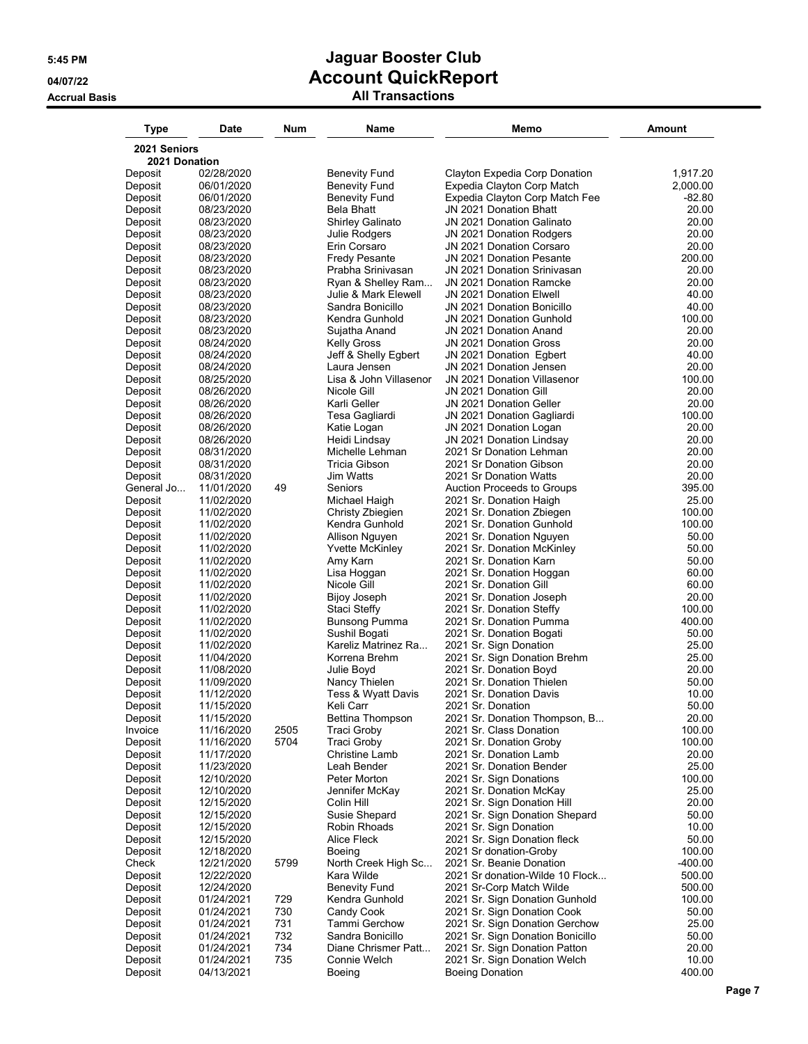| Type                  | Date                     | Num          | Name                                       | Memo                                                         | <b>Amount</b>       |
|-----------------------|--------------------------|--------------|--------------------------------------------|--------------------------------------------------------------|---------------------|
| 2021 Seniors          |                          |              |                                            |                                                              |                     |
| 2021 Donation         |                          |              |                                            |                                                              |                     |
| Deposit               | 02/28/2020               |              | Benevity Fund                              | Clayton Expedia Corp Donation                                | 1,917.20            |
| Deposit               | 06/01/2020               |              | <b>Benevity Fund</b>                       | Expedia Clayton Corp Match                                   | 2,000.00            |
| Deposit               | 06/01/2020               |              | Benevity Fund                              | Expedia Clayton Corp Match Fee                               | -82.80              |
| Deposit               | 08/23/2020               |              | Bela Bhatt                                 | JN 2021 Donation Bhatt                                       | 20.00               |
| Deposit<br>Deposit    | 08/23/2020<br>08/23/2020 |              | Shirley Galinato<br>Julie Rodgers          | JN 2021 Donation Galinato<br>JN 2021 Donation Rodgers        | 20.00<br>20.00      |
| Deposit               | 08/23/2020               |              | Erin Corsaro                               | JN 2021 Donation Corsaro                                     | 20.00               |
| Deposit               | 08/23/2020               |              | <b>Fredy Pesante</b>                       | JN 2021 Donation Pesante                                     | 200.00              |
| Deposit               | 08/23/2020               |              | Prabha Srinivasan                          | JN 2021 Donation Srinivasan                                  | 20.00               |
| Deposit               | 08/23/2020               |              | Ryan & Shelley Ram                         | JN 2021 Donation Ramcke                                      | 20.00               |
| Deposit               | 08/23/2020               |              | Julie & Mark Elewell                       | JN 2021 Donation Elwell                                      | 40.00               |
| Deposit               | 08/23/2020               |              | Sandra Bonicillo                           | JN 2021 Donation Bonicillo                                   | 40.00               |
| Deposit               | 08/23/2020               |              | Kendra Gunhold                             | JN 2021 Donation Gunhold                                     | 100.00              |
| Deposit               | 08/23/2020               |              | Sujatha Anand                              | JN 2021 Donation Anand                                       | 20.00               |
| Deposit<br>Deposit    | 08/24/2020<br>08/24/2020 |              | <b>Kelly Gross</b><br>Jeff & Shelly Egbert | JN 2021 Donation Gross<br>JN 2021 Donation Egbert            | 20.00<br>40.00      |
| Deposit               | 08/24/2020               |              | Laura Jensen                               | JN 2021 Donation Jensen                                      | 20.00               |
| Deposit               | 08/25/2020               |              | Lisa & John Villasenor                     | JN 2021 Donation Villasenor                                  | 100.00              |
| Deposit               | 08/26/2020               |              | Nicole Gill                                | JN 2021 Donation Gill                                        | 20.00               |
| Deposit               | 08/26/2020               |              | Karli Geller                               | JN 2021 Donation Geller                                      | 20.00               |
| Deposit               | 08/26/2020               |              | Tesa Gagliardi                             | JN 2021 Donation Gagliardi                                   | 100.00              |
| Deposit               | 08/26/2020               |              | Katie Logan                                | JN 2021 Donation Logan                                       | 20.00               |
| Deposit               | 08/26/2020               |              | Heidi Lindsay                              | JN 2021 Donation Lindsay                                     | 20.00               |
| Deposit               | 08/31/2020               |              | Michelle Lehman                            | 2021 Sr Donation Lehman                                      | 20.00               |
| Deposit               | 08/31/2020               |              | Tricia Gibson                              | 2021 Sr Donation Gibson                                      | 20.00               |
| Deposit               | 08/31/2020               | 49           | Jim Watts<br>Seniors                       | 2021 Sr Donation Watts                                       | 20.00<br>395.00     |
| General Jo<br>Deposit | 11/01/2020<br>11/02/2020 |              | Michael Haigh                              | <b>Auction Proceeds to Groups</b><br>2021 Sr. Donation Haigh | 25.00               |
| Deposit               | 11/02/2020               |              | Christy Zbiegien                           | 2021 Sr. Donation Zbiegen                                    | 100.00              |
| Deposit               | 11/02/2020               |              | Kendra Gunhold                             | 2021 Sr. Donation Gunhold                                    | 100.00              |
| Deposit               | 11/02/2020               |              | Allison Nguyen                             | 2021 Sr. Donation Nguyen                                     | 50.00               |
| Deposit               | 11/02/2020               |              | Yvette McKinley                            | 2021 Sr. Donation McKinley                                   | 50.00               |
| Deposit               | 11/02/2020               |              | Amy Karn                                   | 2021 Sr. Donation Karn                                       | 50.00               |
| Deposit               | 11/02/2020               |              | Lisa Hoggan                                | 2021 Sr. Donation Hoggan                                     | 60.00               |
| Deposit               | 11/02/2020               |              | Nicole Gill                                | 2021 Sr. Donation Gill                                       | 60.00               |
| Deposit               | 11/02/2020               |              | Bijoy Joseph                               | 2021 Sr. Donation Joseph                                     | 20.00               |
| Deposit               | 11/02/2020               |              | Staci Steffy                               | 2021 Sr. Donation Steffy<br>2021 Sr. Donation Pumma          | 100.00<br>400.00    |
| Deposit<br>Deposit    | 11/02/2020<br>11/02/2020 |              | Bunsong Pumma<br>Sushil Bogati             | 2021 Sr. Donation Bogati                                     | 50.00               |
| Deposit               | 11/02/2020               |              | Kareliz Matrinez Ra                        | 2021 Sr. Sign Donation                                       | 25.00               |
| Deposit               | 11/04/2020               |              | Korrena Brehm                              | 2021 Sr. Sign Donation Brehm                                 | 25.00               |
| Deposit               | 11/08/2020               |              | Julie Boyd                                 | 2021 Sr. Donation Boyd                                       | 20.00               |
| Deposit               | 11/09/2020               |              | Nancy Thielen                              | 2021 Sr. Donation Thielen                                    | 50.00               |
| Deposit               | 11/12/2020               |              | Tess & Wyatt Davis                         | 2021 Sr. Donation Davis                                      | 10.00               |
| Deposit               | 11/15/2020               |              | Keli Carr                                  | 2021 Sr. Donation                                            | 50.00               |
| Deposit               | 11/15/2020               |              | <b>Bettina Thompson</b>                    | 2021 Sr. Donation Thompson, B                                | 20.00               |
| Invoice               | 11/16/2020               | 2505<br>5704 | <b>Traci Groby</b><br><b>Traci Groby</b>   | 2021 Sr. Class Donation<br>2021 Sr. Donation Groby           | 100.00<br>100.00    |
| Deposit<br>Deposit    | 11/16/2020<br>11/17/2020 |              | <b>Christine Lamb</b>                      | 2021 Sr. Donation Lamb                                       | 20.00               |
| Deposit               | 11/23/2020               |              | Leah Bender                                | 2021 Sr. Donation Bender                                     | 25.00               |
| Deposit               | 12/10/2020               |              | Peter Morton                               | 2021 Sr. Sign Donations                                      | 100.00              |
| Deposit               | 12/10/2020               |              | Jennifer McKay                             | 2021 Sr. Donation McKay                                      | 25.00               |
| Deposit               | 12/15/2020               |              | Colin Hill                                 | 2021 Sr. Sign Donation Hill                                  | 20.00               |
| Deposit               | 12/15/2020               |              | Susie Shepard                              | 2021 Sr. Sign Donation Shepard                               | 50.00               |
| Deposit               | 12/15/2020               |              | Robin Rhoads                               | 2021 Sr. Sign Donation                                       | 10.00               |
| Deposit               | 12/15/2020               |              | Alice Fleck                                | 2021 Sr. Sign Donation fleck                                 | 50.00               |
| Deposit               | 12/18/2020<br>12/21/2020 |              | Boeing                                     | 2021 Sr donation-Groby                                       | 100.00              |
| Check<br>Deposit      | 12/22/2020               | 5799         | North Creek High Sc<br>Kara Wilde          | 2021 Sr. Beanie Donation<br>2021 Sr donation-Wilde 10 Flock  | $-400.00$<br>500.00 |
| Deposit               | 12/24/2020               |              | <b>Benevity Fund</b>                       | 2021 Sr-Corp Match Wilde                                     | 500.00              |
| Deposit               | 01/24/2021               | 729          | Kendra Gunhold                             | 2021 Sr. Sign Donation Gunhold                               | 100.00              |
| Deposit               | 01/24/2021               | 730          | Candy Cook                                 | 2021 Sr. Sign Donation Cook                                  | 50.00               |
| Deposit               | 01/24/2021               | 731          | Tammi Gerchow                              | 2021 Sr. Sign Donation Gerchow                               | 25.00               |
| Deposit               | 01/24/2021               | 732          | Sandra Bonicillo                           | 2021 Sr. Sign Donation Bonicillo                             | 50.00               |
| Deposit               | 01/24/2021               | 734          | Diane Chrismer Patt                        | 2021 Sr. Sign Donation Patton                                | 20.00               |
| Deposit               | 01/24/2021               | 735          | Connie Welch                               | 2021 Sr. Sign Donation Welch                                 | 10.00               |
| Deposit               | 04/13/2021               |              | Boeing                                     | <b>Boeing Donation</b>                                       | 400.00              |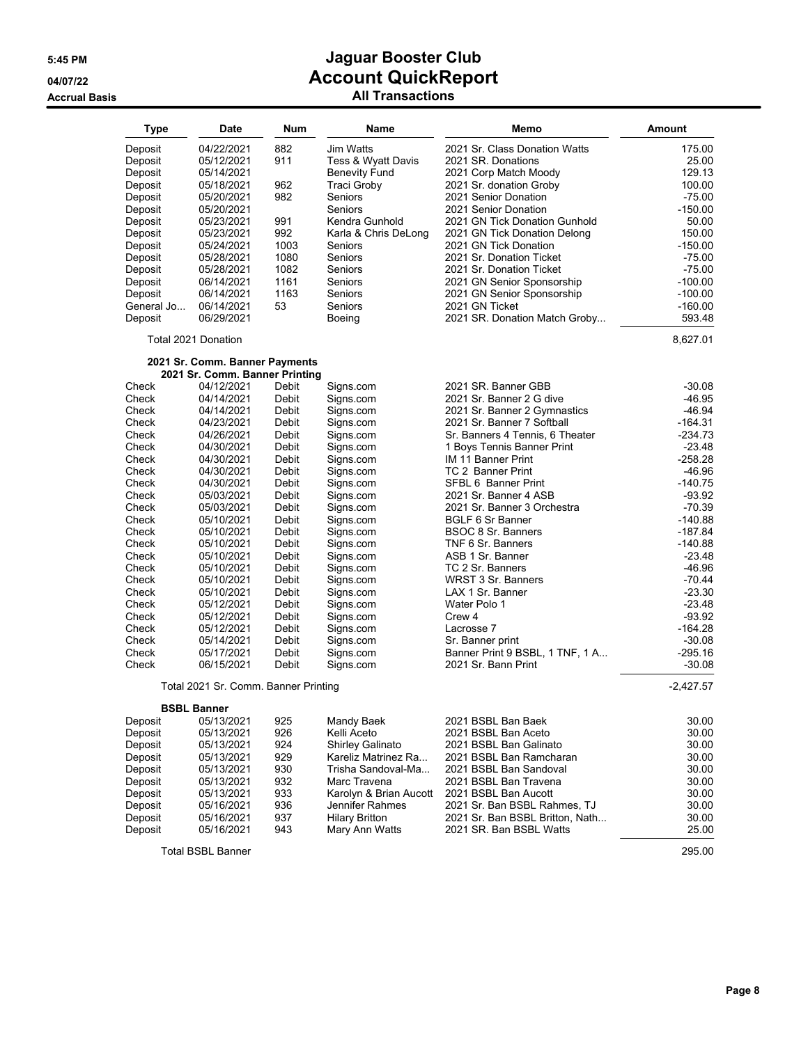| Type           | <b>Date</b>                          | Num            | Name                    | Memo                                                          | <b>Amount</b>          |
|----------------|--------------------------------------|----------------|-------------------------|---------------------------------------------------------------|------------------------|
| Deposit        | 04/22/2021                           | 882            | Jim Watts               | 2021 Sr. Class Donation Watts                                 | 175.00                 |
| Deposit        | 05/12/2021                           | 911            | Tess & Wyatt Davis      | 2021 SR. Donations                                            | 25.00                  |
| Deposit        | 05/14/2021                           |                | <b>Benevity Fund</b>    | 2021 Corp Match Moody                                         | 129.13                 |
| Deposit        | 05/18/2021                           | 962            | Traci Groby             | 2021 Sr. donation Groby                                       | 100.00                 |
| Deposit        | 05/20/2021                           | 982            | Seniors                 | 2021 Senior Donation                                          | $-75.00$               |
| Deposit        | 05/20/2021                           |                | <b>Seniors</b>          | 2021 Senior Donation                                          | $-150.00$              |
| Deposit        | 05/23/2021                           | 991            | Kendra Gunhold          | 2021 GN Tick Donation Gunhold                                 | 50.00                  |
| Deposit        | 05/23/2021                           | 992            | Karla & Chris DeLong    | 2021 GN Tick Donation Delong                                  | 150.00                 |
| Deposit        | 05/24/2021                           | 1003           | Seniors                 | 2021 GN Tick Donation                                         | $-150.00$              |
|                |                                      |                |                         |                                                               |                        |
| Deposit        | 05/28/2021                           | 1080<br>1082   | Seniors<br>Seniors      | 2021 Sr. Donation Ticket<br>2021 Sr. Donation Ticket          | $-75.00$<br>$-75.00$   |
| Deposit        | 05/28/2021                           |                |                         | 2021 GN Senior Sponsorship                                    | $-100.00$              |
| Deposit        | 06/14/2021                           | 1161           | Seniors                 |                                                               |                        |
| Deposit        | 06/14/2021                           | 1163           | Seniors                 | 2021 GN Senior Sponsorship                                    | $-100.00$              |
| General Jo     | 06/14/2021                           | 53             | Seniors                 | 2021 GN Ticket                                                | $-160.00$              |
| Deposit        | 06/29/2021                           |                | Boeing                  | 2021 SR. Donation Match Groby                                 | 593.48                 |
|                | Total 2021 Donation                  |                |                         |                                                               | 8,627.01               |
|                | 2021 Sr. Comm. Banner Payments       |                |                         |                                                               |                        |
|                | 2021 Sr. Comm. Banner Printing       |                |                         |                                                               |                        |
| Check          | 04/12/2021                           | Debit          | Signs.com               | 2021 SR. Banner GBB                                           | $-30.08$               |
| Check          | 04/14/2021                           | Debit          | Signs.com               | 2021 Sr. Banner 2 G dive                                      | $-46.95$               |
| Check          | 04/14/2021                           | Debit          | Signs.com               | 2021 Sr. Banner 2 Gymnastics                                  | $-46.94$               |
| Check          | 04/23/2021                           | Debit          | Signs.com               | 2021 Sr. Banner 7 Softball                                    | $-164.31$<br>$-234.73$ |
| Check          | 04/26/2021                           | Debit          | Signs.com               | Sr. Banners 4 Tennis, 6 Theater<br>1 Boys Tennis Banner Print | $-23.48$               |
| Check<br>Check | 04/30/2021                           | Debit          | Signs.com<br>Signs.com  | IM 11 Banner Print                                            | $-258.28$              |
|                | 04/30/2021                           | Debit          |                         |                                                               | $-46.96$               |
| Check<br>Check | 04/30/2021<br>04/30/2021             | Debit<br>Debit | Signs.com<br>Signs.com  | TC 2 Banner Print<br>SFBL 6 Banner Print                      | $-140.75$              |
| Check          |                                      |                |                         |                                                               |                        |
| Check          | 05/03/2021                           | Debit<br>Debit | Signs.com<br>Signs.com  | 2021 Sr. Banner 4 ASB<br>2021 Sr. Banner 3 Orchestra          | $-93.92$<br>$-70.39$   |
| Check          | 05/03/2021                           |                |                         |                                                               | $-140.88$              |
|                | 05/10/2021                           | Debit<br>Debit | Signs.com<br>Signs.com  | <b>BGLF 6 Sr Banner</b><br>BSOC 8 Sr. Banners                 | $-187.84$              |
| Check          | 05/10/2021                           |                |                         |                                                               | $-140.88$              |
| Check          | 05/10/2021                           | Debit          | Signs.com<br>Signs.com  | TNF 6 Sr. Banners                                             | $-23.48$               |
| Check          | 05/10/2021                           | Debit          |                         | ASB 1 Sr. Banner                                              | $-46.96$               |
| Check          | 05/10/2021                           | Debit          | Signs.com               | TC 2 Sr. Banners                                              |                        |
| Check          | 05/10/2021                           | Debit          | Signs.com               | WRST 3 Sr. Banners                                            | $-70.44$               |
| Check          | 05/10/2021                           | Debit          | Signs.com               | LAX 1 Sr. Banner                                              | $-23.30$               |
| Check          | 05/12/2021                           | Debit          | Signs.com               | Water Polo 1                                                  | $-23.48$               |
| Check          | 05/12/2021                           | Debit          | Signs.com               | Crew 4                                                        | $-93.92$               |
| Check          | 05/12/2021                           | Debit          | Signs.com               | Lacrosse 7                                                    | $-164.28$              |
| Check          | 05/14/2021                           | Debit          | Signs.com               | Sr. Banner print                                              | $-30.08$<br>$-295.16$  |
| Check<br>Check | 05/17/2021<br>06/15/2021             | Debit<br>Debit | Signs.com<br>Signs.com  | Banner Print 9 BSBL, 1 TNF, 1 A<br>2021 Sr. Bann Print        | $-30.08$               |
|                | Total 2021 Sr. Comm. Banner Printing |                |                         |                                                               | $-2,427.57$            |
|                | <b>BSBL Banner</b>                   |                |                         |                                                               |                        |
| Deposit        | 05/13/2021                           | 925            | Mandy Baek              | 2021 BSBL Ban Baek                                            | 30.00                  |
| Deposit        | 05/13/2021                           | 926            | Kelli Aceto             | 2021 BSBL Ban Aceto                                           | 30.00                  |
| Deposit        | 05/13/2021                           | 924            | <b>Shirley Galinato</b> | 2021 BSBL Ban Galinato                                        | 30.00                  |
| Deposit        | 05/13/2021                           | 929            | Kareliz Matrinez Ra     | 2021 BSBL Ban Ramcharan                                       | 30.00                  |
| Deposit        | 05/13/2021                           | 930            | Trisha Sandoval-Ma      | 2021 BSBL Ban Sandoval                                        | 30.00                  |
| Deposit        | 05/13/2021                           | 932            | Marc Travena            | 2021 BSBL Ban Travena                                         | 30.00                  |
| Deposit        | 05/13/2021                           | 933            | Karolyn & Brian Aucott  | 2021 BSBL Ban Aucott                                          | 30.00                  |
| Deposit        | 05/16/2021                           | 936            | Jennifer Rahmes         | 2021 Sr. Ban BSBL Rahmes, TJ                                  | 30.00                  |
| Deposit        | 05/16/2021                           | 937            | <b>Hilary Britton</b>   | 2021 Sr. Ban BSBL Britton, Nath                               | 30.00                  |
| Deposit        | 05/16/2021                           | 943            | Mary Ann Watts          | 2021 SR. Ban BSBL Watts                                       | 25.00                  |
|                |                                      |                |                         |                                                               |                        |
|                | <b>Total BSBL Banner</b>             |                |                         |                                                               | 295.00                 |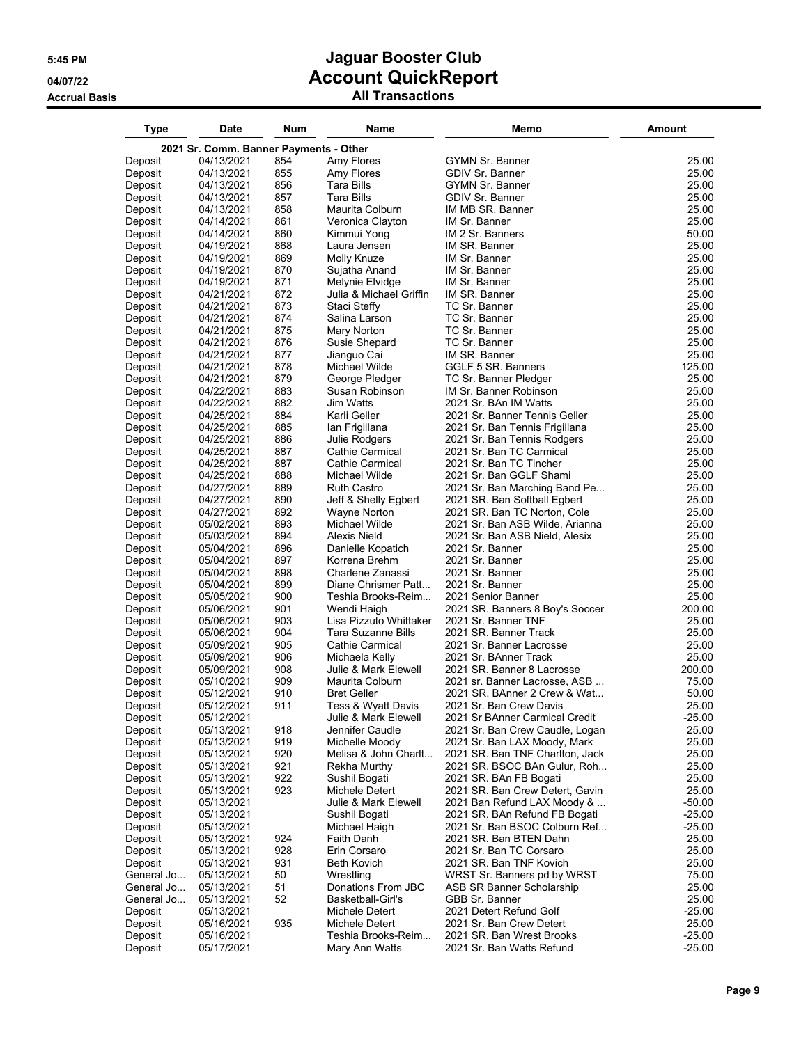| 2021 Sr. Comm. Banner Payments - Other<br>854<br>25.00<br>Deposit<br>04/13/2021<br>Amy Flores<br><b>GYMN Sr. Banner</b><br>855<br>25.00<br>Deposit<br>04/13/2021<br>Amy Flores<br>GDIV Sr. Banner<br>856<br><b>Tara Bills</b><br>25.00<br>Deposit<br>04/13/2021<br><b>GYMN Sr. Banner</b><br>857<br>25.00<br>Deposit<br>04/13/2021<br>Tara Bills<br><b>GDIV Sr. Banner</b><br>858<br>25.00<br>Deposit<br>04/13/2021<br>Maurita Colburn<br>IM MB SR. Banner<br>861<br>25.00<br>04/14/2021<br>Veronica Clayton<br>IM Sr. Banner<br>Deposit<br>860<br>50.00<br>04/14/2021<br>Kimmui Yong<br>IM 2 Sr. Banners<br>Deposit<br>868<br>25.00<br>04/19/2021<br>Laura Jensen<br>IM SR. Banner<br>Deposit<br>869<br>25.00<br>04/19/2021<br>Molly Knuze<br>IM Sr. Banner<br>Deposit<br>870<br>25.00<br>04/19/2021<br>Sujatha Anand<br>IM Sr. Banner<br>Deposit<br>871<br>25.00<br>04/19/2021<br>Melynie Elvidge<br>IM Sr. Banner<br>Deposit<br>872<br>25.00<br>04/21/2021<br>Julia & Michael Griffin<br>IM SR. Banner<br>Deposit<br>873<br>04/21/2021<br>Staci Steffy<br>TC Sr. Banner<br>25.00<br>Deposit<br>874<br>TC Sr. Banner<br>25.00<br>04/21/2021<br>Salina Larson<br>Deposit<br>875<br>25.00<br>04/21/2021<br>Mary Norton<br>TC Sr. Banner<br>Deposit<br>876<br>TC Sr. Banner<br>25.00<br>04/21/2021<br>Susie Shepard<br>Deposit<br>877<br>25.00<br>04/21/2021<br>Jianguo Cai<br>IM SR. Banner<br>Deposit<br>878<br>GGLF 5 SR. Banners<br>125.00<br>Deposit<br>04/21/2021<br>Michael Wilde<br>879<br>25.00<br>04/21/2021<br>George Pledger<br>TC Sr. Banner Pledger<br>Deposit<br>883<br>25.00<br>Deposit<br>04/22/2021<br>Susan Robinson<br>IM Sr. Banner Robinson<br>882<br>25.00<br>04/22/2021<br>Jim Watts<br>2021 Sr. BAn IM Watts<br>Deposit<br>884<br>25.00<br>04/25/2021<br>Karli Geller<br>2021 Sr. Banner Tennis Geller<br>Deposit<br>885<br>25.00<br>04/25/2021<br>lan Frigillana<br>2021 Sr. Ban Tennis Frigillana<br>Deposit<br>886<br>25.00<br>04/25/2021<br>Julie Rodgers<br>2021 Sr. Ban Tennis Rodgers<br>Deposit<br>887<br>25.00<br>04/25/2021<br>Cathie Carmical<br>2021 Sr. Ban TC Carmical<br>Deposit<br>887<br>25.00<br>04/25/2021<br>Cathie Carmical<br>2021 Sr. Ban TC Tincher<br>Deposit<br>888<br>25.00<br>04/25/2021<br>2021 Sr. Ban GGLF Shami<br>Deposit<br>Michael Wilde<br>889<br>25.00<br>04/27/2021<br><b>Ruth Castro</b><br>2021 Sr. Ban Marching Band Pe<br>Deposit<br>890<br>04/27/2021<br>Jeff & Shelly Egbert<br>2021 SR. Ban Softball Egbert<br>25.00<br>Deposit<br>892<br>25.00<br>04/27/2021<br>Wayne Norton<br>2021 SR. Ban TC Norton, Cole<br>Deposit<br>893<br>25.00<br>05/02/2021<br>Michael Wilde<br>2021 Sr. Ban ASB Wilde, Arianna<br>Deposit<br>894<br>25.00<br>05/03/2021<br>Alexis Nield<br>2021 Sr. Ban ASB Nield, Alesix<br>Deposit<br>896<br>25.00<br>05/04/2021<br>Danielle Kopatich<br>2021 Sr. Banner<br>Deposit<br>897<br>25.00<br>05/04/2021<br>Korrena Brehm<br>2021 Sr. Banner<br>Deposit<br>898<br>25.00<br>Deposit<br>05/04/2021<br>Charlene Zanassi<br>2021 Sr. Banner<br>899<br>25.00<br>Diane Chrismer Patt<br>2021 Sr. Banner<br>Deposit<br>05/04/2021<br>900<br>25.00<br>Deposit<br>05/05/2021<br>Teshia Brooks-Reim<br>2021 Senior Banner<br>901<br>05/06/2021<br>Wendi Haigh<br>2021 SR. Banners 8 Boy's Soccer<br>200.00<br>Deposit<br>903<br>Lisa Pizzuto Whittaker<br>25.00<br>05/06/2021<br>2021 Sr. Banner TNF<br>Deposit<br>904<br>25.00<br>05/06/2021<br>Tara Suzanne Bills<br>2021 SR. Banner Track<br>Deposit<br>905<br>25.00<br>05/09/2021<br>Cathie Carmical<br>2021 Sr. Banner Lacrosse<br>Deposit<br>906<br>25.00<br>Michaela Kelly<br>2021 Sr. BAnner Track<br>Deposit<br>05/09/2021<br>908<br>200.00<br>05/09/2021<br>Julie & Mark Elewell<br>2021 SR. Banner 8 Lacrosse<br>Deposit<br>909<br>75.00<br>Maurita Colburn<br>Deposit<br>05/10/2021<br>2021 sr. Banner Lacrosse, ASB<br>50.00<br>05/12/2021<br>910<br><b>Bret Geller</b><br>2021 SR. BAnner 2 Crew & Wat<br>Deposit<br>05/12/2021<br>911<br>Tess & Wyatt Davis<br>25.00<br>Deposit<br>2021 Sr. Ban Crew Davis<br>Julie & Mark Elewell<br>2021 Sr BAnner Carmical Credit<br>$-25.00$<br>Deposit<br>05/12/2021<br>25.00<br>Deposit<br>05/13/2021<br>918<br>Jennifer Caudle<br>2021 Sr. Ban Crew Caudle, Logan<br>919<br>25.00<br>Deposit<br>05/13/2021<br>Michelle Moody<br>2021 Sr. Ban LAX Moody, Mark<br>920<br>25.00<br>Deposit<br>Melisa & John Charlt<br>2021 SR. Ban TNF Charlton, Jack<br>05/13/2021<br>921<br>25.00<br>Deposit<br>05/13/2021<br>Rekha Murthy<br>2021 SR. BSOC BAn Gulur, Roh<br>922<br>25.00<br>Deposit<br>2021 SR. BAn FB Bogati<br>05/13/2021<br>Sushil Bogati<br>923<br>25.00<br>Deposit<br>05/13/2021<br>Michele Detert<br>2021 SR. Ban Crew Detert, Gavin<br>Deposit<br>05/13/2021<br>Julie & Mark Elewell<br>2021 Ban Refund LAX Moody &<br>$-50.00$<br>$-25.00$<br>Deposit<br>05/13/2021<br>Sushil Bogati<br>2021 SR. BAn Refund FB Bogati<br>$-25.00$<br>Deposit<br>05/13/2021<br>Michael Haigh<br>2021 Sr. Ban BSOC Colburn Ref<br>924<br>25.00<br>Deposit<br>Faith Danh<br>2021 SR. Ban BTEN Dahn<br>05/13/2021<br>928<br>25.00<br>Deposit<br>05/13/2021<br>Erin Corsaro<br>2021 Sr. Ban TC Corsaro<br>931<br>2021 SR. Ban TNF Kovich<br>25.00<br>Deposit<br><b>Beth Kovich</b><br>05/13/2021<br>75.00<br>General Jo<br>05/13/2021<br>50<br>Wrestling<br>WRST Sr. Banners pd by WRST<br>51<br>General Jo<br>Donations From JBC<br>ASB SR Banner Scholarship<br>25.00<br>05/13/2021<br>52<br>General Jo<br>05/13/2021<br>Basketball-Girl's<br>GBB Sr. Banner<br>25.00<br>Deposit<br>Michele Detert<br>2021 Detert Refund Golf<br>$-25.00$<br>05/13/2021<br>935<br>25.00<br>Deposit<br>05/16/2021<br>Michele Detert<br>2021 Sr. Ban Crew Detert<br>$-25.00$<br>Deposit<br>05/16/2021<br>Teshia Brooks-Reim<br>2021 SR. Ban Wrest Brooks | Type    | <b>Date</b> | Num | Name           | Memo                      | Amount   |
|----------------------------------------------------------------------------------------------------------------------------------------------------------------------------------------------------------------------------------------------------------------------------------------------------------------------------------------------------------------------------------------------------------------------------------------------------------------------------------------------------------------------------------------------------------------------------------------------------------------------------------------------------------------------------------------------------------------------------------------------------------------------------------------------------------------------------------------------------------------------------------------------------------------------------------------------------------------------------------------------------------------------------------------------------------------------------------------------------------------------------------------------------------------------------------------------------------------------------------------------------------------------------------------------------------------------------------------------------------------------------------------------------------------------------------------------------------------------------------------------------------------------------------------------------------------------------------------------------------------------------------------------------------------------------------------------------------------------------------------------------------------------------------------------------------------------------------------------------------------------------------------------------------------------------------------------------------------------------------------------------------------------------------------------------------------------------------------------------------------------------------------------------------------------------------------------------------------------------------------------------------------------------------------------------------------------------------------------------------------------------------------------------------------------------------------------------------------------------------------------------------------------------------------------------------------------------------------------------------------------------------------------------------------------------------------------------------------------------------------------------------------------------------------------------------------------------------------------------------------------------------------------------------------------------------------------------------------------------------------------------------------------------------------------------------------------------------------------------------------------------------------------------------------------------------------------------------------------------------------------------------------------------------------------------------------------------------------------------------------------------------------------------------------------------------------------------------------------------------------------------------------------------------------------------------------------------------------------------------------------------------------------------------------------------------------------------------------------------------------------------------------------------------------------------------------------------------------------------------------------------------------------------------------------------------------------------------------------------------------------------------------------------------------------------------------------------------------------------------------------------------------------------------------------------------------------------------------------------------------------------------------------------------------------------------------------------------------------------------------------------------------------------------------------------------------------------------------------------------------------------------------------------------------------------------------------------------------------------------------------------------------------------------------------------------------------------------------------------------------------------------------------------------------------------------------------------------------------------------------------------------------------------------------------------------------------------------------------------------------------------------------------------------------------------------------------------------------------------------------------------------------------------------------------------------------------------------------------------------------------------------------------------------------------------------------------------------------------------------------------------------------------------------------------------------------------------------------------------------------------------------------------------------------------------------------------------------------------------------------------------------------------------------------------------------------------------------------------------------------------------------------------------------------------------------------------|---------|-------------|-----|----------------|---------------------------|----------|
|                                                                                                                                                                                                                                                                                                                                                                                                                                                                                                                                                                                                                                                                                                                                                                                                                                                                                                                                                                                                                                                                                                                                                                                                                                                                                                                                                                                                                                                                                                                                                                                                                                                                                                                                                                                                                                                                                                                                                                                                                                                                                                                                                                                                                                                                                                                                                                                                                                                                                                                                                                                                                                                                                                                                                                                                                                                                                                                                                                                                                                                                                                                                                                                                                                                                                                                                                                                                                                                                                                                                                                                                                                                                                                                                                                                                                                                                                                                                                                                                                                                                                                                                                                                                                                                                                                                                                                                                                                                                                                                                                                                                                                                                                                                                                                                                                                                                                                                                                                                                                                                                                                                                                                                                                                                                                                                                                                                                                                                                                                                                                                                                                                                                                                                                                                                                                      |         |             |     |                |                           |          |
|                                                                                                                                                                                                                                                                                                                                                                                                                                                                                                                                                                                                                                                                                                                                                                                                                                                                                                                                                                                                                                                                                                                                                                                                                                                                                                                                                                                                                                                                                                                                                                                                                                                                                                                                                                                                                                                                                                                                                                                                                                                                                                                                                                                                                                                                                                                                                                                                                                                                                                                                                                                                                                                                                                                                                                                                                                                                                                                                                                                                                                                                                                                                                                                                                                                                                                                                                                                                                                                                                                                                                                                                                                                                                                                                                                                                                                                                                                                                                                                                                                                                                                                                                                                                                                                                                                                                                                                                                                                                                                                                                                                                                                                                                                                                                                                                                                                                                                                                                                                                                                                                                                                                                                                                                                                                                                                                                                                                                                                                                                                                                                                                                                                                                                                                                                                                                      |         |             |     |                |                           |          |
|                                                                                                                                                                                                                                                                                                                                                                                                                                                                                                                                                                                                                                                                                                                                                                                                                                                                                                                                                                                                                                                                                                                                                                                                                                                                                                                                                                                                                                                                                                                                                                                                                                                                                                                                                                                                                                                                                                                                                                                                                                                                                                                                                                                                                                                                                                                                                                                                                                                                                                                                                                                                                                                                                                                                                                                                                                                                                                                                                                                                                                                                                                                                                                                                                                                                                                                                                                                                                                                                                                                                                                                                                                                                                                                                                                                                                                                                                                                                                                                                                                                                                                                                                                                                                                                                                                                                                                                                                                                                                                                                                                                                                                                                                                                                                                                                                                                                                                                                                                                                                                                                                                                                                                                                                                                                                                                                                                                                                                                                                                                                                                                                                                                                                                                                                                                                                      |         |             |     |                |                           |          |
|                                                                                                                                                                                                                                                                                                                                                                                                                                                                                                                                                                                                                                                                                                                                                                                                                                                                                                                                                                                                                                                                                                                                                                                                                                                                                                                                                                                                                                                                                                                                                                                                                                                                                                                                                                                                                                                                                                                                                                                                                                                                                                                                                                                                                                                                                                                                                                                                                                                                                                                                                                                                                                                                                                                                                                                                                                                                                                                                                                                                                                                                                                                                                                                                                                                                                                                                                                                                                                                                                                                                                                                                                                                                                                                                                                                                                                                                                                                                                                                                                                                                                                                                                                                                                                                                                                                                                                                                                                                                                                                                                                                                                                                                                                                                                                                                                                                                                                                                                                                                                                                                                                                                                                                                                                                                                                                                                                                                                                                                                                                                                                                                                                                                                                                                                                                                                      |         |             |     |                |                           |          |
|                                                                                                                                                                                                                                                                                                                                                                                                                                                                                                                                                                                                                                                                                                                                                                                                                                                                                                                                                                                                                                                                                                                                                                                                                                                                                                                                                                                                                                                                                                                                                                                                                                                                                                                                                                                                                                                                                                                                                                                                                                                                                                                                                                                                                                                                                                                                                                                                                                                                                                                                                                                                                                                                                                                                                                                                                                                                                                                                                                                                                                                                                                                                                                                                                                                                                                                                                                                                                                                                                                                                                                                                                                                                                                                                                                                                                                                                                                                                                                                                                                                                                                                                                                                                                                                                                                                                                                                                                                                                                                                                                                                                                                                                                                                                                                                                                                                                                                                                                                                                                                                                                                                                                                                                                                                                                                                                                                                                                                                                                                                                                                                                                                                                                                                                                                                                                      |         |             |     |                |                           |          |
|                                                                                                                                                                                                                                                                                                                                                                                                                                                                                                                                                                                                                                                                                                                                                                                                                                                                                                                                                                                                                                                                                                                                                                                                                                                                                                                                                                                                                                                                                                                                                                                                                                                                                                                                                                                                                                                                                                                                                                                                                                                                                                                                                                                                                                                                                                                                                                                                                                                                                                                                                                                                                                                                                                                                                                                                                                                                                                                                                                                                                                                                                                                                                                                                                                                                                                                                                                                                                                                                                                                                                                                                                                                                                                                                                                                                                                                                                                                                                                                                                                                                                                                                                                                                                                                                                                                                                                                                                                                                                                                                                                                                                                                                                                                                                                                                                                                                                                                                                                                                                                                                                                                                                                                                                                                                                                                                                                                                                                                                                                                                                                                                                                                                                                                                                                                                                      |         |             |     |                |                           |          |
|                                                                                                                                                                                                                                                                                                                                                                                                                                                                                                                                                                                                                                                                                                                                                                                                                                                                                                                                                                                                                                                                                                                                                                                                                                                                                                                                                                                                                                                                                                                                                                                                                                                                                                                                                                                                                                                                                                                                                                                                                                                                                                                                                                                                                                                                                                                                                                                                                                                                                                                                                                                                                                                                                                                                                                                                                                                                                                                                                                                                                                                                                                                                                                                                                                                                                                                                                                                                                                                                                                                                                                                                                                                                                                                                                                                                                                                                                                                                                                                                                                                                                                                                                                                                                                                                                                                                                                                                                                                                                                                                                                                                                                                                                                                                                                                                                                                                                                                                                                                                                                                                                                                                                                                                                                                                                                                                                                                                                                                                                                                                                                                                                                                                                                                                                                                                                      |         |             |     |                |                           |          |
|                                                                                                                                                                                                                                                                                                                                                                                                                                                                                                                                                                                                                                                                                                                                                                                                                                                                                                                                                                                                                                                                                                                                                                                                                                                                                                                                                                                                                                                                                                                                                                                                                                                                                                                                                                                                                                                                                                                                                                                                                                                                                                                                                                                                                                                                                                                                                                                                                                                                                                                                                                                                                                                                                                                                                                                                                                                                                                                                                                                                                                                                                                                                                                                                                                                                                                                                                                                                                                                                                                                                                                                                                                                                                                                                                                                                                                                                                                                                                                                                                                                                                                                                                                                                                                                                                                                                                                                                                                                                                                                                                                                                                                                                                                                                                                                                                                                                                                                                                                                                                                                                                                                                                                                                                                                                                                                                                                                                                                                                                                                                                                                                                                                                                                                                                                                                                      |         |             |     |                |                           |          |
|                                                                                                                                                                                                                                                                                                                                                                                                                                                                                                                                                                                                                                                                                                                                                                                                                                                                                                                                                                                                                                                                                                                                                                                                                                                                                                                                                                                                                                                                                                                                                                                                                                                                                                                                                                                                                                                                                                                                                                                                                                                                                                                                                                                                                                                                                                                                                                                                                                                                                                                                                                                                                                                                                                                                                                                                                                                                                                                                                                                                                                                                                                                                                                                                                                                                                                                                                                                                                                                                                                                                                                                                                                                                                                                                                                                                                                                                                                                                                                                                                                                                                                                                                                                                                                                                                                                                                                                                                                                                                                                                                                                                                                                                                                                                                                                                                                                                                                                                                                                                                                                                                                                                                                                                                                                                                                                                                                                                                                                                                                                                                                                                                                                                                                                                                                                                                      |         |             |     |                |                           |          |
|                                                                                                                                                                                                                                                                                                                                                                                                                                                                                                                                                                                                                                                                                                                                                                                                                                                                                                                                                                                                                                                                                                                                                                                                                                                                                                                                                                                                                                                                                                                                                                                                                                                                                                                                                                                                                                                                                                                                                                                                                                                                                                                                                                                                                                                                                                                                                                                                                                                                                                                                                                                                                                                                                                                                                                                                                                                                                                                                                                                                                                                                                                                                                                                                                                                                                                                                                                                                                                                                                                                                                                                                                                                                                                                                                                                                                                                                                                                                                                                                                                                                                                                                                                                                                                                                                                                                                                                                                                                                                                                                                                                                                                                                                                                                                                                                                                                                                                                                                                                                                                                                                                                                                                                                                                                                                                                                                                                                                                                                                                                                                                                                                                                                                                                                                                                                                      |         |             |     |                |                           |          |
|                                                                                                                                                                                                                                                                                                                                                                                                                                                                                                                                                                                                                                                                                                                                                                                                                                                                                                                                                                                                                                                                                                                                                                                                                                                                                                                                                                                                                                                                                                                                                                                                                                                                                                                                                                                                                                                                                                                                                                                                                                                                                                                                                                                                                                                                                                                                                                                                                                                                                                                                                                                                                                                                                                                                                                                                                                                                                                                                                                                                                                                                                                                                                                                                                                                                                                                                                                                                                                                                                                                                                                                                                                                                                                                                                                                                                                                                                                                                                                                                                                                                                                                                                                                                                                                                                                                                                                                                                                                                                                                                                                                                                                                                                                                                                                                                                                                                                                                                                                                                                                                                                                                                                                                                                                                                                                                                                                                                                                                                                                                                                                                                                                                                                                                                                                                                                      |         |             |     |                |                           |          |
|                                                                                                                                                                                                                                                                                                                                                                                                                                                                                                                                                                                                                                                                                                                                                                                                                                                                                                                                                                                                                                                                                                                                                                                                                                                                                                                                                                                                                                                                                                                                                                                                                                                                                                                                                                                                                                                                                                                                                                                                                                                                                                                                                                                                                                                                                                                                                                                                                                                                                                                                                                                                                                                                                                                                                                                                                                                                                                                                                                                                                                                                                                                                                                                                                                                                                                                                                                                                                                                                                                                                                                                                                                                                                                                                                                                                                                                                                                                                                                                                                                                                                                                                                                                                                                                                                                                                                                                                                                                                                                                                                                                                                                                                                                                                                                                                                                                                                                                                                                                                                                                                                                                                                                                                                                                                                                                                                                                                                                                                                                                                                                                                                                                                                                                                                                                                                      |         |             |     |                |                           |          |
|                                                                                                                                                                                                                                                                                                                                                                                                                                                                                                                                                                                                                                                                                                                                                                                                                                                                                                                                                                                                                                                                                                                                                                                                                                                                                                                                                                                                                                                                                                                                                                                                                                                                                                                                                                                                                                                                                                                                                                                                                                                                                                                                                                                                                                                                                                                                                                                                                                                                                                                                                                                                                                                                                                                                                                                                                                                                                                                                                                                                                                                                                                                                                                                                                                                                                                                                                                                                                                                                                                                                                                                                                                                                                                                                                                                                                                                                                                                                                                                                                                                                                                                                                                                                                                                                                                                                                                                                                                                                                                                                                                                                                                                                                                                                                                                                                                                                                                                                                                                                                                                                                                                                                                                                                                                                                                                                                                                                                                                                                                                                                                                                                                                                                                                                                                                                                      |         |             |     |                |                           |          |
|                                                                                                                                                                                                                                                                                                                                                                                                                                                                                                                                                                                                                                                                                                                                                                                                                                                                                                                                                                                                                                                                                                                                                                                                                                                                                                                                                                                                                                                                                                                                                                                                                                                                                                                                                                                                                                                                                                                                                                                                                                                                                                                                                                                                                                                                                                                                                                                                                                                                                                                                                                                                                                                                                                                                                                                                                                                                                                                                                                                                                                                                                                                                                                                                                                                                                                                                                                                                                                                                                                                                                                                                                                                                                                                                                                                                                                                                                                                                                                                                                                                                                                                                                                                                                                                                                                                                                                                                                                                                                                                                                                                                                                                                                                                                                                                                                                                                                                                                                                                                                                                                                                                                                                                                                                                                                                                                                                                                                                                                                                                                                                                                                                                                                                                                                                                                                      |         |             |     |                |                           |          |
|                                                                                                                                                                                                                                                                                                                                                                                                                                                                                                                                                                                                                                                                                                                                                                                                                                                                                                                                                                                                                                                                                                                                                                                                                                                                                                                                                                                                                                                                                                                                                                                                                                                                                                                                                                                                                                                                                                                                                                                                                                                                                                                                                                                                                                                                                                                                                                                                                                                                                                                                                                                                                                                                                                                                                                                                                                                                                                                                                                                                                                                                                                                                                                                                                                                                                                                                                                                                                                                                                                                                                                                                                                                                                                                                                                                                                                                                                                                                                                                                                                                                                                                                                                                                                                                                                                                                                                                                                                                                                                                                                                                                                                                                                                                                                                                                                                                                                                                                                                                                                                                                                                                                                                                                                                                                                                                                                                                                                                                                                                                                                                                                                                                                                                                                                                                                                      |         |             |     |                |                           |          |
|                                                                                                                                                                                                                                                                                                                                                                                                                                                                                                                                                                                                                                                                                                                                                                                                                                                                                                                                                                                                                                                                                                                                                                                                                                                                                                                                                                                                                                                                                                                                                                                                                                                                                                                                                                                                                                                                                                                                                                                                                                                                                                                                                                                                                                                                                                                                                                                                                                                                                                                                                                                                                                                                                                                                                                                                                                                                                                                                                                                                                                                                                                                                                                                                                                                                                                                                                                                                                                                                                                                                                                                                                                                                                                                                                                                                                                                                                                                                                                                                                                                                                                                                                                                                                                                                                                                                                                                                                                                                                                                                                                                                                                                                                                                                                                                                                                                                                                                                                                                                                                                                                                                                                                                                                                                                                                                                                                                                                                                                                                                                                                                                                                                                                                                                                                                                                      |         |             |     |                |                           |          |
|                                                                                                                                                                                                                                                                                                                                                                                                                                                                                                                                                                                                                                                                                                                                                                                                                                                                                                                                                                                                                                                                                                                                                                                                                                                                                                                                                                                                                                                                                                                                                                                                                                                                                                                                                                                                                                                                                                                                                                                                                                                                                                                                                                                                                                                                                                                                                                                                                                                                                                                                                                                                                                                                                                                                                                                                                                                                                                                                                                                                                                                                                                                                                                                                                                                                                                                                                                                                                                                                                                                                                                                                                                                                                                                                                                                                                                                                                                                                                                                                                                                                                                                                                                                                                                                                                                                                                                                                                                                                                                                                                                                                                                                                                                                                                                                                                                                                                                                                                                                                                                                                                                                                                                                                                                                                                                                                                                                                                                                                                                                                                                                                                                                                                                                                                                                                                      |         |             |     |                |                           |          |
|                                                                                                                                                                                                                                                                                                                                                                                                                                                                                                                                                                                                                                                                                                                                                                                                                                                                                                                                                                                                                                                                                                                                                                                                                                                                                                                                                                                                                                                                                                                                                                                                                                                                                                                                                                                                                                                                                                                                                                                                                                                                                                                                                                                                                                                                                                                                                                                                                                                                                                                                                                                                                                                                                                                                                                                                                                                                                                                                                                                                                                                                                                                                                                                                                                                                                                                                                                                                                                                                                                                                                                                                                                                                                                                                                                                                                                                                                                                                                                                                                                                                                                                                                                                                                                                                                                                                                                                                                                                                                                                                                                                                                                                                                                                                                                                                                                                                                                                                                                                                                                                                                                                                                                                                                                                                                                                                                                                                                                                                                                                                                                                                                                                                                                                                                                                                                      |         |             |     |                |                           |          |
|                                                                                                                                                                                                                                                                                                                                                                                                                                                                                                                                                                                                                                                                                                                                                                                                                                                                                                                                                                                                                                                                                                                                                                                                                                                                                                                                                                                                                                                                                                                                                                                                                                                                                                                                                                                                                                                                                                                                                                                                                                                                                                                                                                                                                                                                                                                                                                                                                                                                                                                                                                                                                                                                                                                                                                                                                                                                                                                                                                                                                                                                                                                                                                                                                                                                                                                                                                                                                                                                                                                                                                                                                                                                                                                                                                                                                                                                                                                                                                                                                                                                                                                                                                                                                                                                                                                                                                                                                                                                                                                                                                                                                                                                                                                                                                                                                                                                                                                                                                                                                                                                                                                                                                                                                                                                                                                                                                                                                                                                                                                                                                                                                                                                                                                                                                                                                      |         |             |     |                |                           |          |
|                                                                                                                                                                                                                                                                                                                                                                                                                                                                                                                                                                                                                                                                                                                                                                                                                                                                                                                                                                                                                                                                                                                                                                                                                                                                                                                                                                                                                                                                                                                                                                                                                                                                                                                                                                                                                                                                                                                                                                                                                                                                                                                                                                                                                                                                                                                                                                                                                                                                                                                                                                                                                                                                                                                                                                                                                                                                                                                                                                                                                                                                                                                                                                                                                                                                                                                                                                                                                                                                                                                                                                                                                                                                                                                                                                                                                                                                                                                                                                                                                                                                                                                                                                                                                                                                                                                                                                                                                                                                                                                                                                                                                                                                                                                                                                                                                                                                                                                                                                                                                                                                                                                                                                                                                                                                                                                                                                                                                                                                                                                                                                                                                                                                                                                                                                                                                      |         |             |     |                |                           |          |
|                                                                                                                                                                                                                                                                                                                                                                                                                                                                                                                                                                                                                                                                                                                                                                                                                                                                                                                                                                                                                                                                                                                                                                                                                                                                                                                                                                                                                                                                                                                                                                                                                                                                                                                                                                                                                                                                                                                                                                                                                                                                                                                                                                                                                                                                                                                                                                                                                                                                                                                                                                                                                                                                                                                                                                                                                                                                                                                                                                                                                                                                                                                                                                                                                                                                                                                                                                                                                                                                                                                                                                                                                                                                                                                                                                                                                                                                                                                                                                                                                                                                                                                                                                                                                                                                                                                                                                                                                                                                                                                                                                                                                                                                                                                                                                                                                                                                                                                                                                                                                                                                                                                                                                                                                                                                                                                                                                                                                                                                                                                                                                                                                                                                                                                                                                                                                      |         |             |     |                |                           |          |
|                                                                                                                                                                                                                                                                                                                                                                                                                                                                                                                                                                                                                                                                                                                                                                                                                                                                                                                                                                                                                                                                                                                                                                                                                                                                                                                                                                                                                                                                                                                                                                                                                                                                                                                                                                                                                                                                                                                                                                                                                                                                                                                                                                                                                                                                                                                                                                                                                                                                                                                                                                                                                                                                                                                                                                                                                                                                                                                                                                                                                                                                                                                                                                                                                                                                                                                                                                                                                                                                                                                                                                                                                                                                                                                                                                                                                                                                                                                                                                                                                                                                                                                                                                                                                                                                                                                                                                                                                                                                                                                                                                                                                                                                                                                                                                                                                                                                                                                                                                                                                                                                                                                                                                                                                                                                                                                                                                                                                                                                                                                                                                                                                                                                                                                                                                                                                      |         |             |     |                |                           |          |
|                                                                                                                                                                                                                                                                                                                                                                                                                                                                                                                                                                                                                                                                                                                                                                                                                                                                                                                                                                                                                                                                                                                                                                                                                                                                                                                                                                                                                                                                                                                                                                                                                                                                                                                                                                                                                                                                                                                                                                                                                                                                                                                                                                                                                                                                                                                                                                                                                                                                                                                                                                                                                                                                                                                                                                                                                                                                                                                                                                                                                                                                                                                                                                                                                                                                                                                                                                                                                                                                                                                                                                                                                                                                                                                                                                                                                                                                                                                                                                                                                                                                                                                                                                                                                                                                                                                                                                                                                                                                                                                                                                                                                                                                                                                                                                                                                                                                                                                                                                                                                                                                                                                                                                                                                                                                                                                                                                                                                                                                                                                                                                                                                                                                                                                                                                                                                      |         |             |     |                |                           |          |
|                                                                                                                                                                                                                                                                                                                                                                                                                                                                                                                                                                                                                                                                                                                                                                                                                                                                                                                                                                                                                                                                                                                                                                                                                                                                                                                                                                                                                                                                                                                                                                                                                                                                                                                                                                                                                                                                                                                                                                                                                                                                                                                                                                                                                                                                                                                                                                                                                                                                                                                                                                                                                                                                                                                                                                                                                                                                                                                                                                                                                                                                                                                                                                                                                                                                                                                                                                                                                                                                                                                                                                                                                                                                                                                                                                                                                                                                                                                                                                                                                                                                                                                                                                                                                                                                                                                                                                                                                                                                                                                                                                                                                                                                                                                                                                                                                                                                                                                                                                                                                                                                                                                                                                                                                                                                                                                                                                                                                                                                                                                                                                                                                                                                                                                                                                                                                      |         |             |     |                |                           |          |
|                                                                                                                                                                                                                                                                                                                                                                                                                                                                                                                                                                                                                                                                                                                                                                                                                                                                                                                                                                                                                                                                                                                                                                                                                                                                                                                                                                                                                                                                                                                                                                                                                                                                                                                                                                                                                                                                                                                                                                                                                                                                                                                                                                                                                                                                                                                                                                                                                                                                                                                                                                                                                                                                                                                                                                                                                                                                                                                                                                                                                                                                                                                                                                                                                                                                                                                                                                                                                                                                                                                                                                                                                                                                                                                                                                                                                                                                                                                                                                                                                                                                                                                                                                                                                                                                                                                                                                                                                                                                                                                                                                                                                                                                                                                                                                                                                                                                                                                                                                                                                                                                                                                                                                                                                                                                                                                                                                                                                                                                                                                                                                                                                                                                                                                                                                                                                      |         |             |     |                |                           |          |
|                                                                                                                                                                                                                                                                                                                                                                                                                                                                                                                                                                                                                                                                                                                                                                                                                                                                                                                                                                                                                                                                                                                                                                                                                                                                                                                                                                                                                                                                                                                                                                                                                                                                                                                                                                                                                                                                                                                                                                                                                                                                                                                                                                                                                                                                                                                                                                                                                                                                                                                                                                                                                                                                                                                                                                                                                                                                                                                                                                                                                                                                                                                                                                                                                                                                                                                                                                                                                                                                                                                                                                                                                                                                                                                                                                                                                                                                                                                                                                                                                                                                                                                                                                                                                                                                                                                                                                                                                                                                                                                                                                                                                                                                                                                                                                                                                                                                                                                                                                                                                                                                                                                                                                                                                                                                                                                                                                                                                                                                                                                                                                                                                                                                                                                                                                                                                      |         |             |     |                |                           |          |
|                                                                                                                                                                                                                                                                                                                                                                                                                                                                                                                                                                                                                                                                                                                                                                                                                                                                                                                                                                                                                                                                                                                                                                                                                                                                                                                                                                                                                                                                                                                                                                                                                                                                                                                                                                                                                                                                                                                                                                                                                                                                                                                                                                                                                                                                                                                                                                                                                                                                                                                                                                                                                                                                                                                                                                                                                                                                                                                                                                                                                                                                                                                                                                                                                                                                                                                                                                                                                                                                                                                                                                                                                                                                                                                                                                                                                                                                                                                                                                                                                                                                                                                                                                                                                                                                                                                                                                                                                                                                                                                                                                                                                                                                                                                                                                                                                                                                                                                                                                                                                                                                                                                                                                                                                                                                                                                                                                                                                                                                                                                                                                                                                                                                                                                                                                                                                      |         |             |     |                |                           |          |
|                                                                                                                                                                                                                                                                                                                                                                                                                                                                                                                                                                                                                                                                                                                                                                                                                                                                                                                                                                                                                                                                                                                                                                                                                                                                                                                                                                                                                                                                                                                                                                                                                                                                                                                                                                                                                                                                                                                                                                                                                                                                                                                                                                                                                                                                                                                                                                                                                                                                                                                                                                                                                                                                                                                                                                                                                                                                                                                                                                                                                                                                                                                                                                                                                                                                                                                                                                                                                                                                                                                                                                                                                                                                                                                                                                                                                                                                                                                                                                                                                                                                                                                                                                                                                                                                                                                                                                                                                                                                                                                                                                                                                                                                                                                                                                                                                                                                                                                                                                                                                                                                                                                                                                                                                                                                                                                                                                                                                                                                                                                                                                                                                                                                                                                                                                                                                      |         |             |     |                |                           |          |
|                                                                                                                                                                                                                                                                                                                                                                                                                                                                                                                                                                                                                                                                                                                                                                                                                                                                                                                                                                                                                                                                                                                                                                                                                                                                                                                                                                                                                                                                                                                                                                                                                                                                                                                                                                                                                                                                                                                                                                                                                                                                                                                                                                                                                                                                                                                                                                                                                                                                                                                                                                                                                                                                                                                                                                                                                                                                                                                                                                                                                                                                                                                                                                                                                                                                                                                                                                                                                                                                                                                                                                                                                                                                                                                                                                                                                                                                                                                                                                                                                                                                                                                                                                                                                                                                                                                                                                                                                                                                                                                                                                                                                                                                                                                                                                                                                                                                                                                                                                                                                                                                                                                                                                                                                                                                                                                                                                                                                                                                                                                                                                                                                                                                                                                                                                                                                      |         |             |     |                |                           |          |
|                                                                                                                                                                                                                                                                                                                                                                                                                                                                                                                                                                                                                                                                                                                                                                                                                                                                                                                                                                                                                                                                                                                                                                                                                                                                                                                                                                                                                                                                                                                                                                                                                                                                                                                                                                                                                                                                                                                                                                                                                                                                                                                                                                                                                                                                                                                                                                                                                                                                                                                                                                                                                                                                                                                                                                                                                                                                                                                                                                                                                                                                                                                                                                                                                                                                                                                                                                                                                                                                                                                                                                                                                                                                                                                                                                                                                                                                                                                                                                                                                                                                                                                                                                                                                                                                                                                                                                                                                                                                                                                                                                                                                                                                                                                                                                                                                                                                                                                                                                                                                                                                                                                                                                                                                                                                                                                                                                                                                                                                                                                                                                                                                                                                                                                                                                                                                      |         |             |     |                |                           |          |
|                                                                                                                                                                                                                                                                                                                                                                                                                                                                                                                                                                                                                                                                                                                                                                                                                                                                                                                                                                                                                                                                                                                                                                                                                                                                                                                                                                                                                                                                                                                                                                                                                                                                                                                                                                                                                                                                                                                                                                                                                                                                                                                                                                                                                                                                                                                                                                                                                                                                                                                                                                                                                                                                                                                                                                                                                                                                                                                                                                                                                                                                                                                                                                                                                                                                                                                                                                                                                                                                                                                                                                                                                                                                                                                                                                                                                                                                                                                                                                                                                                                                                                                                                                                                                                                                                                                                                                                                                                                                                                                                                                                                                                                                                                                                                                                                                                                                                                                                                                                                                                                                                                                                                                                                                                                                                                                                                                                                                                                                                                                                                                                                                                                                                                                                                                                                                      |         |             |     |                |                           |          |
|                                                                                                                                                                                                                                                                                                                                                                                                                                                                                                                                                                                                                                                                                                                                                                                                                                                                                                                                                                                                                                                                                                                                                                                                                                                                                                                                                                                                                                                                                                                                                                                                                                                                                                                                                                                                                                                                                                                                                                                                                                                                                                                                                                                                                                                                                                                                                                                                                                                                                                                                                                                                                                                                                                                                                                                                                                                                                                                                                                                                                                                                                                                                                                                                                                                                                                                                                                                                                                                                                                                                                                                                                                                                                                                                                                                                                                                                                                                                                                                                                                                                                                                                                                                                                                                                                                                                                                                                                                                                                                                                                                                                                                                                                                                                                                                                                                                                                                                                                                                                                                                                                                                                                                                                                                                                                                                                                                                                                                                                                                                                                                                                                                                                                                                                                                                                                      |         |             |     |                |                           |          |
|                                                                                                                                                                                                                                                                                                                                                                                                                                                                                                                                                                                                                                                                                                                                                                                                                                                                                                                                                                                                                                                                                                                                                                                                                                                                                                                                                                                                                                                                                                                                                                                                                                                                                                                                                                                                                                                                                                                                                                                                                                                                                                                                                                                                                                                                                                                                                                                                                                                                                                                                                                                                                                                                                                                                                                                                                                                                                                                                                                                                                                                                                                                                                                                                                                                                                                                                                                                                                                                                                                                                                                                                                                                                                                                                                                                                                                                                                                                                                                                                                                                                                                                                                                                                                                                                                                                                                                                                                                                                                                                                                                                                                                                                                                                                                                                                                                                                                                                                                                                                                                                                                                                                                                                                                                                                                                                                                                                                                                                                                                                                                                                                                                                                                                                                                                                                                      |         |             |     |                |                           |          |
|                                                                                                                                                                                                                                                                                                                                                                                                                                                                                                                                                                                                                                                                                                                                                                                                                                                                                                                                                                                                                                                                                                                                                                                                                                                                                                                                                                                                                                                                                                                                                                                                                                                                                                                                                                                                                                                                                                                                                                                                                                                                                                                                                                                                                                                                                                                                                                                                                                                                                                                                                                                                                                                                                                                                                                                                                                                                                                                                                                                                                                                                                                                                                                                                                                                                                                                                                                                                                                                                                                                                                                                                                                                                                                                                                                                                                                                                                                                                                                                                                                                                                                                                                                                                                                                                                                                                                                                                                                                                                                                                                                                                                                                                                                                                                                                                                                                                                                                                                                                                                                                                                                                                                                                                                                                                                                                                                                                                                                                                                                                                                                                                                                                                                                                                                                                                                      |         |             |     |                |                           |          |
|                                                                                                                                                                                                                                                                                                                                                                                                                                                                                                                                                                                                                                                                                                                                                                                                                                                                                                                                                                                                                                                                                                                                                                                                                                                                                                                                                                                                                                                                                                                                                                                                                                                                                                                                                                                                                                                                                                                                                                                                                                                                                                                                                                                                                                                                                                                                                                                                                                                                                                                                                                                                                                                                                                                                                                                                                                                                                                                                                                                                                                                                                                                                                                                                                                                                                                                                                                                                                                                                                                                                                                                                                                                                                                                                                                                                                                                                                                                                                                                                                                                                                                                                                                                                                                                                                                                                                                                                                                                                                                                                                                                                                                                                                                                                                                                                                                                                                                                                                                                                                                                                                                                                                                                                                                                                                                                                                                                                                                                                                                                                                                                                                                                                                                                                                                                                                      |         |             |     |                |                           |          |
|                                                                                                                                                                                                                                                                                                                                                                                                                                                                                                                                                                                                                                                                                                                                                                                                                                                                                                                                                                                                                                                                                                                                                                                                                                                                                                                                                                                                                                                                                                                                                                                                                                                                                                                                                                                                                                                                                                                                                                                                                                                                                                                                                                                                                                                                                                                                                                                                                                                                                                                                                                                                                                                                                                                                                                                                                                                                                                                                                                                                                                                                                                                                                                                                                                                                                                                                                                                                                                                                                                                                                                                                                                                                                                                                                                                                                                                                                                                                                                                                                                                                                                                                                                                                                                                                                                                                                                                                                                                                                                                                                                                                                                                                                                                                                                                                                                                                                                                                                                                                                                                                                                                                                                                                                                                                                                                                                                                                                                                                                                                                                                                                                                                                                                                                                                                                                      |         |             |     |                |                           |          |
|                                                                                                                                                                                                                                                                                                                                                                                                                                                                                                                                                                                                                                                                                                                                                                                                                                                                                                                                                                                                                                                                                                                                                                                                                                                                                                                                                                                                                                                                                                                                                                                                                                                                                                                                                                                                                                                                                                                                                                                                                                                                                                                                                                                                                                                                                                                                                                                                                                                                                                                                                                                                                                                                                                                                                                                                                                                                                                                                                                                                                                                                                                                                                                                                                                                                                                                                                                                                                                                                                                                                                                                                                                                                                                                                                                                                                                                                                                                                                                                                                                                                                                                                                                                                                                                                                                                                                                                                                                                                                                                                                                                                                                                                                                                                                                                                                                                                                                                                                                                                                                                                                                                                                                                                                                                                                                                                                                                                                                                                                                                                                                                                                                                                                                                                                                                                                      |         |             |     |                |                           |          |
|                                                                                                                                                                                                                                                                                                                                                                                                                                                                                                                                                                                                                                                                                                                                                                                                                                                                                                                                                                                                                                                                                                                                                                                                                                                                                                                                                                                                                                                                                                                                                                                                                                                                                                                                                                                                                                                                                                                                                                                                                                                                                                                                                                                                                                                                                                                                                                                                                                                                                                                                                                                                                                                                                                                                                                                                                                                                                                                                                                                                                                                                                                                                                                                                                                                                                                                                                                                                                                                                                                                                                                                                                                                                                                                                                                                                                                                                                                                                                                                                                                                                                                                                                                                                                                                                                                                                                                                                                                                                                                                                                                                                                                                                                                                                                                                                                                                                                                                                                                                                                                                                                                                                                                                                                                                                                                                                                                                                                                                                                                                                                                                                                                                                                                                                                                                                                      |         |             |     |                |                           |          |
|                                                                                                                                                                                                                                                                                                                                                                                                                                                                                                                                                                                                                                                                                                                                                                                                                                                                                                                                                                                                                                                                                                                                                                                                                                                                                                                                                                                                                                                                                                                                                                                                                                                                                                                                                                                                                                                                                                                                                                                                                                                                                                                                                                                                                                                                                                                                                                                                                                                                                                                                                                                                                                                                                                                                                                                                                                                                                                                                                                                                                                                                                                                                                                                                                                                                                                                                                                                                                                                                                                                                                                                                                                                                                                                                                                                                                                                                                                                                                                                                                                                                                                                                                                                                                                                                                                                                                                                                                                                                                                                                                                                                                                                                                                                                                                                                                                                                                                                                                                                                                                                                                                                                                                                                                                                                                                                                                                                                                                                                                                                                                                                                                                                                                                                                                                                                                      |         |             |     |                |                           |          |
|                                                                                                                                                                                                                                                                                                                                                                                                                                                                                                                                                                                                                                                                                                                                                                                                                                                                                                                                                                                                                                                                                                                                                                                                                                                                                                                                                                                                                                                                                                                                                                                                                                                                                                                                                                                                                                                                                                                                                                                                                                                                                                                                                                                                                                                                                                                                                                                                                                                                                                                                                                                                                                                                                                                                                                                                                                                                                                                                                                                                                                                                                                                                                                                                                                                                                                                                                                                                                                                                                                                                                                                                                                                                                                                                                                                                                                                                                                                                                                                                                                                                                                                                                                                                                                                                                                                                                                                                                                                                                                                                                                                                                                                                                                                                                                                                                                                                                                                                                                                                                                                                                                                                                                                                                                                                                                                                                                                                                                                                                                                                                                                                                                                                                                                                                                                                                      |         |             |     |                |                           |          |
|                                                                                                                                                                                                                                                                                                                                                                                                                                                                                                                                                                                                                                                                                                                                                                                                                                                                                                                                                                                                                                                                                                                                                                                                                                                                                                                                                                                                                                                                                                                                                                                                                                                                                                                                                                                                                                                                                                                                                                                                                                                                                                                                                                                                                                                                                                                                                                                                                                                                                                                                                                                                                                                                                                                                                                                                                                                                                                                                                                                                                                                                                                                                                                                                                                                                                                                                                                                                                                                                                                                                                                                                                                                                                                                                                                                                                                                                                                                                                                                                                                                                                                                                                                                                                                                                                                                                                                                                                                                                                                                                                                                                                                                                                                                                                                                                                                                                                                                                                                                                                                                                                                                                                                                                                                                                                                                                                                                                                                                                                                                                                                                                                                                                                                                                                                                                                      |         |             |     |                |                           |          |
|                                                                                                                                                                                                                                                                                                                                                                                                                                                                                                                                                                                                                                                                                                                                                                                                                                                                                                                                                                                                                                                                                                                                                                                                                                                                                                                                                                                                                                                                                                                                                                                                                                                                                                                                                                                                                                                                                                                                                                                                                                                                                                                                                                                                                                                                                                                                                                                                                                                                                                                                                                                                                                                                                                                                                                                                                                                                                                                                                                                                                                                                                                                                                                                                                                                                                                                                                                                                                                                                                                                                                                                                                                                                                                                                                                                                                                                                                                                                                                                                                                                                                                                                                                                                                                                                                                                                                                                                                                                                                                                                                                                                                                                                                                                                                                                                                                                                                                                                                                                                                                                                                                                                                                                                                                                                                                                                                                                                                                                                                                                                                                                                                                                                                                                                                                                                                      |         |             |     |                |                           |          |
|                                                                                                                                                                                                                                                                                                                                                                                                                                                                                                                                                                                                                                                                                                                                                                                                                                                                                                                                                                                                                                                                                                                                                                                                                                                                                                                                                                                                                                                                                                                                                                                                                                                                                                                                                                                                                                                                                                                                                                                                                                                                                                                                                                                                                                                                                                                                                                                                                                                                                                                                                                                                                                                                                                                                                                                                                                                                                                                                                                                                                                                                                                                                                                                                                                                                                                                                                                                                                                                                                                                                                                                                                                                                                                                                                                                                                                                                                                                                                                                                                                                                                                                                                                                                                                                                                                                                                                                                                                                                                                                                                                                                                                                                                                                                                                                                                                                                                                                                                                                                                                                                                                                                                                                                                                                                                                                                                                                                                                                                                                                                                                                                                                                                                                                                                                                                                      |         |             |     |                |                           |          |
|                                                                                                                                                                                                                                                                                                                                                                                                                                                                                                                                                                                                                                                                                                                                                                                                                                                                                                                                                                                                                                                                                                                                                                                                                                                                                                                                                                                                                                                                                                                                                                                                                                                                                                                                                                                                                                                                                                                                                                                                                                                                                                                                                                                                                                                                                                                                                                                                                                                                                                                                                                                                                                                                                                                                                                                                                                                                                                                                                                                                                                                                                                                                                                                                                                                                                                                                                                                                                                                                                                                                                                                                                                                                                                                                                                                                                                                                                                                                                                                                                                                                                                                                                                                                                                                                                                                                                                                                                                                                                                                                                                                                                                                                                                                                                                                                                                                                                                                                                                                                                                                                                                                                                                                                                                                                                                                                                                                                                                                                                                                                                                                                                                                                                                                                                                                                                      |         |             |     |                |                           |          |
|                                                                                                                                                                                                                                                                                                                                                                                                                                                                                                                                                                                                                                                                                                                                                                                                                                                                                                                                                                                                                                                                                                                                                                                                                                                                                                                                                                                                                                                                                                                                                                                                                                                                                                                                                                                                                                                                                                                                                                                                                                                                                                                                                                                                                                                                                                                                                                                                                                                                                                                                                                                                                                                                                                                                                                                                                                                                                                                                                                                                                                                                                                                                                                                                                                                                                                                                                                                                                                                                                                                                                                                                                                                                                                                                                                                                                                                                                                                                                                                                                                                                                                                                                                                                                                                                                                                                                                                                                                                                                                                                                                                                                                                                                                                                                                                                                                                                                                                                                                                                                                                                                                                                                                                                                                                                                                                                                                                                                                                                                                                                                                                                                                                                                                                                                                                                                      |         |             |     |                |                           |          |
|                                                                                                                                                                                                                                                                                                                                                                                                                                                                                                                                                                                                                                                                                                                                                                                                                                                                                                                                                                                                                                                                                                                                                                                                                                                                                                                                                                                                                                                                                                                                                                                                                                                                                                                                                                                                                                                                                                                                                                                                                                                                                                                                                                                                                                                                                                                                                                                                                                                                                                                                                                                                                                                                                                                                                                                                                                                                                                                                                                                                                                                                                                                                                                                                                                                                                                                                                                                                                                                                                                                                                                                                                                                                                                                                                                                                                                                                                                                                                                                                                                                                                                                                                                                                                                                                                                                                                                                                                                                                                                                                                                                                                                                                                                                                                                                                                                                                                                                                                                                                                                                                                                                                                                                                                                                                                                                                                                                                                                                                                                                                                                                                                                                                                                                                                                                                                      |         |             |     |                |                           |          |
|                                                                                                                                                                                                                                                                                                                                                                                                                                                                                                                                                                                                                                                                                                                                                                                                                                                                                                                                                                                                                                                                                                                                                                                                                                                                                                                                                                                                                                                                                                                                                                                                                                                                                                                                                                                                                                                                                                                                                                                                                                                                                                                                                                                                                                                                                                                                                                                                                                                                                                                                                                                                                                                                                                                                                                                                                                                                                                                                                                                                                                                                                                                                                                                                                                                                                                                                                                                                                                                                                                                                                                                                                                                                                                                                                                                                                                                                                                                                                                                                                                                                                                                                                                                                                                                                                                                                                                                                                                                                                                                                                                                                                                                                                                                                                                                                                                                                                                                                                                                                                                                                                                                                                                                                                                                                                                                                                                                                                                                                                                                                                                                                                                                                                                                                                                                                                      |         |             |     |                |                           |          |
|                                                                                                                                                                                                                                                                                                                                                                                                                                                                                                                                                                                                                                                                                                                                                                                                                                                                                                                                                                                                                                                                                                                                                                                                                                                                                                                                                                                                                                                                                                                                                                                                                                                                                                                                                                                                                                                                                                                                                                                                                                                                                                                                                                                                                                                                                                                                                                                                                                                                                                                                                                                                                                                                                                                                                                                                                                                                                                                                                                                                                                                                                                                                                                                                                                                                                                                                                                                                                                                                                                                                                                                                                                                                                                                                                                                                                                                                                                                                                                                                                                                                                                                                                                                                                                                                                                                                                                                                                                                                                                                                                                                                                                                                                                                                                                                                                                                                                                                                                                                                                                                                                                                                                                                                                                                                                                                                                                                                                                                                                                                                                                                                                                                                                                                                                                                                                      |         |             |     |                |                           |          |
|                                                                                                                                                                                                                                                                                                                                                                                                                                                                                                                                                                                                                                                                                                                                                                                                                                                                                                                                                                                                                                                                                                                                                                                                                                                                                                                                                                                                                                                                                                                                                                                                                                                                                                                                                                                                                                                                                                                                                                                                                                                                                                                                                                                                                                                                                                                                                                                                                                                                                                                                                                                                                                                                                                                                                                                                                                                                                                                                                                                                                                                                                                                                                                                                                                                                                                                                                                                                                                                                                                                                                                                                                                                                                                                                                                                                                                                                                                                                                                                                                                                                                                                                                                                                                                                                                                                                                                                                                                                                                                                                                                                                                                                                                                                                                                                                                                                                                                                                                                                                                                                                                                                                                                                                                                                                                                                                                                                                                                                                                                                                                                                                                                                                                                                                                                                                                      |         |             |     |                |                           |          |
|                                                                                                                                                                                                                                                                                                                                                                                                                                                                                                                                                                                                                                                                                                                                                                                                                                                                                                                                                                                                                                                                                                                                                                                                                                                                                                                                                                                                                                                                                                                                                                                                                                                                                                                                                                                                                                                                                                                                                                                                                                                                                                                                                                                                                                                                                                                                                                                                                                                                                                                                                                                                                                                                                                                                                                                                                                                                                                                                                                                                                                                                                                                                                                                                                                                                                                                                                                                                                                                                                                                                                                                                                                                                                                                                                                                                                                                                                                                                                                                                                                                                                                                                                                                                                                                                                                                                                                                                                                                                                                                                                                                                                                                                                                                                                                                                                                                                                                                                                                                                                                                                                                                                                                                                                                                                                                                                                                                                                                                                                                                                                                                                                                                                                                                                                                                                                      |         |             |     |                |                           |          |
|                                                                                                                                                                                                                                                                                                                                                                                                                                                                                                                                                                                                                                                                                                                                                                                                                                                                                                                                                                                                                                                                                                                                                                                                                                                                                                                                                                                                                                                                                                                                                                                                                                                                                                                                                                                                                                                                                                                                                                                                                                                                                                                                                                                                                                                                                                                                                                                                                                                                                                                                                                                                                                                                                                                                                                                                                                                                                                                                                                                                                                                                                                                                                                                                                                                                                                                                                                                                                                                                                                                                                                                                                                                                                                                                                                                                                                                                                                                                                                                                                                                                                                                                                                                                                                                                                                                                                                                                                                                                                                                                                                                                                                                                                                                                                                                                                                                                                                                                                                                                                                                                                                                                                                                                                                                                                                                                                                                                                                                                                                                                                                                                                                                                                                                                                                                                                      |         |             |     |                |                           |          |
|                                                                                                                                                                                                                                                                                                                                                                                                                                                                                                                                                                                                                                                                                                                                                                                                                                                                                                                                                                                                                                                                                                                                                                                                                                                                                                                                                                                                                                                                                                                                                                                                                                                                                                                                                                                                                                                                                                                                                                                                                                                                                                                                                                                                                                                                                                                                                                                                                                                                                                                                                                                                                                                                                                                                                                                                                                                                                                                                                                                                                                                                                                                                                                                                                                                                                                                                                                                                                                                                                                                                                                                                                                                                                                                                                                                                                                                                                                                                                                                                                                                                                                                                                                                                                                                                                                                                                                                                                                                                                                                                                                                                                                                                                                                                                                                                                                                                                                                                                                                                                                                                                                                                                                                                                                                                                                                                                                                                                                                                                                                                                                                                                                                                                                                                                                                                                      |         |             |     |                |                           |          |
|                                                                                                                                                                                                                                                                                                                                                                                                                                                                                                                                                                                                                                                                                                                                                                                                                                                                                                                                                                                                                                                                                                                                                                                                                                                                                                                                                                                                                                                                                                                                                                                                                                                                                                                                                                                                                                                                                                                                                                                                                                                                                                                                                                                                                                                                                                                                                                                                                                                                                                                                                                                                                                                                                                                                                                                                                                                                                                                                                                                                                                                                                                                                                                                                                                                                                                                                                                                                                                                                                                                                                                                                                                                                                                                                                                                                                                                                                                                                                                                                                                                                                                                                                                                                                                                                                                                                                                                                                                                                                                                                                                                                                                                                                                                                                                                                                                                                                                                                                                                                                                                                                                                                                                                                                                                                                                                                                                                                                                                                                                                                                                                                                                                                                                                                                                                                                      |         |             |     |                |                           |          |
|                                                                                                                                                                                                                                                                                                                                                                                                                                                                                                                                                                                                                                                                                                                                                                                                                                                                                                                                                                                                                                                                                                                                                                                                                                                                                                                                                                                                                                                                                                                                                                                                                                                                                                                                                                                                                                                                                                                                                                                                                                                                                                                                                                                                                                                                                                                                                                                                                                                                                                                                                                                                                                                                                                                                                                                                                                                                                                                                                                                                                                                                                                                                                                                                                                                                                                                                                                                                                                                                                                                                                                                                                                                                                                                                                                                                                                                                                                                                                                                                                                                                                                                                                                                                                                                                                                                                                                                                                                                                                                                                                                                                                                                                                                                                                                                                                                                                                                                                                                                                                                                                                                                                                                                                                                                                                                                                                                                                                                                                                                                                                                                                                                                                                                                                                                                                                      |         |             |     |                |                           |          |
|                                                                                                                                                                                                                                                                                                                                                                                                                                                                                                                                                                                                                                                                                                                                                                                                                                                                                                                                                                                                                                                                                                                                                                                                                                                                                                                                                                                                                                                                                                                                                                                                                                                                                                                                                                                                                                                                                                                                                                                                                                                                                                                                                                                                                                                                                                                                                                                                                                                                                                                                                                                                                                                                                                                                                                                                                                                                                                                                                                                                                                                                                                                                                                                                                                                                                                                                                                                                                                                                                                                                                                                                                                                                                                                                                                                                                                                                                                                                                                                                                                                                                                                                                                                                                                                                                                                                                                                                                                                                                                                                                                                                                                                                                                                                                                                                                                                                                                                                                                                                                                                                                                                                                                                                                                                                                                                                                                                                                                                                                                                                                                                                                                                                                                                                                                                                                      |         |             |     |                |                           |          |
|                                                                                                                                                                                                                                                                                                                                                                                                                                                                                                                                                                                                                                                                                                                                                                                                                                                                                                                                                                                                                                                                                                                                                                                                                                                                                                                                                                                                                                                                                                                                                                                                                                                                                                                                                                                                                                                                                                                                                                                                                                                                                                                                                                                                                                                                                                                                                                                                                                                                                                                                                                                                                                                                                                                                                                                                                                                                                                                                                                                                                                                                                                                                                                                                                                                                                                                                                                                                                                                                                                                                                                                                                                                                                                                                                                                                                                                                                                                                                                                                                                                                                                                                                                                                                                                                                                                                                                                                                                                                                                                                                                                                                                                                                                                                                                                                                                                                                                                                                                                                                                                                                                                                                                                                                                                                                                                                                                                                                                                                                                                                                                                                                                                                                                                                                                                                                      |         |             |     |                |                           |          |
|                                                                                                                                                                                                                                                                                                                                                                                                                                                                                                                                                                                                                                                                                                                                                                                                                                                                                                                                                                                                                                                                                                                                                                                                                                                                                                                                                                                                                                                                                                                                                                                                                                                                                                                                                                                                                                                                                                                                                                                                                                                                                                                                                                                                                                                                                                                                                                                                                                                                                                                                                                                                                                                                                                                                                                                                                                                                                                                                                                                                                                                                                                                                                                                                                                                                                                                                                                                                                                                                                                                                                                                                                                                                                                                                                                                                                                                                                                                                                                                                                                                                                                                                                                                                                                                                                                                                                                                                                                                                                                                                                                                                                                                                                                                                                                                                                                                                                                                                                                                                                                                                                                                                                                                                                                                                                                                                                                                                                                                                                                                                                                                                                                                                                                                                                                                                                      |         |             |     |                |                           |          |
|                                                                                                                                                                                                                                                                                                                                                                                                                                                                                                                                                                                                                                                                                                                                                                                                                                                                                                                                                                                                                                                                                                                                                                                                                                                                                                                                                                                                                                                                                                                                                                                                                                                                                                                                                                                                                                                                                                                                                                                                                                                                                                                                                                                                                                                                                                                                                                                                                                                                                                                                                                                                                                                                                                                                                                                                                                                                                                                                                                                                                                                                                                                                                                                                                                                                                                                                                                                                                                                                                                                                                                                                                                                                                                                                                                                                                                                                                                                                                                                                                                                                                                                                                                                                                                                                                                                                                                                                                                                                                                                                                                                                                                                                                                                                                                                                                                                                                                                                                                                                                                                                                                                                                                                                                                                                                                                                                                                                                                                                                                                                                                                                                                                                                                                                                                                                                      |         |             |     |                |                           |          |
|                                                                                                                                                                                                                                                                                                                                                                                                                                                                                                                                                                                                                                                                                                                                                                                                                                                                                                                                                                                                                                                                                                                                                                                                                                                                                                                                                                                                                                                                                                                                                                                                                                                                                                                                                                                                                                                                                                                                                                                                                                                                                                                                                                                                                                                                                                                                                                                                                                                                                                                                                                                                                                                                                                                                                                                                                                                                                                                                                                                                                                                                                                                                                                                                                                                                                                                                                                                                                                                                                                                                                                                                                                                                                                                                                                                                                                                                                                                                                                                                                                                                                                                                                                                                                                                                                                                                                                                                                                                                                                                                                                                                                                                                                                                                                                                                                                                                                                                                                                                                                                                                                                                                                                                                                                                                                                                                                                                                                                                                                                                                                                                                                                                                                                                                                                                                                      |         |             |     |                |                           |          |
|                                                                                                                                                                                                                                                                                                                                                                                                                                                                                                                                                                                                                                                                                                                                                                                                                                                                                                                                                                                                                                                                                                                                                                                                                                                                                                                                                                                                                                                                                                                                                                                                                                                                                                                                                                                                                                                                                                                                                                                                                                                                                                                                                                                                                                                                                                                                                                                                                                                                                                                                                                                                                                                                                                                                                                                                                                                                                                                                                                                                                                                                                                                                                                                                                                                                                                                                                                                                                                                                                                                                                                                                                                                                                                                                                                                                                                                                                                                                                                                                                                                                                                                                                                                                                                                                                                                                                                                                                                                                                                                                                                                                                                                                                                                                                                                                                                                                                                                                                                                                                                                                                                                                                                                                                                                                                                                                                                                                                                                                                                                                                                                                                                                                                                                                                                                                                      |         |             |     |                |                           |          |
|                                                                                                                                                                                                                                                                                                                                                                                                                                                                                                                                                                                                                                                                                                                                                                                                                                                                                                                                                                                                                                                                                                                                                                                                                                                                                                                                                                                                                                                                                                                                                                                                                                                                                                                                                                                                                                                                                                                                                                                                                                                                                                                                                                                                                                                                                                                                                                                                                                                                                                                                                                                                                                                                                                                                                                                                                                                                                                                                                                                                                                                                                                                                                                                                                                                                                                                                                                                                                                                                                                                                                                                                                                                                                                                                                                                                                                                                                                                                                                                                                                                                                                                                                                                                                                                                                                                                                                                                                                                                                                                                                                                                                                                                                                                                                                                                                                                                                                                                                                                                                                                                                                                                                                                                                                                                                                                                                                                                                                                                                                                                                                                                                                                                                                                                                                                                                      |         |             |     |                |                           |          |
|                                                                                                                                                                                                                                                                                                                                                                                                                                                                                                                                                                                                                                                                                                                                                                                                                                                                                                                                                                                                                                                                                                                                                                                                                                                                                                                                                                                                                                                                                                                                                                                                                                                                                                                                                                                                                                                                                                                                                                                                                                                                                                                                                                                                                                                                                                                                                                                                                                                                                                                                                                                                                                                                                                                                                                                                                                                                                                                                                                                                                                                                                                                                                                                                                                                                                                                                                                                                                                                                                                                                                                                                                                                                                                                                                                                                                                                                                                                                                                                                                                                                                                                                                                                                                                                                                                                                                                                                                                                                                                                                                                                                                                                                                                                                                                                                                                                                                                                                                                                                                                                                                                                                                                                                                                                                                                                                                                                                                                                                                                                                                                                                                                                                                                                                                                                                                      |         |             |     |                |                           |          |
|                                                                                                                                                                                                                                                                                                                                                                                                                                                                                                                                                                                                                                                                                                                                                                                                                                                                                                                                                                                                                                                                                                                                                                                                                                                                                                                                                                                                                                                                                                                                                                                                                                                                                                                                                                                                                                                                                                                                                                                                                                                                                                                                                                                                                                                                                                                                                                                                                                                                                                                                                                                                                                                                                                                                                                                                                                                                                                                                                                                                                                                                                                                                                                                                                                                                                                                                                                                                                                                                                                                                                                                                                                                                                                                                                                                                                                                                                                                                                                                                                                                                                                                                                                                                                                                                                                                                                                                                                                                                                                                                                                                                                                                                                                                                                                                                                                                                                                                                                                                                                                                                                                                                                                                                                                                                                                                                                                                                                                                                                                                                                                                                                                                                                                                                                                                                                      |         |             |     |                |                           |          |
|                                                                                                                                                                                                                                                                                                                                                                                                                                                                                                                                                                                                                                                                                                                                                                                                                                                                                                                                                                                                                                                                                                                                                                                                                                                                                                                                                                                                                                                                                                                                                                                                                                                                                                                                                                                                                                                                                                                                                                                                                                                                                                                                                                                                                                                                                                                                                                                                                                                                                                                                                                                                                                                                                                                                                                                                                                                                                                                                                                                                                                                                                                                                                                                                                                                                                                                                                                                                                                                                                                                                                                                                                                                                                                                                                                                                                                                                                                                                                                                                                                                                                                                                                                                                                                                                                                                                                                                                                                                                                                                                                                                                                                                                                                                                                                                                                                                                                                                                                                                                                                                                                                                                                                                                                                                                                                                                                                                                                                                                                                                                                                                                                                                                                                                                                                                                                      |         |             |     |                |                           |          |
|                                                                                                                                                                                                                                                                                                                                                                                                                                                                                                                                                                                                                                                                                                                                                                                                                                                                                                                                                                                                                                                                                                                                                                                                                                                                                                                                                                                                                                                                                                                                                                                                                                                                                                                                                                                                                                                                                                                                                                                                                                                                                                                                                                                                                                                                                                                                                                                                                                                                                                                                                                                                                                                                                                                                                                                                                                                                                                                                                                                                                                                                                                                                                                                                                                                                                                                                                                                                                                                                                                                                                                                                                                                                                                                                                                                                                                                                                                                                                                                                                                                                                                                                                                                                                                                                                                                                                                                                                                                                                                                                                                                                                                                                                                                                                                                                                                                                                                                                                                                                                                                                                                                                                                                                                                                                                                                                                                                                                                                                                                                                                                                                                                                                                                                                                                                                                      |         |             |     |                |                           |          |
|                                                                                                                                                                                                                                                                                                                                                                                                                                                                                                                                                                                                                                                                                                                                                                                                                                                                                                                                                                                                                                                                                                                                                                                                                                                                                                                                                                                                                                                                                                                                                                                                                                                                                                                                                                                                                                                                                                                                                                                                                                                                                                                                                                                                                                                                                                                                                                                                                                                                                                                                                                                                                                                                                                                                                                                                                                                                                                                                                                                                                                                                                                                                                                                                                                                                                                                                                                                                                                                                                                                                                                                                                                                                                                                                                                                                                                                                                                                                                                                                                                                                                                                                                                                                                                                                                                                                                                                                                                                                                                                                                                                                                                                                                                                                                                                                                                                                                                                                                                                                                                                                                                                                                                                                                                                                                                                                                                                                                                                                                                                                                                                                                                                                                                                                                                                                                      | Deposit | 05/17/2021  |     | Mary Ann Watts | 2021 Sr. Ban Watts Refund | $-25.00$ |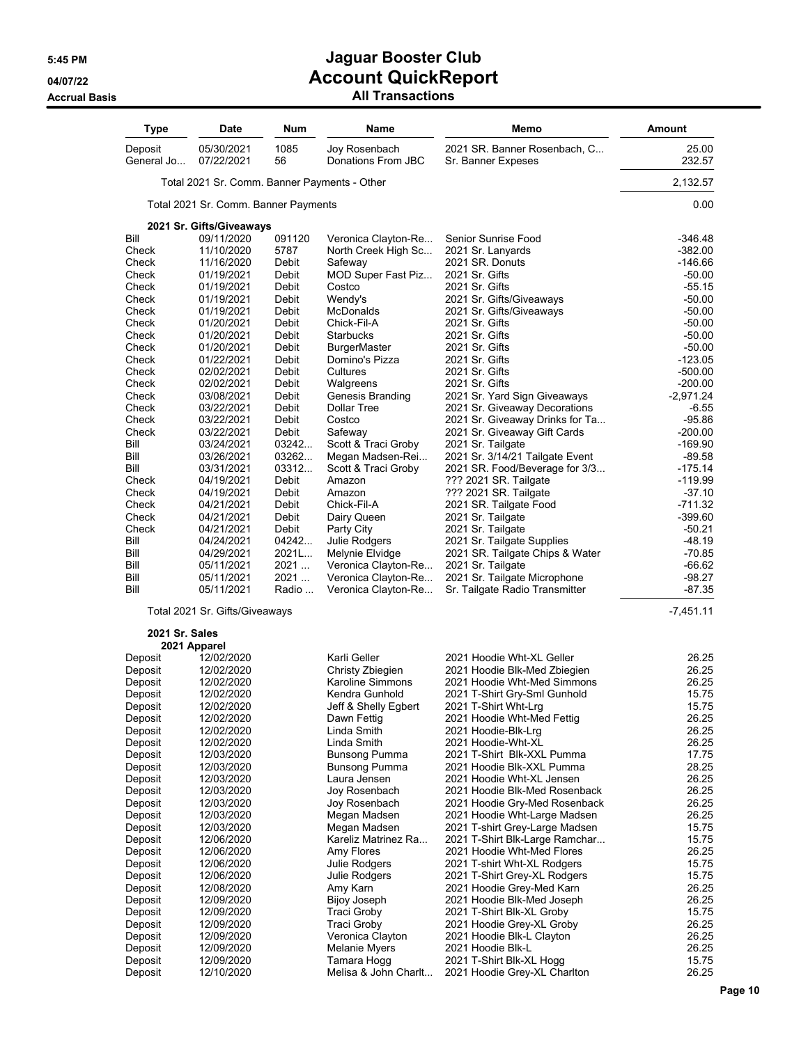| <b>Type</b>           | <b>Date</b>                                  | Num            | Name                                        | Memo                                                             | <b>Amount</b>          |
|-----------------------|----------------------------------------------|----------------|---------------------------------------------|------------------------------------------------------------------|------------------------|
| Deposit<br>General Jo | 05/30/2021<br>07/22/2021                     | 1085<br>56     | Joy Rosenbach<br>Donations From JBC         | 2021 SR. Banner Rosenbach, C<br>Sr. Banner Expeses               | 25.00<br>232.57        |
|                       | Total 2021 Sr. Comm. Banner Payments - Other |                |                                             |                                                                  | 2,132.57               |
|                       | Total 2021 Sr. Comm. Banner Payments         |                |                                             |                                                                  | 0.00                   |
|                       | 2021 Sr. Gifts/Giveaways                     |                |                                             |                                                                  |                        |
| Bill                  | 09/11/2020                                   | 091120         | Veronica Clayton-Re                         | Senior Sunrise Food                                              | $-346.48$              |
| Check                 | 11/10/2020                                   | 5787           | North Creek High Sc                         | 2021 Sr. Lanyards                                                | $-382.00$              |
| Check                 | 11/16/2020                                   | Debit          | Safeway                                     | 2021 SR. Donuts                                                  | -146.66                |
| Check                 | 01/19/2021                                   | Debit          | MOD Super Fast Piz                          | 2021 Sr. Gifts                                                   | $-50.00$               |
| Check                 | 01/19/2021                                   | Debit          | Costco                                      | 2021 Sr. Gifts                                                   | $-55.15$               |
| Check                 | 01/19/2021                                   | Debit          | Wendy's                                     | 2021 Sr. Gifts/Giveaways                                         | $-50.00$               |
| Check                 | 01/19/2021                                   | Debit          | McDonalds                                   | 2021 Sr. Gifts/Giveaways                                         | $-50.00$               |
| Check                 | 01/20/2021                                   | Debit          | Chick-Fil-A                                 | 2021 Sr. Gifts                                                   | $-50.00$               |
| Check                 | 01/20/2021                                   | Debit          | <b>Starbucks</b>                            | 2021 Sr. Gifts                                                   | $-50.00$               |
| Check                 | 01/20/2021                                   | Debit          | <b>BurgerMaster</b>                         | 2021 Sr. Gifts                                                   | $-50.00$               |
| Check<br>Check        | 01/22/2021<br>02/02/2021                     | Debit<br>Debit | Domino's Pizza<br>Cultures                  | 2021 Sr. Gifts<br>2021 Sr. Gifts                                 | $-123.05$<br>$-500.00$ |
| Check                 | 02/02/2021                                   | Debit          | Walgreens                                   | 2021 Sr. Gifts                                                   | $-200.00$              |
| Check                 | 03/08/2021                                   | Debit          | Genesis Branding                            | 2021 Sr. Yard Sign Giveaways                                     | $-2,971.24$            |
| Check                 | 03/22/2021                                   | Debit          | Dollar Tree                                 | 2021 Sr. Giveaway Decorations                                    | -6.55                  |
| Check                 | 03/22/2021                                   | Debit          | Costco                                      | 2021 Sr. Giveaway Drinks for Ta                                  | -95.86                 |
| Check                 | 03/22/2021                                   | Debit          | Safeway                                     | 2021 Sr. Giveaway Gift Cards                                     | $-200.00$              |
| Bill                  | 03/24/2021                                   | 03242          | Scott & Traci Groby                         | 2021 Sr. Tailgate                                                | $-169.90$              |
| Bill                  | 03/26/2021                                   | 03262          | Megan Madsen-Rei                            | 2021 Sr. 3/14/21 Tailgate Event                                  | $-89.58$               |
| Bill                  | 03/31/2021                                   | 03312          | Scott & Traci Groby                         | 2021 SR. Food/Beverage for 3/3                                   | $-175.14$              |
| Check                 | 04/19/2021                                   | Debit          | Amazon                                      | ??? 2021 SR. Tailgate                                            | -119.99                |
| Check                 | 04/19/2021                                   | Debit          | Amazon                                      | ??? 2021 SR. Tailgate                                            | $-37.10$               |
| Check                 | 04/21/2021                                   | Debit          | Chick-Fil-A                                 | 2021 SR. Tailgate Food                                           | -711.32                |
| Check                 | 04/21/2021                                   | Debit          | Dairy Queen                                 | 2021 Sr. Tailgate                                                | -399.60                |
| Check                 | 04/21/2021                                   | Debit          | Party City                                  | 2021 Sr. Tailgate                                                | -50.21                 |
| Bill                  | 04/24/2021                                   | 04242          | Julie Rodgers                               | 2021 Sr. Tailgate Supplies                                       | $-48.19$               |
| Bill<br>Bill          | 04/29/2021<br>05/11/2021                     | $2021$<br>2021 | Melynie Elvidge                             | 2021 SR. Tailgate Chips & Water                                  | $-70.85$<br>$-66.62$   |
| Bill                  | 05/11/2021                                   | 2021           | Veronica Clayton-Re<br>Veronica Clayton-Re  | 2021 Sr. Tailgate<br>2021 Sr. Tailgate Microphone                | $-98.27$               |
| Bill                  | 05/11/2021                                   | Radio          | Veronica Clayton-Re                         | Sr. Tailgate Radio Transmitter                                   | -87.35                 |
|                       | Total 2021 Sr. Gifts/Giveaways               |                |                                             |                                                                  | $-7,451.11$            |
| 2021 Sr. Sales        |                                              |                |                                             |                                                                  |                        |
|                       | 2021 Apparel                                 |                |                                             |                                                                  |                        |
| Deposit               | 12/02/2020                                   |                | Karli Geller                                | 2021 Hoodie Wht-XL Geller<br>2021 Hoodie Blk-Med Zbiegien        | 26.25<br>26.25         |
| Deposit<br>Deposit    | 12/02/2020<br>12/02/2020                     |                | Christy Zbiegien<br><b>Karoline Simmons</b> | 2021 Hoodie Wht-Med Simmons                                      | 26.25                  |
| Deposit               | 12/02/2020                                   |                | Kendra Gunhold                              | 2021 T-Shirt Gry-Sml Gunhold                                     | 15.75                  |
| Deposit               | 12/02/2020                                   |                | Jeff & Shelly Egbert                        | 2021 T-Shirt Wht-Lrg                                             | 15.75                  |
| Deposit               | 12/02/2020                                   |                | Dawn Fettig                                 | 2021 Hoodie Wht-Med Fettig                                       | 26.25                  |
| Deposit               | 12/02/2020                                   |                | Linda Smith                                 | 2021 Hoodie-Blk-Lrg                                              | 26.25                  |
| Deposit               | 12/02/2020                                   |                | Linda Smith                                 | 2021 Hoodie-Wht-XL                                               | 26.25                  |
| Deposit               | 12/03/2020                                   |                | Bunsong Pumma                               | 2021 T-Shirt Blk-XXL Pumma                                       | 17.75                  |
| Deposit               | 12/03/2020                                   |                | Bunsong Pumma                               | 2021 Hoodie Blk-XXL Pumma                                        | 28.25                  |
| Deposit               | 12/03/2020                                   |                | Laura Jensen                                | 2021 Hoodie Wht-XL Jensen                                        | 26.25                  |
| Deposit               | 12/03/2020                                   |                | Joy Rosenbach                               | 2021 Hoodie Blk-Med Rosenback                                    | 26.25                  |
| Deposit               | 12/03/2020                                   |                | Joy Rosenbach                               | 2021 Hoodie Gry-Med Rosenback                                    | 26.25                  |
| Deposit               | 12/03/2020                                   |                | Megan Madsen                                | 2021 Hoodie Wht-Large Madsen                                     | 26.25                  |
| Deposit               | 12/03/2020<br>12/06/2020                     |                | Megan Madsen                                | 2021 T-shirt Grey-Large Madsen<br>2021 T-Shirt Blk-Large Ramchar | 15.75<br>15.75         |
| Deposit<br>Deposit    | 12/06/2020                                   |                | Kareliz Matrinez Ra<br>Amy Flores           | 2021 Hoodie Wht-Med Flores                                       | 26.25                  |
| Deposit               | 12/06/2020                                   |                | Julie Rodgers                               | 2021 T-shirt Wht-XL Rodgers                                      | 15.75                  |
| Deposit               | 12/06/2020                                   |                | Julie Rodgers                               | 2021 T-Shirt Grey-XL Rodgers                                     | 15.75                  |
| Deposit               | 12/08/2020                                   |                | Amy Karn                                    | 2021 Hoodie Grey-Med Karn                                        | 26.25                  |
| Deposit               | 12/09/2020                                   |                | <b>Bijoy Joseph</b>                         | 2021 Hoodie Blk-Med Joseph                                       | 26.25                  |
| Deposit               | 12/09/2020                                   |                | Traci Groby                                 | 2021 T-Shirt Blk-XL Groby                                        | 15.75                  |
| Deposit               | 12/09/2020                                   |                | <b>Traci Groby</b>                          | 2021 Hoodie Grey-XL Groby                                        | 26.25                  |
| Deposit               | 12/09/2020                                   |                | Veronica Clayton                            | 2021 Hoodie Blk-L Clayton                                        | 26.25                  |
| Deposit               | 12/09/2020                                   |                | <b>Melanie Myers</b>                        | 2021 Hoodie Blk-L                                                | 26.25                  |
| Deposit               | 12/09/2020                                   |                | Tamara Hogg                                 | 2021 T-Shirt Blk-XL Hogg                                         | 15.75                  |
| Deposit               | 12/10/2020                                   |                | Melisa & John Charlt                        | 2021 Hoodie Grey-XL Charlton                                     | 26.25                  |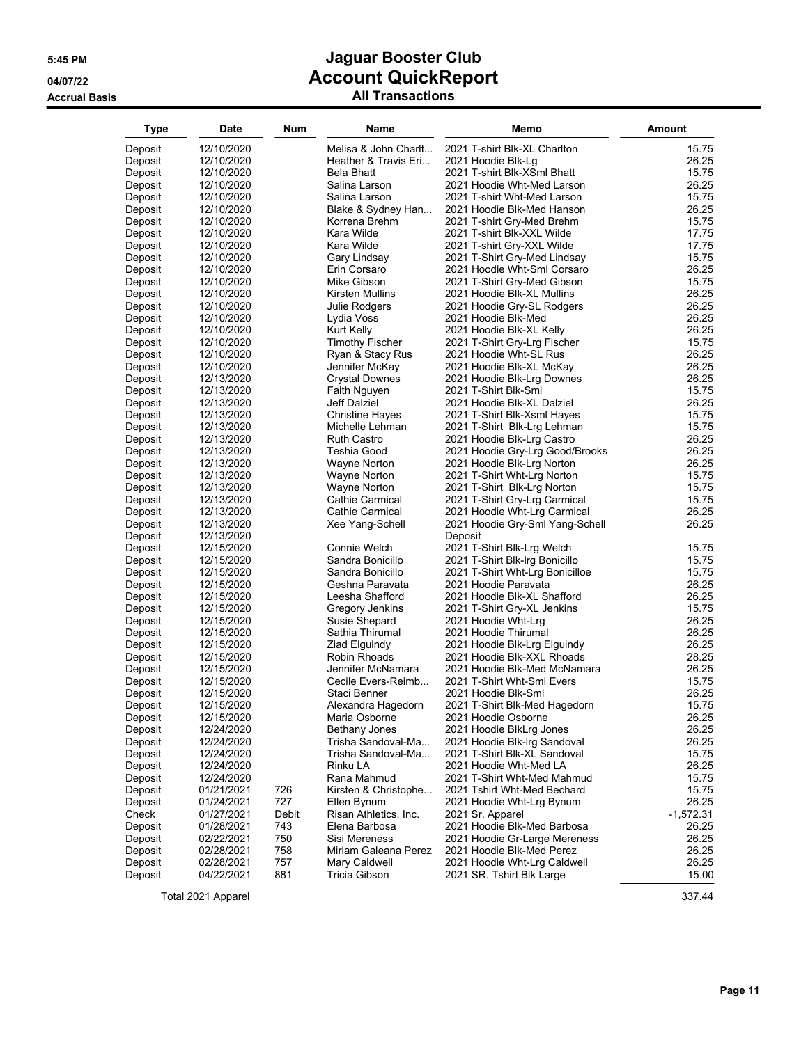### **Accrual Basis All Transactions**

| Type               | Date                     | Num   | Name                                       | Memo                                                          | Amount         |
|--------------------|--------------------------|-------|--------------------------------------------|---------------------------------------------------------------|----------------|
| Deposit            | 12/10/2020               |       | Melisa & John Charlt                       | 2021 T-shirt Blk-XL Charlton                                  | 15.75          |
| Deposit            | 12/10/2020               |       | Heather & Travis Eri                       | 2021 Hoodie Blk-Lg                                            | 26.25          |
| Deposit            | 12/10/2020               |       | <b>Bela Bhatt</b>                          | 2021 T-shirt Blk-XSml Bhatt                                   | 15.75          |
| Deposit            | 12/10/2020               |       | Salina Larson                              | 2021 Hoodie Wht-Med Larson                                    | 26.25          |
| Deposit            | 12/10/2020               |       | Salina Larson                              | 2021 T-shirt Wht-Med Larson                                   | 15.75          |
| Deposit            | 12/10/2020               |       | Blake & Sydney Han                         | 2021 Hoodie Blk-Med Hanson                                    | 26.25          |
| Deposit            | 12/10/2020               |       | Korrena Brehm                              | 2021 T-shirt Gry-Med Brehm                                    | 15.75          |
| Deposit            | 12/10/2020               |       | Kara Wilde                                 | 2021 T-shirt Blk-XXL Wilde                                    | 17.75          |
| Deposit            | 12/10/2020               |       | Kara Wilde                                 | 2021 T-shirt Gry-XXL Wilde                                    | 17.75          |
| Deposit            | 12/10/2020               |       | Gary Lindsay                               | 2021 T-Shirt Gry-Med Lindsay                                  | 15.75          |
| Deposit            | 12/10/2020               |       | Erin Corsaro                               | 2021 Hoodie Wht-Sml Corsaro                                   | 26.25          |
| Deposit            | 12/10/2020               |       | Mike Gibson                                | 2021 T-Shirt Gry-Med Gibson                                   | 15.75          |
| Deposit            | 12/10/2020               |       | Kirsten Mullins                            | 2021 Hoodie Blk-XL Mullins                                    | 26.25          |
| Deposit            | 12/10/2020               |       | Julie Rodgers                              | 2021 Hoodie Gry-SL Rodgers                                    | 26.25          |
| Deposit            | 12/10/2020               |       | Lydia Voss                                 | 2021 Hoodie Blk-Med                                           | 26.25          |
| Deposit            | 12/10/2020               |       | Kurt Kelly                                 | 2021 Hoodie Blk-XL Kelly                                      | 26.25          |
| Deposit            | 12/10/2020               |       | <b>Timothy Fischer</b>                     | 2021 T-Shirt Gry-Lrg Fischer                                  | 15.75          |
| Deposit            | 12/10/2020               |       | Ryan & Stacy Rus                           | 2021 Hoodie Wht-SL Rus                                        | 26.25          |
| Deposit            | 12/10/2020               |       | Jennifer McKay                             | 2021 Hoodie Blk-XL McKay                                      | 26.25          |
| Deposit            | 12/13/2020               |       | <b>Crystal Downes</b>                      | 2021 Hoodie Blk-Lrg Downes                                    | 26.25          |
| Deposit            | 12/13/2020               |       | Faith Nguyen                               | 2021 T-Shirt Blk-Sml                                          | 15.75          |
| Deposit            | 12/13/2020               |       | Jeff Dalziel                               | 2021 Hoodie Blk-XL Dalziel                                    | 26.25          |
| Deposit            | 12/13/2020               |       | Christine Hayes                            | 2021 T-Shirt Blk-Xsml Hayes                                   | 15.75          |
| Deposit            | 12/13/2020               |       | Michelle Lehman                            | 2021 T-Shirt Blk-Lrg Lehman                                   | 15.75          |
| Deposit<br>Deposit | 12/13/2020               |       | Ruth Castro                                | 2021 Hoodie Blk-Lrg Castro                                    | 26.25<br>26.25 |
| Deposit            | 12/13/2020<br>12/13/2020 |       | Teshia Good<br>Wayne Norton                | 2021 Hoodie Gry-Lrg Good/Brooks<br>2021 Hoodie Blk-Lrg Norton | 26.25          |
| Deposit            | 12/13/2020               |       | Wayne Norton                               | 2021 T-Shirt Wht-Lrg Norton                                   | 15.75          |
| Deposit            | 12/13/2020               |       | Wayne Norton                               | 2021 T-Shirt Blk-Lrg Norton                                   | 15.75          |
| Deposit            | 12/13/2020               |       | Cathie Carmical                            | 2021 T-Shirt Gry-Lrg Carmical                                 | 15.75          |
| Deposit            | 12/13/2020               |       | Cathie Carmical                            | 2021 Hoodie Wht-Lrg Carmical                                  | 26.25          |
| Deposit            | 12/13/2020               |       | Xee Yang-Schell                            | 2021 Hoodie Gry-Sml Yang-Schell                               | 26.25          |
| Deposit            | 12/13/2020               |       |                                            | Deposit                                                       |                |
| Deposit            | 12/15/2020               |       | Connie Welch                               | 2021 T-Shirt Blk-Lrg Welch                                    | 15.75          |
| Deposit            | 12/15/2020               |       | Sandra Bonicillo                           | 2021 T-Shirt Blk-Irg Bonicillo                                | 15.75          |
| Deposit            | 12/15/2020               |       | Sandra Bonicillo                           | 2021 T-Shirt Wht-Lrg Bonicilloe                               | 15.75          |
| Deposit            | 12/15/2020               |       | Geshna Paravata                            | 2021 Hoodie Paravata                                          | 26.25          |
| Deposit            | 12/15/2020               |       | Leesha Shafford                            | 2021 Hoodie Blk-XL Shafford                                   | 26.25          |
| Deposit            | 12/15/2020               |       | Gregory Jenkins                            | 2021 T-Shirt Gry-XL Jenkins                                   | 15.75          |
| Deposit            | 12/15/2020               |       | Susie Shepard                              | 2021 Hoodie Wht-Lrg                                           | 26.25          |
| Deposit            | 12/15/2020               |       | Sathia Thirumal                            | 2021 Hoodie Thirumal                                          | 26.25          |
| Deposit            | 12/15/2020               |       | Ziad Elguindy                              | 2021 Hoodie Blk-Lrg Elguindy                                  | 26.25          |
| Deposit            | 12/15/2020               |       | Robin Rhoads                               | 2021 Hoodie Blk-XXL Rhoads                                    | 28.25          |
| Deposit            | 12/15/2020               |       | Jennifer McNamara                          | 2021 Hoodie Blk-Med McNamara                                  | 26.25          |
| Deposit            | 12/15/2020               |       | Cecile Evers-Reimb                         | 2021 T-Shirt Wht-Sml Evers                                    | 15.75          |
| Deposit            | 12/15/2020               |       | Staci Benner                               | 2021 Hoodie Blk-Sml                                           | 26.25          |
| Deposit            | 12/15/2020               |       | Alexandra Hagedorn                         | 2021 T-Shirt Blk-Med Hagedorn                                 | 15.75          |
| Deposit            | 12/15/2020               |       | Maria Osborne                              | 2021 Hoodie Osborne                                           | 26.25          |
| Deposit<br>Deposit | 12/24/2020<br>12/24/2020 |       | <b>Bethany Jones</b><br>Trisha Sandoval-Ma | 2021 Hoodie BlkLrg Jones<br>2021 Hoodie Blk-Irg Sandoval      | 26.25<br>26.25 |
| Deposit            | 12/24/2020               |       | Trisha Sandoval-Ma                         | 2021 T-Shirt Blk-XL Sandoval                                  | 15.75          |
| Deposit            | 12/24/2020               |       | Rinku LA                                   | 2021 Hoodie Wht-Med LA                                        | 26.25          |
| Deposit            | 12/24/2020               |       | Rana Mahmud                                | 2021 T-Shirt Wht-Med Mahmud                                   | 15.75          |
| Deposit            | 01/21/2021               | 726   | Kirsten & Christophe                       | 2021 Tshirt Wht-Med Bechard                                   | 15.75          |
| Deposit            | 01/24/2021               | 727   | Ellen Bynum                                | 2021 Hoodie Wht-Lrg Bynum                                     | 26.25          |
| Check              | 01/27/2021               | Debit | Risan Athletics, Inc.                      | 2021 Sr. Apparel                                              | $-1,572.31$    |
| Deposit            | 01/28/2021               | 743   | Elena Barbosa                              | 2021 Hoodie Blk-Med Barbosa                                   | 26.25          |
| Deposit            | 02/22/2021               | 750   | Sisi Mereness                              | 2021 Hoodie Gr-Large Mereness                                 | 26.25          |
| Deposit            | 02/28/2021               | 758   | Miriam Galeana Perez                       | 2021 Hoodie Blk-Med Perez                                     | 26.25          |
| Deposit            | 02/28/2021               | 757   | Mary Caldwell                              | 2021 Hoodie Wht-Lrg Caldwell                                  | 26.25          |
| Deposit            | 04/22/2021               | 881   | Tricia Gibson                              | 2021 SR. Tshirt Blk Large                                     | 15.00          |
|                    |                          |       |                                            |                                                               |                |

Total 2021 Apparel 337.44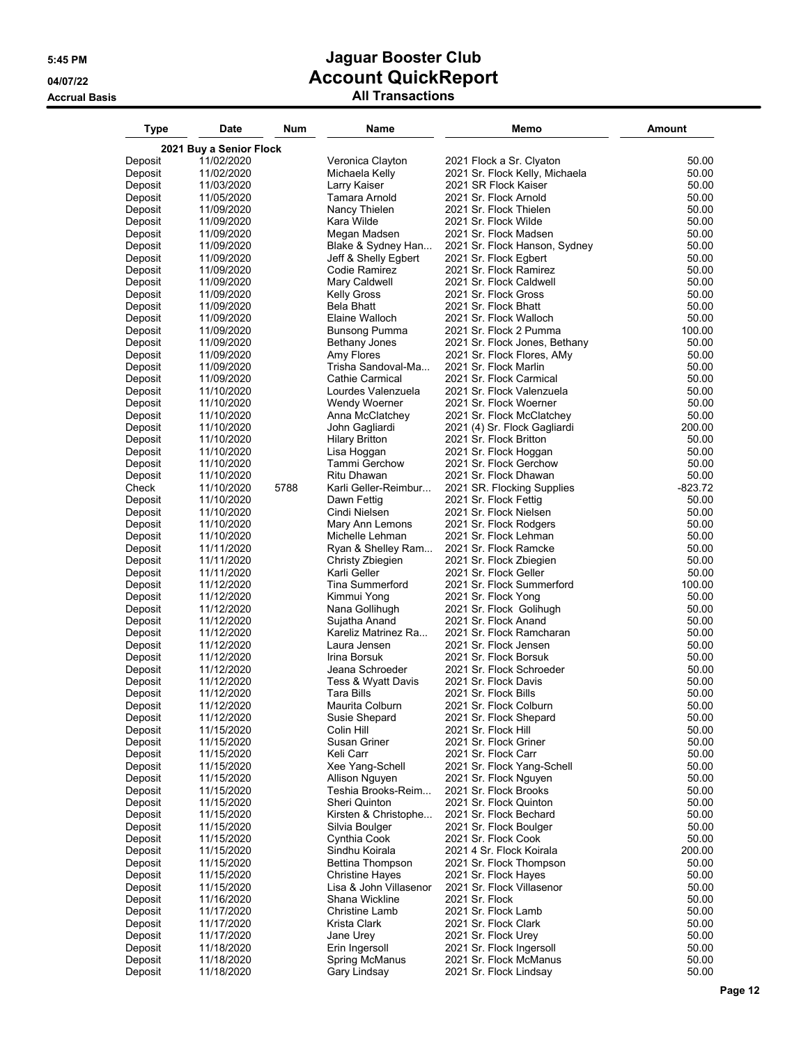| Type               | Date                     | Num  | Name                                       | Memo                                                   | Amount          |
|--------------------|--------------------------|------|--------------------------------------------|--------------------------------------------------------|-----------------|
|                    | 2021 Buy a Senior Flock  |      |                                            |                                                        |                 |
| Deposit            | 11/02/2020               |      | Veronica Clayton                           | 2021 Flock a Sr. Clyaton                               | 50.00           |
| Deposit            | 11/02/2020               |      | Michaela Kelly                             | 2021 Sr. Flock Kelly, Michaela                         | 50.00           |
| Deposit            | 11/03/2020               |      | Larry Kaiser                               | 2021 SR Flock Kaiser                                   | 50.00           |
| Deposit            | 11/05/2020               |      | Tamara Arnold                              | 2021 Sr. Flock Arnold                                  | 50.00           |
| Deposit            | 11/09/2020               |      | Nancy Thielen                              | 2021 Sr. Flock Thielen                                 | 50.00           |
| Deposit            | 11/09/2020               |      | Kara Wilde                                 | 2021 Sr. Flock Wilde                                   | 50.00           |
| Deposit            | 11/09/2020               |      | Megan Madsen                               | 2021 Sr. Flock Madsen                                  | 50.00           |
| Deposit<br>Deposit | 11/09/2020<br>11/09/2020 |      | Blake & Sydney Han<br>Jeff & Shelly Egbert | 2021 Sr. Flock Hanson, Sydney<br>2021 Sr. Flock Egbert | 50.00<br>50.00  |
| Deposit            | 11/09/2020               |      | Codie Ramirez                              | 2021 Sr. Flock Ramirez                                 | 50.00           |
| Deposit            | 11/09/2020               |      | Mary Caldwell                              | 2021 Sr. Flock Caldwell                                | 50.00           |
| Deposit            | 11/09/2020               |      | <b>Kelly Gross</b>                         | 2021 Sr. Flock Gross                                   | 50.00           |
| Deposit            | 11/09/2020               |      | Bela Bhatt                                 | 2021 Sr. Flock Bhatt                                   | 50.00           |
| Deposit            | 11/09/2020               |      | Elaine Walloch                             | 2021 Sr. Flock Walloch                                 | 50.00           |
| Deposit            | 11/09/2020               |      | Bunsong Pumma                              | 2021 Sr. Flock 2 Pumma                                 | 100.00          |
| Deposit            | 11/09/2020               |      | Bethany Jones                              | 2021 Sr. Flock Jones, Bethany                          | 50.00           |
| Deposit            | 11/09/2020               |      | Amy Flores                                 | 2021 Sr. Flock Flores, AMy                             | 50.00           |
| Deposit            | 11/09/2020               |      | Trisha Sandoval-Ma                         | 2021 Sr. Flock Marlin                                  | 50.00           |
| Deposit            | 11/09/2020               |      | Cathie Carmical                            | 2021 Sr. Flock Carmical                                | 50.00           |
| Deposit            | 11/10/2020               |      | Lourdes Valenzuela                         | 2021 Sr. Flock Valenzuela                              | 50.00           |
| Deposit            | 11/10/2020               |      | Wendy Woerner                              | 2021 Sr. Flock Woerner                                 | 50.00           |
| Deposit            | 11/10/2020               |      | Anna McClatchey                            | 2021 Sr. Flock McClatchey                              | 50.00           |
| Deposit            | 11/10/2020               |      | John Gagliardi                             | 2021 (4) Sr. Flock Gagliardi                           | 200.00          |
| Deposit            | 11/10/2020               |      | <b>Hilary Britton</b>                      | 2021 Sr. Flock Britton                                 | 50.00           |
| Deposit            | 11/10/2020<br>11/10/2020 |      | Lisa Hoggan<br>Tammi Gerchow               | 2021 Sr. Flock Hoggan<br>2021 Sr. Flock Gerchow        | 50.00<br>50.00  |
| Deposit<br>Deposit | 11/10/2020               |      | Ritu Dhawan                                | 2021 Sr. Flock Dhawan                                  | 50.00           |
| Check              | 11/10/2020               | 5788 | Karli Geller-Reimbur                       | 2021 SR. Flocking Supplies                             | $-823.72$       |
| Deposit            | 11/10/2020               |      | Dawn Fettig                                | 2021 Sr. Flock Fettig                                  | 50.00           |
| Deposit            | 11/10/2020               |      | Cindi Nielsen                              | 2021 Sr. Flock Nielsen                                 | 50.00           |
| Deposit            | 11/10/2020               |      | Mary Ann Lemons                            | 2021 Sr. Flock Rodgers                                 | 50.00           |
| Deposit            | 11/10/2020               |      | Michelle Lehman                            | 2021 Sr. Flock Lehman                                  | 50.00           |
| Deposit            | 11/11/2020               |      | Ryan & Shelley Ram                         | 2021 Sr. Flock Ramcke                                  | 50.00           |
| Deposit            | 11/11/2020               |      | Christy Zbiegien                           | 2021 Sr. Flock Zbiegien                                | 50.00           |
| Deposit            | 11/11/2020               |      | Karli Geller                               | 2021 Sr. Flock Geller                                  | 50.00           |
| Deposit            | 11/12/2020               |      | <b>Tina Summerford</b>                     | 2021 Sr. Flock Summerford                              | 100.00          |
| Deposit            | 11/12/2020               |      | Kimmui Yong                                | 2021 Sr. Flock Yong                                    | 50.00           |
| Deposit            | 11/12/2020               |      | Nana Gollihugh                             | 2021 Sr. Flock Golihugh                                | 50.00           |
| Deposit<br>Deposit | 11/12/2020<br>11/12/2020 |      | Sujatha Anand<br>Kareliz Matrinez Ra       | 2021 Sr. Flock Anand<br>2021 Sr. Flock Ramcharan       | 50.00<br>50.00  |
| Deposit            | 11/12/2020               |      | Laura Jensen                               | 2021 Sr. Flock Jensen                                  | 50.00           |
| Deposit            | 11/12/2020               |      | Irina Borsuk                               | 2021 Sr. Flock Borsuk                                  | 50.00           |
| Deposit            | 11/12/2020               |      | Jeana Schroeder                            | 2021 Sr. Flock Schroeder                               | 50.00           |
| Deposit            | 11/12/2020               |      | Tess & Wyatt Davis                         | 2021 Sr. Flock Davis                                   | 50.00           |
| Deposit            | 11/12/2020               |      | Tara Bills                                 | 2021 Sr. Flock Bills                                   | 50.00           |
| Deposit            | 11/12/2020               |      | Maurita Colburn                            | 2021 Sr. Flock Colburn                                 | 50.00           |
| Deposit            | 11/12/2020               |      | Susie Shepard                              | 2021 Sr. Flock Shepard                                 | 50.00           |
| Deposit            | 11/15/2020               |      | Colin Hill                                 | 2021 Sr. Flock Hill                                    | 50.00           |
| Deposit            | 11/15/2020               |      | Susan Griner                               | 2021 Sr. Flock Griner                                  | 50.00           |
| Deposit            | 11/15/2020               |      | Keli Carr                                  | 2021 Sr. Flock Carr                                    | 50.00           |
| Deposit            | 11/15/2020               |      | Xee Yang-Schell                            | 2021 Sr. Flock Yang-Schell                             | 50.00           |
| Deposit            | 11/15/2020               |      | Allison Nguyen                             | 2021 Sr. Flock Nguyen                                  | 50.00           |
| Deposit            | 11/15/2020               |      | Teshia Brooks-Reim                         | 2021 Sr. Flock Brooks                                  | 50.00           |
| Deposit            | 11/15/2020               |      | Sheri Quinton                              | 2021 Sr. Flock Quinton                                 | 50.00           |
| Deposit            | 11/15/2020               |      | Kirsten & Christophe                       | 2021 Sr. Flock Bechard                                 | 50.00           |
| Deposit            | 11/15/2020               |      | Silvia Boulger<br>Cynthia Cook             | 2021 Sr. Flock Boulger                                 | 50.00           |
| Deposit<br>Deposit | 11/15/2020<br>11/15/2020 |      | Sindhu Koirala                             | 2021 Sr. Flock Cook<br>2021 4 Sr. Flock Koirala        | 50.00<br>200.00 |
| Deposit            | 11/15/2020               |      | Bettina Thompson                           | 2021 Sr. Flock Thompson                                | 50.00           |
| Deposit            | 11/15/2020               |      | <b>Christine Hayes</b>                     | 2021 Sr. Flock Hayes                                   | 50.00           |
| Deposit            | 11/15/2020               |      | Lisa & John Villasenor                     | 2021 Sr. Flock Villasenor                              | 50.00           |
| Deposit            | 11/16/2020               |      | Shana Wickline                             | 2021 Sr. Flock                                         | 50.00           |
| Deposit            | 11/17/2020               |      | <b>Christine Lamb</b>                      | 2021 Sr. Flock Lamb                                    | 50.00           |
| Deposit            | 11/17/2020               |      | Krista Clark                               | 2021 Sr. Flock Clark                                   | 50.00           |
| Deposit            | 11/17/2020               |      | Jane Urey                                  | 2021 Sr. Flock Urey                                    | 50.00           |
| Deposit            | 11/18/2020               |      | Erin Ingersoll                             | 2021 Sr. Flock Ingersoll                               | 50.00           |
| Deposit            | 11/18/2020               |      | <b>Spring McManus</b>                      | 2021 Sr. Flock McManus                                 | 50.00           |
| Deposit            | 11/18/2020               |      | Gary Lindsay                               | 2021 Sr. Flock Lindsay                                 | 50.00           |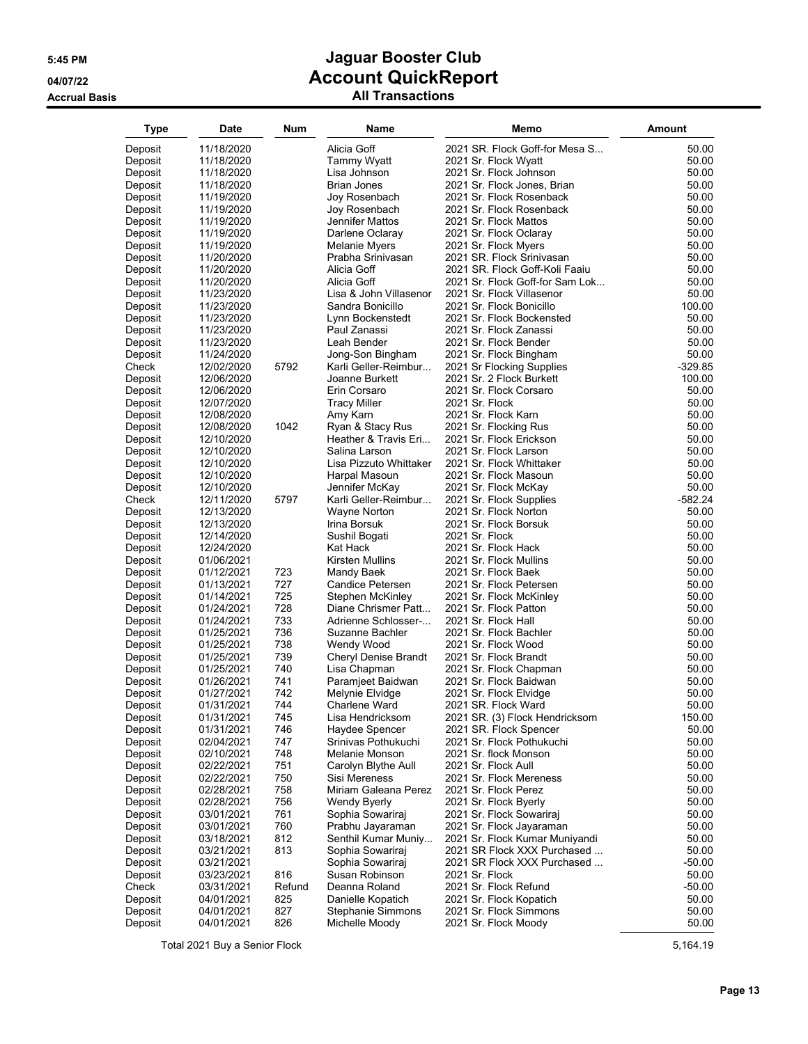### **Accrual Basis All Transactions**

| Type               | <b>Date</b>              | <b>Num</b> | Name                                  | Memo                                                | Amount         |
|--------------------|--------------------------|------------|---------------------------------------|-----------------------------------------------------|----------------|
| Deposit            | 11/18/2020               |            | Alicia Goff                           | 2021 SR. Flock Goff-for Mesa S                      | 50.00          |
| Deposit            | 11/18/2020               |            | <b>Tammy Wyatt</b>                    | 2021 Sr. Flock Wyatt                                | 50.00          |
| Deposit            | 11/18/2020               |            | Lisa Johnson                          | 2021 Sr. Flock Johnson                              | 50.00          |
| Deposit            | 11/18/2020               |            | <b>Brian Jones</b>                    | 2021 Sr. Flock Jones, Brian                         | 50.00          |
| Deposit            | 11/19/2020               |            | Joy Rosenbach                         | 2021 Sr. Flock Rosenback                            | 50.00          |
| Deposit            | 11/19/2020               |            | Joy Rosenbach                         | 2021 Sr. Flock Rosenback                            | 50.00          |
| Deposit            | 11/19/2020               |            | Jennifer Mattos                       | 2021 Sr. Flock Mattos                               | 50.00          |
| Deposit            | 11/19/2020               |            | Darlene Oclaray                       | 2021 Sr. Flock Oclaray                              | 50.00          |
| Deposit            | 11/19/2020               |            | Melanie Myers                         | 2021 Sr. Flock Myers                                | 50.00          |
| Deposit            | 11/20/2020               |            | Prabha Srinivasan                     | 2021 SR. Flock Srinivasan                           | 50.00          |
| Deposit            | 11/20/2020               |            | Alicia Goff                           | 2021 SR. Flock Goff-Koli Faaiu                      | 50.00          |
| Deposit            | 11/20/2020               |            | Alicia Goff                           | 2021 Sr. Flock Goff-for Sam Lok                     | 50.00          |
| Deposit            | 11/23/2020               |            | Lisa & John Villasenor                | 2021 Sr. Flock Villasenor                           | 50.00          |
| Deposit            | 11/23/2020               |            | Sandra Bonicillo                      | 2021 Sr. Flock Bonicillo                            | 100.00         |
| Deposit            | 11/23/2020<br>11/23/2020 |            | Lynn Bockenstedt<br>Paul Zanassi      | 2021 Sr. Flock Bockensted<br>2021 Sr. Flock Zanassi | 50.00<br>50.00 |
| Deposit<br>Deposit | 11/23/2020               |            | Leah Bender                           | 2021 Sr. Flock Bender                               | 50.00          |
| Deposit            | 11/24/2020               |            | Jong-Son Bingham                      | 2021 Sr. Flock Bingham                              | 50.00          |
| Check              | 12/02/2020               | 5792       | Karli Geller-Reimbur                  | 2021 Sr Flocking Supplies                           | $-329.85$      |
| Deposit            | 12/06/2020               |            | Joanne Burkett                        | 2021 Sr. 2 Flock Burkett                            | 100.00         |
| Deposit            | 12/06/2020               |            | Erin Corsaro                          | 2021 Sr. Flock Corsaro                              | 50.00          |
| Deposit            | 12/07/2020               |            | Tracy Miller                          | 2021 Sr. Flock                                      | 50.00          |
| Deposit            | 12/08/2020               |            | Amy Karn                              | 2021 Sr. Flock Karn                                 | 50.00          |
| Deposit            | 12/08/2020               | 1042       | Ryan & Stacy Rus                      | 2021 Sr. Flocking Rus                               | 50.00          |
| Deposit            | 12/10/2020               |            | Heather & Travis Eri                  | 2021 Sr. Flock Erickson                             | 50.00          |
| Deposit            | 12/10/2020               |            | Salina Larson                         | 2021 Sr. Flock Larson                               | 50.00          |
| Deposit            | 12/10/2020               |            | Lisa Pizzuto Whittaker                | 2021 Sr. Flock Whittaker                            | 50.00          |
| Deposit            | 12/10/2020               |            | Harpal Masoun                         | 2021 Sr. Flock Masoun                               | 50.00          |
| Deposit            | 12/10/2020               |            | Jennifer McKay                        | 2021 Sr. Flock McKay                                | 50.00          |
| Check              | 12/11/2020               | 5797       | Karli Geller-Reimbur                  | 2021 Sr. Flock Supplies                             | $-582.24$      |
| Deposit            | 12/13/2020               |            | Wayne Norton                          | 2021 Sr. Flock Norton                               | 50.00          |
| Deposit            | 12/13/2020               |            | Irina Borsuk                          | 2021 Sr. Flock Borsuk                               | 50.00          |
| Deposit            | 12/14/2020<br>12/24/2020 |            | Sushil Bogati<br>Kat Hack             | 2021 Sr. Flock<br>2021 Sr. Flock Hack               | 50.00<br>50.00 |
| Deposit<br>Deposit | 01/06/2021               |            | Kirsten Mullins                       | 2021 Sr. Flock Mullins                              | 50.00          |
| Deposit            | 01/12/2021               | 723        | Mandy Baek                            | 2021 Sr. Flock Baek                                 | 50.00          |
| Deposit            | 01/13/2021               | 727        | Candice Petersen                      | 2021 Sr. Flock Petersen                             | 50.00          |
| Deposit            | 01/14/2021               | 725        | Stephen McKinley                      | 2021 Sr. Flock McKinley                             | 50.00          |
| Deposit            | 01/24/2021               | 728        | Diane Chrismer Patt                   | 2021 Sr. Flock Patton                               | 50.00          |
| Deposit            | 01/24/2021               | 733        | Adrienne Schlosser-                   | 2021 Sr. Flock Hall                                 | 50.00          |
| Deposit            | 01/25/2021               | 736        | Suzanne Bachler                       | 2021 Sr. Flock Bachler                              | 50.00          |
| Deposit            | 01/25/2021               | 738        | Wendy Wood                            | 2021 Sr. Flock Wood                                 | 50.00          |
| Deposit            | 01/25/2021               | 739        | Cheryl Denise Brandt                  | 2021 Sr. Flock Brandt                               | 50.00          |
| Deposit            | 01/25/2021               | 740        | Lisa Chapman                          | 2021 Sr. Flock Chapman                              | 50.00          |
| Deposit            | 01/26/2021               | 741        | Paramjeet Baidwan                     | 2021 Sr. Flock Baidwan                              | 50.00          |
| Deposit            | 01/27/2021               | 742        | Melynie Elvidge                       | 2021 Sr. Flock Elvidge                              | 50.00          |
| Deposit            | 01/31/2021               | 744        | Charlene Ward                         | 2021 SR. Flock Ward                                 | 50.00          |
| Deposit            | 01/31/2021               | 745        | Lisa Hendricksom                      | 2021 SR. (3) Flock Hendricksom                      | 150.00         |
| Deposit<br>Deposit | 01/31/2021<br>02/04/2021 | 746<br>747 | Haydee Spencer<br>Srinivas Pothukuchi | 2021 SR. Flock Spencer<br>2021 Sr. Flock Pothukuchi | 50.00<br>50.00 |
| Deposit            | 02/10/2021               | 748        | Melanie Monson                        | 2021 Sr. flock Monson                               | 50.00          |
| Deposit            | 02/22/2021               | 751        | Carolyn Blythe Aull                   | 2021 Sr. Flock Aull                                 | 50.00          |
| Deposit            | 02/22/2021               | 750        | Sisi Mereness                         | 2021 Sr. Flock Mereness                             | 50.00          |
| Deposit            | 02/28/2021               | 758        | Miriam Galeana Perez                  | 2021 Sr. Flock Perez                                | 50.00          |
| Deposit            | 02/28/2021               | 756        | <b>Wendy Byerly</b>                   | 2021 Sr. Flock Byerly                               | 50.00          |
| Deposit            | 03/01/2021               | 761        | Sophia Sowariraj                      | 2021 Sr. Flock Sowariraj                            | 50.00          |
| Deposit            | 03/01/2021               | 760        | Prabhu Jayaraman                      | 2021 Sr. Flock Jayaraman                            | 50.00          |
| Deposit            | 03/18/2021               | 812        | Senthil Kumar Muniy                   | 2021 Sr. Flock Kumar Muniyandi                      | 50.00          |
| Deposit            | 03/21/2021               | 813        | Sophia Sowariraj                      | 2021 SR Flock XXX Purchased                         | 50.00          |
| Deposit            | 03/21/2021               |            | Sophia Sowariraj                      | 2021 SR Flock XXX Purchased                         | $-50.00$       |
| Deposit            | 03/23/2021               | 816        | Susan Robinson                        | 2021 Sr. Flock                                      | 50.00          |
| Check              | 03/31/2021               | Refund     | Deanna Roland                         | 2021 Sr. Flock Refund                               | $-50.00$       |
| Deposit            | 04/01/2021               | 825        | Danielle Kopatich                     | 2021 Sr. Flock Kopatich                             | 50.00          |
| Deposit            | 04/01/2021               | 827        | Stephanie Simmons                     | 2021 Sr. Flock Simmons                              | 50.00          |
| Deposit            | 04/01/2021               | 826        | Michelle Moody                        | 2021 Sr. Flock Moody                                | 50.00          |

Total 2021 Buy a Senior Flock 5,164.19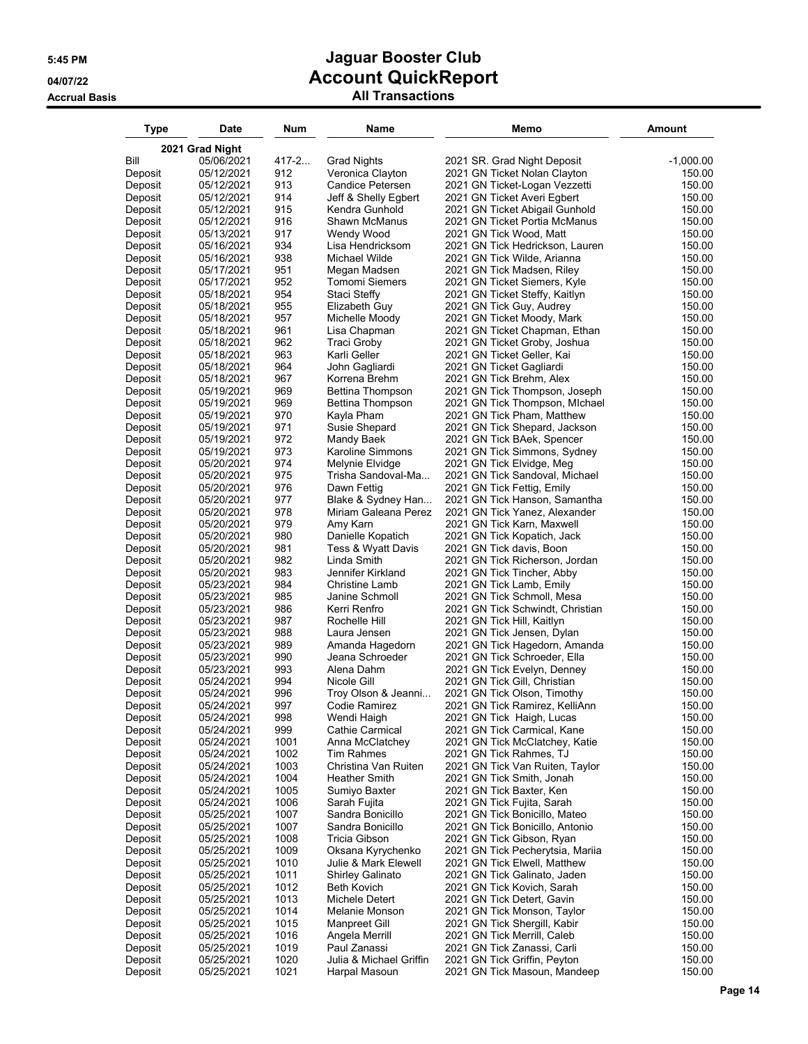| 2021 Grad Night<br>Bill<br>05/06/2021<br>$417 - 2$<br><b>Grad Nights</b><br>2021 SR. Grad Night Deposit<br>$-1,000.00$<br>912<br>Deposit<br>05/12/2021<br>Veronica Clayton<br>2021 GN Ticket Nolan Clayton<br>150.00<br>913<br>Candice Petersen<br>150.00<br>05/12/2021<br>2021 GN Ticket-Logan Vezzetti<br>Deposit<br>914<br>05/12/2021<br>Jeff & Shelly Egbert<br>2021 GN Ticket Averi Egbert<br>150.00<br>Deposit<br>915<br>05/12/2021<br>Kendra Gunhold<br>2021 GN Ticket Abigail Gunhold<br>150.00<br>Deposit<br>916<br>05/12/2021<br>Shawn McManus<br>150.00<br>Deposit<br>2021 GN Ticket Portia McManus<br>05/13/2021<br>917<br>150.00<br>Deposit<br>Wendy Wood<br>2021 GN Tick Wood, Matt<br>934<br>05/16/2021<br>Lisa Hendricksom<br>2021 GN Tick Hedrickson, Lauren<br>150.00<br>Deposit<br>938<br>Michael Wilde<br>150.00<br>Deposit<br>05/16/2021<br>2021 GN Tick Wilde, Arianna<br>951<br>Deposit<br>05/17/2021<br>Megan Madsen<br>2021 GN Tick Madsen, Riley<br>150.00<br>952<br>05/17/2021<br>Tomomi Siemers<br>2021 GN Ticket Siemers, Kyle<br>150.00<br>Deposit<br>954<br>05/18/2021<br>Staci Steffy<br>2021 GN Ticket Steffy, Kaitlyn<br>150.00<br>Deposit<br>955<br>05/18/2021<br>150.00<br>Deposit<br>Elizabeth Guy<br>2021 GN Tick Guy, Audrey<br>957<br>05/18/2021<br>2021 GN Ticket Moody, Mark<br>150.00<br>Deposit<br>Michelle Moody<br>961<br>05/18/2021<br>2021 GN Ticket Chapman, Ethan<br>150.00<br>Deposit<br>Lisa Chapman<br>962<br>05/18/2021<br>Traci Groby<br>2021 GN Ticket Groby, Joshua<br>150.00<br>Deposit<br>963<br>Karli Geller<br>05/18/2021<br>2021 GN Ticket Geller, Kai<br>150.00<br>Deposit<br>964<br>05/18/2021<br>John Gagliardi<br>2021 GN Ticket Gagliardi<br>150.00<br>Deposit<br>967<br>05/18/2021<br>Korrena Brehm<br>2021 GN Tick Brehm, Alex<br>150.00<br>Deposit<br>969<br>05/19/2021<br>Bettina Thompson<br>2021 GN Tick Thompson, Joseph<br>150.00<br>Deposit<br>969<br>05/19/2021<br>Bettina Thompson<br>150.00<br>Deposit<br>2021 GN Tick Thompson, MIchael<br>970<br>05/19/2021<br>Kayla Pham<br>2021 GN Tick Pham, Matthew<br>150.00<br>Deposit<br>971<br>Susie Shepard<br>150.00<br>Deposit<br>05/19/2021<br>2021 GN Tick Shepard, Jackson<br>972<br>05/19/2021<br>Mandy Baek<br>2021 GN Tick BAek, Spencer<br>150.00<br>Deposit<br>973<br>05/19/2021<br>Karoline Simmons<br>2021 GN Tick Simmons, Sydney<br>150.00<br>Deposit<br>974<br>05/20/2021<br>Melynie Elvidge<br>2021 GN Tick Elvidge, Meg<br>150.00<br>Deposit<br>975<br>05/20/2021<br>Trisha Sandoval-Ma<br>2021 GN Tick Sandoval, Michael<br>150.00<br>Deposit<br>976<br>05/20/2021<br>Dawn Fettig<br>2021 GN Tick Fettig, Emily<br>150.00<br>Deposit<br>977<br>05/20/2021<br>Blake & Sydney Han<br>2021 GN Tick Hanson, Samantha<br>150.00<br>Deposit<br>978<br>Miriam Galeana Perez<br>05/20/2021<br>2021 GN Tick Yanez, Alexander<br>150.00<br>Deposit<br>979<br>05/20/2021<br>Amy Karn<br>2021 GN Tick Karn, Maxwell<br>150.00<br>Deposit<br>980<br>05/20/2021<br>Danielle Kopatich<br>150.00<br>Deposit<br>2021 GN Tick Kopatich, Jack<br>981<br>05/20/2021<br>Tess & Wyatt Davis<br>2021 GN Tick davis, Boon<br>150.00<br>Deposit<br>982<br>05/20/2021<br>Linda Smith<br>2021 GN Tick Richerson, Jordan<br>150.00<br>Deposit<br>983<br>05/20/2021<br>Jennifer Kirkland<br>2021 GN Tick Tincher, Abby<br>150.00<br>Deposit<br>984<br>05/23/2021<br><b>Christine Lamb</b><br>2021 GN Tick Lamb, Emily<br>150.00<br>Deposit<br>985<br>05/23/2021<br>Janine Schmoll<br>2021 GN Tick Schmoll, Mesa<br>150.00<br>Deposit<br>986<br>05/23/2021<br>Kerri Renfro<br>150.00<br>Deposit<br>2021 GN Tick Schwindt, Christian<br>987<br>05/23/2021<br>Rochelle Hill<br>2021 GN Tick Hill, Kaitlyn<br>150.00<br>Deposit<br>988<br>05/23/2021<br>Laura Jensen<br>150.00<br>Deposit<br>2021 GN Tick Jensen, Dylan<br>989<br>05/23/2021<br>Amanda Hagedorn<br>2021 GN Tick Hagedorn, Amanda<br>150.00<br>Deposit<br>05/23/2021<br>990<br>Jeana Schroeder<br>2021 GN Tick Schroeder, Ella<br>150.00<br>Deposit<br>993<br>05/23/2021<br>Alena Dahm<br>2021 GN Tick Evelyn, Denney<br>150.00<br>Deposit<br>994<br>05/24/2021<br>Nicole Gill<br>2021 GN Tick Gill, Christian<br>150.00<br>Deposit<br>05/24/2021<br>996<br>Troy Olson & Jeanni<br>2021 GN Tick Olson, Timothy<br>150.00<br>Deposit<br>997<br>05/24/2021<br>Codie Ramirez<br>2021 GN Tick Ramirez, KelliAnn<br>150.00<br>Deposit<br>998<br>Wendi Haigh<br>2021 GN Tick Haigh, Lucas<br>05/24/2021<br>150.00<br>Deposit<br>999<br>Deposit<br>05/24/2021<br>Cathie Carmical<br>2021 GN Tick Carmical, Kane<br>150.00<br>1001<br>Deposit<br>05/24/2021<br>Anna McClatchey<br>2021 GN Tick McClatchey, Katie<br>150.00<br>05/24/2021<br>1002<br>Tim Rahmes<br>2021 GN Tick Rahmes, TJ<br>150.00<br>Deposit<br>1003<br>150.00<br>Deposit<br>05/24/2021<br>Christina Van Ruiten<br>2021 GN Tick Van Ruiten, Taylor<br>1004<br>150.00<br>Deposit<br>05/24/2021<br><b>Heather Smith</b><br>2021 GN Tick Smith, Jonah<br>1005<br>150.00<br>05/24/2021<br>Sumiyo Baxter<br>2021 GN Tick Baxter, Ken<br>Deposit<br>1006<br>150.00<br>05/24/2021<br>Sarah Fujita<br>Deposit<br>2021 GN Tick Fujita, Sarah<br>1007<br>Deposit<br>05/25/2021<br>Sandra Bonicillo<br>2021 GN Tick Bonicillo, Mateo<br>150.00<br>1007<br>05/25/2021<br>Sandra Bonicillo<br>2021 GN Tick Bonicillo, Antonio<br>150.00<br>Deposit<br>1008<br>05/25/2021<br>Tricia Gibson<br>150.00<br>Deposit<br>2021 GN Tick Gibson, Ryan<br>1009<br>Deposit<br>05/25/2021<br>Oksana Kyrychenko<br>2021 GN Tick Pecherytsia, Mariia<br>150.00<br>Deposit<br>05/25/2021<br>1010<br>Julie & Mark Elewell<br>2021 GN Tick Elwell, Matthew<br>150.00<br>1011<br>Deposit<br>05/25/2021<br><b>Shirley Galinato</b><br>2021 GN Tick Galinato, Jaden<br>150.00<br>1012<br>Deposit<br>05/25/2021<br><b>Beth Kovich</b><br>2021 GN Tick Kovich, Sarah<br>150.00<br>1013<br>Deposit<br>05/25/2021<br>Michele Detert<br>2021 GN Tick Detert, Gavin<br>150.00<br>1014<br>Deposit<br>05/25/2021<br>Melanie Monson<br>2021 GN Tick Monson, Taylor<br>150.00<br>1015<br>Deposit<br>05/25/2021<br>Manpreet Gill<br>2021 GN Tick Shergill, Kabir<br>150.00<br>1016<br>Deposit<br>05/25/2021<br>Angela Merrill<br>2021 GN Tick Merrill, Caleb<br>150.00<br>1019<br>Deposit<br>05/25/2021<br>Paul Zanassi<br>2021 GN Tick Zanassi, Carli<br>150.00<br>1020<br>Deposit<br>05/25/2021<br>Julia & Michael Griffin<br>2021 GN Tick Griffin, Peyton<br>150.00 | Type    | <b>Date</b> | Num  | Name          | Memo                         | <b>Amount</b> |
|---------------------------------------------------------------------------------------------------------------------------------------------------------------------------------------------------------------------------------------------------------------------------------------------------------------------------------------------------------------------------------------------------------------------------------------------------------------------------------------------------------------------------------------------------------------------------------------------------------------------------------------------------------------------------------------------------------------------------------------------------------------------------------------------------------------------------------------------------------------------------------------------------------------------------------------------------------------------------------------------------------------------------------------------------------------------------------------------------------------------------------------------------------------------------------------------------------------------------------------------------------------------------------------------------------------------------------------------------------------------------------------------------------------------------------------------------------------------------------------------------------------------------------------------------------------------------------------------------------------------------------------------------------------------------------------------------------------------------------------------------------------------------------------------------------------------------------------------------------------------------------------------------------------------------------------------------------------------------------------------------------------------------------------------------------------------------------------------------------------------------------------------------------------------------------------------------------------------------------------------------------------------------------------------------------------------------------------------------------------------------------------------------------------------------------------------------------------------------------------------------------------------------------------------------------------------------------------------------------------------------------------------------------------------------------------------------------------------------------------------------------------------------------------------------------------------------------------------------------------------------------------------------------------------------------------------------------------------------------------------------------------------------------------------------------------------------------------------------------------------------------------------------------------------------------------------------------------------------------------------------------------------------------------------------------------------------------------------------------------------------------------------------------------------------------------------------------------------------------------------------------------------------------------------------------------------------------------------------------------------------------------------------------------------------------------------------------------------------------------------------------------------------------------------------------------------------------------------------------------------------------------------------------------------------------------------------------------------------------------------------------------------------------------------------------------------------------------------------------------------------------------------------------------------------------------------------------------------------------------------------------------------------------------------------------------------------------------------------------------------------------------------------------------------------------------------------------------------------------------------------------------------------------------------------------------------------------------------------------------------------------------------------------------------------------------------------------------------------------------------------------------------------------------------------------------------------------------------------------------------------------------------------------------------------------------------------------------------------------------------------------------------------------------------------------------------------------------------------------------------------------------------------------------------------------------------------------------------------------------------------------------------------------------------------------------------------------------------------------------------------------------------------------------------------------------------------------------------------------------------------------------------------------------------------------------------------------------------------------------------------------------------------------------------------------------------------------------------------------------------------------------------------------------------------------------------------------------------------------------------------------------------------------------------------------------------------------------------------------------------------------------------------------------------------------------------------------------------------------------------------------------------------------------------------------------------------------------------------------------------------------------------------------------------------------------------------------------------------------------------------------------------------------------------------------------------------------------|---------|-------------|------|---------------|------------------------------|---------------|
|                                                                                                                                                                                                                                                                                                                                                                                                                                                                                                                                                                                                                                                                                                                                                                                                                                                                                                                                                                                                                                                                                                                                                                                                                                                                                                                                                                                                                                                                                                                                                                                                                                                                                                                                                                                                                                                                                                                                                                                                                                                                                                                                                                                                                                                                                                                                                                                                                                                                                                                                                                                                                                                                                                                                                                                                                                                                                                                                                                                                                                                                                                                                                                                                                                                                                                                                                                                                                                                                                                                                                                                                                                                                                                                                                                                                                                                                                                                                                                                                                                                                                                                                                                                                                                                                                                                                                                                                                                                                                                                                                                                                                                                                                                                                                                                                                                                                                                                                                                                                                                                                                                                                                                                                                                                                                                                                                                                                                                                                                                                                                                                                                                                                                                                                                                                                                                                                                                                                                                                                                                                                                                                                                                                                                                                                                                                                                                                                                                                               |         |             |      |               |                              |               |
|                                                                                                                                                                                                                                                                                                                                                                                                                                                                                                                                                                                                                                                                                                                                                                                                                                                                                                                                                                                                                                                                                                                                                                                                                                                                                                                                                                                                                                                                                                                                                                                                                                                                                                                                                                                                                                                                                                                                                                                                                                                                                                                                                                                                                                                                                                                                                                                                                                                                                                                                                                                                                                                                                                                                                                                                                                                                                                                                                                                                                                                                                                                                                                                                                                                                                                                                                                                                                                                                                                                                                                                                                                                                                                                                                                                                                                                                                                                                                                                                                                                                                                                                                                                                                                                                                                                                                                                                                                                                                                                                                                                                                                                                                                                                                                                                                                                                                                                                                                                                                                                                                                                                                                                                                                                                                                                                                                                                                                                                                                                                                                                                                                                                                                                                                                                                                                                                                                                                                                                                                                                                                                                                                                                                                                                                                                                                                                                                                                                               |         |             |      |               |                              |               |
|                                                                                                                                                                                                                                                                                                                                                                                                                                                                                                                                                                                                                                                                                                                                                                                                                                                                                                                                                                                                                                                                                                                                                                                                                                                                                                                                                                                                                                                                                                                                                                                                                                                                                                                                                                                                                                                                                                                                                                                                                                                                                                                                                                                                                                                                                                                                                                                                                                                                                                                                                                                                                                                                                                                                                                                                                                                                                                                                                                                                                                                                                                                                                                                                                                                                                                                                                                                                                                                                                                                                                                                                                                                                                                                                                                                                                                                                                                                                                                                                                                                                                                                                                                                                                                                                                                                                                                                                                                                                                                                                                                                                                                                                                                                                                                                                                                                                                                                                                                                                                                                                                                                                                                                                                                                                                                                                                                                                                                                                                                                                                                                                                                                                                                                                                                                                                                                                                                                                                                                                                                                                                                                                                                                                                                                                                                                                                                                                                                                               |         |             |      |               |                              |               |
|                                                                                                                                                                                                                                                                                                                                                                                                                                                                                                                                                                                                                                                                                                                                                                                                                                                                                                                                                                                                                                                                                                                                                                                                                                                                                                                                                                                                                                                                                                                                                                                                                                                                                                                                                                                                                                                                                                                                                                                                                                                                                                                                                                                                                                                                                                                                                                                                                                                                                                                                                                                                                                                                                                                                                                                                                                                                                                                                                                                                                                                                                                                                                                                                                                                                                                                                                                                                                                                                                                                                                                                                                                                                                                                                                                                                                                                                                                                                                                                                                                                                                                                                                                                                                                                                                                                                                                                                                                                                                                                                                                                                                                                                                                                                                                                                                                                                                                                                                                                                                                                                                                                                                                                                                                                                                                                                                                                                                                                                                                                                                                                                                                                                                                                                                                                                                                                                                                                                                                                                                                                                                                                                                                                                                                                                                                                                                                                                                                                               |         |             |      |               |                              |               |
|                                                                                                                                                                                                                                                                                                                                                                                                                                                                                                                                                                                                                                                                                                                                                                                                                                                                                                                                                                                                                                                                                                                                                                                                                                                                                                                                                                                                                                                                                                                                                                                                                                                                                                                                                                                                                                                                                                                                                                                                                                                                                                                                                                                                                                                                                                                                                                                                                                                                                                                                                                                                                                                                                                                                                                                                                                                                                                                                                                                                                                                                                                                                                                                                                                                                                                                                                                                                                                                                                                                                                                                                                                                                                                                                                                                                                                                                                                                                                                                                                                                                                                                                                                                                                                                                                                                                                                                                                                                                                                                                                                                                                                                                                                                                                                                                                                                                                                                                                                                                                                                                                                                                                                                                                                                                                                                                                                                                                                                                                                                                                                                                                                                                                                                                                                                                                                                                                                                                                                                                                                                                                                                                                                                                                                                                                                                                                                                                                                                               |         |             |      |               |                              |               |
|                                                                                                                                                                                                                                                                                                                                                                                                                                                                                                                                                                                                                                                                                                                                                                                                                                                                                                                                                                                                                                                                                                                                                                                                                                                                                                                                                                                                                                                                                                                                                                                                                                                                                                                                                                                                                                                                                                                                                                                                                                                                                                                                                                                                                                                                                                                                                                                                                                                                                                                                                                                                                                                                                                                                                                                                                                                                                                                                                                                                                                                                                                                                                                                                                                                                                                                                                                                                                                                                                                                                                                                                                                                                                                                                                                                                                                                                                                                                                                                                                                                                                                                                                                                                                                                                                                                                                                                                                                                                                                                                                                                                                                                                                                                                                                                                                                                                                                                                                                                                                                                                                                                                                                                                                                                                                                                                                                                                                                                                                                                                                                                                                                                                                                                                                                                                                                                                                                                                                                                                                                                                                                                                                                                                                                                                                                                                                                                                                                                               |         |             |      |               |                              |               |
|                                                                                                                                                                                                                                                                                                                                                                                                                                                                                                                                                                                                                                                                                                                                                                                                                                                                                                                                                                                                                                                                                                                                                                                                                                                                                                                                                                                                                                                                                                                                                                                                                                                                                                                                                                                                                                                                                                                                                                                                                                                                                                                                                                                                                                                                                                                                                                                                                                                                                                                                                                                                                                                                                                                                                                                                                                                                                                                                                                                                                                                                                                                                                                                                                                                                                                                                                                                                                                                                                                                                                                                                                                                                                                                                                                                                                                                                                                                                                                                                                                                                                                                                                                                                                                                                                                                                                                                                                                                                                                                                                                                                                                                                                                                                                                                                                                                                                                                                                                                                                                                                                                                                                                                                                                                                                                                                                                                                                                                                                                                                                                                                                                                                                                                                                                                                                                                                                                                                                                                                                                                                                                                                                                                                                                                                                                                                                                                                                                                               |         |             |      |               |                              |               |
|                                                                                                                                                                                                                                                                                                                                                                                                                                                                                                                                                                                                                                                                                                                                                                                                                                                                                                                                                                                                                                                                                                                                                                                                                                                                                                                                                                                                                                                                                                                                                                                                                                                                                                                                                                                                                                                                                                                                                                                                                                                                                                                                                                                                                                                                                                                                                                                                                                                                                                                                                                                                                                                                                                                                                                                                                                                                                                                                                                                                                                                                                                                                                                                                                                                                                                                                                                                                                                                                                                                                                                                                                                                                                                                                                                                                                                                                                                                                                                                                                                                                                                                                                                                                                                                                                                                                                                                                                                                                                                                                                                                                                                                                                                                                                                                                                                                                                                                                                                                                                                                                                                                                                                                                                                                                                                                                                                                                                                                                                                                                                                                                                                                                                                                                                                                                                                                                                                                                                                                                                                                                                                                                                                                                                                                                                                                                                                                                                                                               |         |             |      |               |                              |               |
|                                                                                                                                                                                                                                                                                                                                                                                                                                                                                                                                                                                                                                                                                                                                                                                                                                                                                                                                                                                                                                                                                                                                                                                                                                                                                                                                                                                                                                                                                                                                                                                                                                                                                                                                                                                                                                                                                                                                                                                                                                                                                                                                                                                                                                                                                                                                                                                                                                                                                                                                                                                                                                                                                                                                                                                                                                                                                                                                                                                                                                                                                                                                                                                                                                                                                                                                                                                                                                                                                                                                                                                                                                                                                                                                                                                                                                                                                                                                                                                                                                                                                                                                                                                                                                                                                                                                                                                                                                                                                                                                                                                                                                                                                                                                                                                                                                                                                                                                                                                                                                                                                                                                                                                                                                                                                                                                                                                                                                                                                                                                                                                                                                                                                                                                                                                                                                                                                                                                                                                                                                                                                                                                                                                                                                                                                                                                                                                                                                                               |         |             |      |               |                              |               |
|                                                                                                                                                                                                                                                                                                                                                                                                                                                                                                                                                                                                                                                                                                                                                                                                                                                                                                                                                                                                                                                                                                                                                                                                                                                                                                                                                                                                                                                                                                                                                                                                                                                                                                                                                                                                                                                                                                                                                                                                                                                                                                                                                                                                                                                                                                                                                                                                                                                                                                                                                                                                                                                                                                                                                                                                                                                                                                                                                                                                                                                                                                                                                                                                                                                                                                                                                                                                                                                                                                                                                                                                                                                                                                                                                                                                                                                                                                                                                                                                                                                                                                                                                                                                                                                                                                                                                                                                                                                                                                                                                                                                                                                                                                                                                                                                                                                                                                                                                                                                                                                                                                                                                                                                                                                                                                                                                                                                                                                                                                                                                                                                                                                                                                                                                                                                                                                                                                                                                                                                                                                                                                                                                                                                                                                                                                                                                                                                                                                               |         |             |      |               |                              |               |
|                                                                                                                                                                                                                                                                                                                                                                                                                                                                                                                                                                                                                                                                                                                                                                                                                                                                                                                                                                                                                                                                                                                                                                                                                                                                                                                                                                                                                                                                                                                                                                                                                                                                                                                                                                                                                                                                                                                                                                                                                                                                                                                                                                                                                                                                                                                                                                                                                                                                                                                                                                                                                                                                                                                                                                                                                                                                                                                                                                                                                                                                                                                                                                                                                                                                                                                                                                                                                                                                                                                                                                                                                                                                                                                                                                                                                                                                                                                                                                                                                                                                                                                                                                                                                                                                                                                                                                                                                                                                                                                                                                                                                                                                                                                                                                                                                                                                                                                                                                                                                                                                                                                                                                                                                                                                                                                                                                                                                                                                                                                                                                                                                                                                                                                                                                                                                                                                                                                                                                                                                                                                                                                                                                                                                                                                                                                                                                                                                                                               |         |             |      |               |                              |               |
|                                                                                                                                                                                                                                                                                                                                                                                                                                                                                                                                                                                                                                                                                                                                                                                                                                                                                                                                                                                                                                                                                                                                                                                                                                                                                                                                                                                                                                                                                                                                                                                                                                                                                                                                                                                                                                                                                                                                                                                                                                                                                                                                                                                                                                                                                                                                                                                                                                                                                                                                                                                                                                                                                                                                                                                                                                                                                                                                                                                                                                                                                                                                                                                                                                                                                                                                                                                                                                                                                                                                                                                                                                                                                                                                                                                                                                                                                                                                                                                                                                                                                                                                                                                                                                                                                                                                                                                                                                                                                                                                                                                                                                                                                                                                                                                                                                                                                                                                                                                                                                                                                                                                                                                                                                                                                                                                                                                                                                                                                                                                                                                                                                                                                                                                                                                                                                                                                                                                                                                                                                                                                                                                                                                                                                                                                                                                                                                                                                                               |         |             |      |               |                              |               |
|                                                                                                                                                                                                                                                                                                                                                                                                                                                                                                                                                                                                                                                                                                                                                                                                                                                                                                                                                                                                                                                                                                                                                                                                                                                                                                                                                                                                                                                                                                                                                                                                                                                                                                                                                                                                                                                                                                                                                                                                                                                                                                                                                                                                                                                                                                                                                                                                                                                                                                                                                                                                                                                                                                                                                                                                                                                                                                                                                                                                                                                                                                                                                                                                                                                                                                                                                                                                                                                                                                                                                                                                                                                                                                                                                                                                                                                                                                                                                                                                                                                                                                                                                                                                                                                                                                                                                                                                                                                                                                                                                                                                                                                                                                                                                                                                                                                                                                                                                                                                                                                                                                                                                                                                                                                                                                                                                                                                                                                                                                                                                                                                                                                                                                                                                                                                                                                                                                                                                                                                                                                                                                                                                                                                                                                                                                                                                                                                                                                               |         |             |      |               |                              |               |
|                                                                                                                                                                                                                                                                                                                                                                                                                                                                                                                                                                                                                                                                                                                                                                                                                                                                                                                                                                                                                                                                                                                                                                                                                                                                                                                                                                                                                                                                                                                                                                                                                                                                                                                                                                                                                                                                                                                                                                                                                                                                                                                                                                                                                                                                                                                                                                                                                                                                                                                                                                                                                                                                                                                                                                                                                                                                                                                                                                                                                                                                                                                                                                                                                                                                                                                                                                                                                                                                                                                                                                                                                                                                                                                                                                                                                                                                                                                                                                                                                                                                                                                                                                                                                                                                                                                                                                                                                                                                                                                                                                                                                                                                                                                                                                                                                                                                                                                                                                                                                                                                                                                                                                                                                                                                                                                                                                                                                                                                                                                                                                                                                                                                                                                                                                                                                                                                                                                                                                                                                                                                                                                                                                                                                                                                                                                                                                                                                                                               |         |             |      |               |                              |               |
|                                                                                                                                                                                                                                                                                                                                                                                                                                                                                                                                                                                                                                                                                                                                                                                                                                                                                                                                                                                                                                                                                                                                                                                                                                                                                                                                                                                                                                                                                                                                                                                                                                                                                                                                                                                                                                                                                                                                                                                                                                                                                                                                                                                                                                                                                                                                                                                                                                                                                                                                                                                                                                                                                                                                                                                                                                                                                                                                                                                                                                                                                                                                                                                                                                                                                                                                                                                                                                                                                                                                                                                                                                                                                                                                                                                                                                                                                                                                                                                                                                                                                                                                                                                                                                                                                                                                                                                                                                                                                                                                                                                                                                                                                                                                                                                                                                                                                                                                                                                                                                                                                                                                                                                                                                                                                                                                                                                                                                                                                                                                                                                                                                                                                                                                                                                                                                                                                                                                                                                                                                                                                                                                                                                                                                                                                                                                                                                                                                                               |         |             |      |               |                              |               |
|                                                                                                                                                                                                                                                                                                                                                                                                                                                                                                                                                                                                                                                                                                                                                                                                                                                                                                                                                                                                                                                                                                                                                                                                                                                                                                                                                                                                                                                                                                                                                                                                                                                                                                                                                                                                                                                                                                                                                                                                                                                                                                                                                                                                                                                                                                                                                                                                                                                                                                                                                                                                                                                                                                                                                                                                                                                                                                                                                                                                                                                                                                                                                                                                                                                                                                                                                                                                                                                                                                                                                                                                                                                                                                                                                                                                                                                                                                                                                                                                                                                                                                                                                                                                                                                                                                                                                                                                                                                                                                                                                                                                                                                                                                                                                                                                                                                                                                                                                                                                                                                                                                                                                                                                                                                                                                                                                                                                                                                                                                                                                                                                                                                                                                                                                                                                                                                                                                                                                                                                                                                                                                                                                                                                                                                                                                                                                                                                                                                               |         |             |      |               |                              |               |
|                                                                                                                                                                                                                                                                                                                                                                                                                                                                                                                                                                                                                                                                                                                                                                                                                                                                                                                                                                                                                                                                                                                                                                                                                                                                                                                                                                                                                                                                                                                                                                                                                                                                                                                                                                                                                                                                                                                                                                                                                                                                                                                                                                                                                                                                                                                                                                                                                                                                                                                                                                                                                                                                                                                                                                                                                                                                                                                                                                                                                                                                                                                                                                                                                                                                                                                                                                                                                                                                                                                                                                                                                                                                                                                                                                                                                                                                                                                                                                                                                                                                                                                                                                                                                                                                                                                                                                                                                                                                                                                                                                                                                                                                                                                                                                                                                                                                                                                                                                                                                                                                                                                                                                                                                                                                                                                                                                                                                                                                                                                                                                                                                                                                                                                                                                                                                                                                                                                                                                                                                                                                                                                                                                                                                                                                                                                                                                                                                                                               |         |             |      |               |                              |               |
|                                                                                                                                                                                                                                                                                                                                                                                                                                                                                                                                                                                                                                                                                                                                                                                                                                                                                                                                                                                                                                                                                                                                                                                                                                                                                                                                                                                                                                                                                                                                                                                                                                                                                                                                                                                                                                                                                                                                                                                                                                                                                                                                                                                                                                                                                                                                                                                                                                                                                                                                                                                                                                                                                                                                                                                                                                                                                                                                                                                                                                                                                                                                                                                                                                                                                                                                                                                                                                                                                                                                                                                                                                                                                                                                                                                                                                                                                                                                                                                                                                                                                                                                                                                                                                                                                                                                                                                                                                                                                                                                                                                                                                                                                                                                                                                                                                                                                                                                                                                                                                                                                                                                                                                                                                                                                                                                                                                                                                                                                                                                                                                                                                                                                                                                                                                                                                                                                                                                                                                                                                                                                                                                                                                                                                                                                                                                                                                                                                                               |         |             |      |               |                              |               |
|                                                                                                                                                                                                                                                                                                                                                                                                                                                                                                                                                                                                                                                                                                                                                                                                                                                                                                                                                                                                                                                                                                                                                                                                                                                                                                                                                                                                                                                                                                                                                                                                                                                                                                                                                                                                                                                                                                                                                                                                                                                                                                                                                                                                                                                                                                                                                                                                                                                                                                                                                                                                                                                                                                                                                                                                                                                                                                                                                                                                                                                                                                                                                                                                                                                                                                                                                                                                                                                                                                                                                                                                                                                                                                                                                                                                                                                                                                                                                                                                                                                                                                                                                                                                                                                                                                                                                                                                                                                                                                                                                                                                                                                                                                                                                                                                                                                                                                                                                                                                                                                                                                                                                                                                                                                                                                                                                                                                                                                                                                                                                                                                                                                                                                                                                                                                                                                                                                                                                                                                                                                                                                                                                                                                                                                                                                                                                                                                                                                               |         |             |      |               |                              |               |
|                                                                                                                                                                                                                                                                                                                                                                                                                                                                                                                                                                                                                                                                                                                                                                                                                                                                                                                                                                                                                                                                                                                                                                                                                                                                                                                                                                                                                                                                                                                                                                                                                                                                                                                                                                                                                                                                                                                                                                                                                                                                                                                                                                                                                                                                                                                                                                                                                                                                                                                                                                                                                                                                                                                                                                                                                                                                                                                                                                                                                                                                                                                                                                                                                                                                                                                                                                                                                                                                                                                                                                                                                                                                                                                                                                                                                                                                                                                                                                                                                                                                                                                                                                                                                                                                                                                                                                                                                                                                                                                                                                                                                                                                                                                                                                                                                                                                                                                                                                                                                                                                                                                                                                                                                                                                                                                                                                                                                                                                                                                                                                                                                                                                                                                                                                                                                                                                                                                                                                                                                                                                                                                                                                                                                                                                                                                                                                                                                                                               |         |             |      |               |                              |               |
|                                                                                                                                                                                                                                                                                                                                                                                                                                                                                                                                                                                                                                                                                                                                                                                                                                                                                                                                                                                                                                                                                                                                                                                                                                                                                                                                                                                                                                                                                                                                                                                                                                                                                                                                                                                                                                                                                                                                                                                                                                                                                                                                                                                                                                                                                                                                                                                                                                                                                                                                                                                                                                                                                                                                                                                                                                                                                                                                                                                                                                                                                                                                                                                                                                                                                                                                                                                                                                                                                                                                                                                                                                                                                                                                                                                                                                                                                                                                                                                                                                                                                                                                                                                                                                                                                                                                                                                                                                                                                                                                                                                                                                                                                                                                                                                                                                                                                                                                                                                                                                                                                                                                                                                                                                                                                                                                                                                                                                                                                                                                                                                                                                                                                                                                                                                                                                                                                                                                                                                                                                                                                                                                                                                                                                                                                                                                                                                                                                                               |         |             |      |               |                              |               |
|                                                                                                                                                                                                                                                                                                                                                                                                                                                                                                                                                                                                                                                                                                                                                                                                                                                                                                                                                                                                                                                                                                                                                                                                                                                                                                                                                                                                                                                                                                                                                                                                                                                                                                                                                                                                                                                                                                                                                                                                                                                                                                                                                                                                                                                                                                                                                                                                                                                                                                                                                                                                                                                                                                                                                                                                                                                                                                                                                                                                                                                                                                                                                                                                                                                                                                                                                                                                                                                                                                                                                                                                                                                                                                                                                                                                                                                                                                                                                                                                                                                                                                                                                                                                                                                                                                                                                                                                                                                                                                                                                                                                                                                                                                                                                                                                                                                                                                                                                                                                                                                                                                                                                                                                                                                                                                                                                                                                                                                                                                                                                                                                                                                                                                                                                                                                                                                                                                                                                                                                                                                                                                                                                                                                                                                                                                                                                                                                                                                               |         |             |      |               |                              |               |
|                                                                                                                                                                                                                                                                                                                                                                                                                                                                                                                                                                                                                                                                                                                                                                                                                                                                                                                                                                                                                                                                                                                                                                                                                                                                                                                                                                                                                                                                                                                                                                                                                                                                                                                                                                                                                                                                                                                                                                                                                                                                                                                                                                                                                                                                                                                                                                                                                                                                                                                                                                                                                                                                                                                                                                                                                                                                                                                                                                                                                                                                                                                                                                                                                                                                                                                                                                                                                                                                                                                                                                                                                                                                                                                                                                                                                                                                                                                                                                                                                                                                                                                                                                                                                                                                                                                                                                                                                                                                                                                                                                                                                                                                                                                                                                                                                                                                                                                                                                                                                                                                                                                                                                                                                                                                                                                                                                                                                                                                                                                                                                                                                                                                                                                                                                                                                                                                                                                                                                                                                                                                                                                                                                                                                                                                                                                                                                                                                                                               |         |             |      |               |                              |               |
|                                                                                                                                                                                                                                                                                                                                                                                                                                                                                                                                                                                                                                                                                                                                                                                                                                                                                                                                                                                                                                                                                                                                                                                                                                                                                                                                                                                                                                                                                                                                                                                                                                                                                                                                                                                                                                                                                                                                                                                                                                                                                                                                                                                                                                                                                                                                                                                                                                                                                                                                                                                                                                                                                                                                                                                                                                                                                                                                                                                                                                                                                                                                                                                                                                                                                                                                                                                                                                                                                                                                                                                                                                                                                                                                                                                                                                                                                                                                                                                                                                                                                                                                                                                                                                                                                                                                                                                                                                                                                                                                                                                                                                                                                                                                                                                                                                                                                                                                                                                                                                                                                                                                                                                                                                                                                                                                                                                                                                                                                                                                                                                                                                                                                                                                                                                                                                                                                                                                                                                                                                                                                                                                                                                                                                                                                                                                                                                                                                                               |         |             |      |               |                              |               |
|                                                                                                                                                                                                                                                                                                                                                                                                                                                                                                                                                                                                                                                                                                                                                                                                                                                                                                                                                                                                                                                                                                                                                                                                                                                                                                                                                                                                                                                                                                                                                                                                                                                                                                                                                                                                                                                                                                                                                                                                                                                                                                                                                                                                                                                                                                                                                                                                                                                                                                                                                                                                                                                                                                                                                                                                                                                                                                                                                                                                                                                                                                                                                                                                                                                                                                                                                                                                                                                                                                                                                                                                                                                                                                                                                                                                                                                                                                                                                                                                                                                                                                                                                                                                                                                                                                                                                                                                                                                                                                                                                                                                                                                                                                                                                                                                                                                                                                                                                                                                                                                                                                                                                                                                                                                                                                                                                                                                                                                                                                                                                                                                                                                                                                                                                                                                                                                                                                                                                                                                                                                                                                                                                                                                                                                                                                                                                                                                                                                               |         |             |      |               |                              |               |
|                                                                                                                                                                                                                                                                                                                                                                                                                                                                                                                                                                                                                                                                                                                                                                                                                                                                                                                                                                                                                                                                                                                                                                                                                                                                                                                                                                                                                                                                                                                                                                                                                                                                                                                                                                                                                                                                                                                                                                                                                                                                                                                                                                                                                                                                                                                                                                                                                                                                                                                                                                                                                                                                                                                                                                                                                                                                                                                                                                                                                                                                                                                                                                                                                                                                                                                                                                                                                                                                                                                                                                                                                                                                                                                                                                                                                                                                                                                                                                                                                                                                                                                                                                                                                                                                                                                                                                                                                                                                                                                                                                                                                                                                                                                                                                                                                                                                                                                                                                                                                                                                                                                                                                                                                                                                                                                                                                                                                                                                                                                                                                                                                                                                                                                                                                                                                                                                                                                                                                                                                                                                                                                                                                                                                                                                                                                                                                                                                                                               |         |             |      |               |                              |               |
|                                                                                                                                                                                                                                                                                                                                                                                                                                                                                                                                                                                                                                                                                                                                                                                                                                                                                                                                                                                                                                                                                                                                                                                                                                                                                                                                                                                                                                                                                                                                                                                                                                                                                                                                                                                                                                                                                                                                                                                                                                                                                                                                                                                                                                                                                                                                                                                                                                                                                                                                                                                                                                                                                                                                                                                                                                                                                                                                                                                                                                                                                                                                                                                                                                                                                                                                                                                                                                                                                                                                                                                                                                                                                                                                                                                                                                                                                                                                                                                                                                                                                                                                                                                                                                                                                                                                                                                                                                                                                                                                                                                                                                                                                                                                                                                                                                                                                                                                                                                                                                                                                                                                                                                                                                                                                                                                                                                                                                                                                                                                                                                                                                                                                                                                                                                                                                                                                                                                                                                                                                                                                                                                                                                                                                                                                                                                                                                                                                                               |         |             |      |               |                              |               |
|                                                                                                                                                                                                                                                                                                                                                                                                                                                                                                                                                                                                                                                                                                                                                                                                                                                                                                                                                                                                                                                                                                                                                                                                                                                                                                                                                                                                                                                                                                                                                                                                                                                                                                                                                                                                                                                                                                                                                                                                                                                                                                                                                                                                                                                                                                                                                                                                                                                                                                                                                                                                                                                                                                                                                                                                                                                                                                                                                                                                                                                                                                                                                                                                                                                                                                                                                                                                                                                                                                                                                                                                                                                                                                                                                                                                                                                                                                                                                                                                                                                                                                                                                                                                                                                                                                                                                                                                                                                                                                                                                                                                                                                                                                                                                                                                                                                                                                                                                                                                                                                                                                                                                                                                                                                                                                                                                                                                                                                                                                                                                                                                                                                                                                                                                                                                                                                                                                                                                                                                                                                                                                                                                                                                                                                                                                                                                                                                                                                               |         |             |      |               |                              |               |
|                                                                                                                                                                                                                                                                                                                                                                                                                                                                                                                                                                                                                                                                                                                                                                                                                                                                                                                                                                                                                                                                                                                                                                                                                                                                                                                                                                                                                                                                                                                                                                                                                                                                                                                                                                                                                                                                                                                                                                                                                                                                                                                                                                                                                                                                                                                                                                                                                                                                                                                                                                                                                                                                                                                                                                                                                                                                                                                                                                                                                                                                                                                                                                                                                                                                                                                                                                                                                                                                                                                                                                                                                                                                                                                                                                                                                                                                                                                                                                                                                                                                                                                                                                                                                                                                                                                                                                                                                                                                                                                                                                                                                                                                                                                                                                                                                                                                                                                                                                                                                                                                                                                                                                                                                                                                                                                                                                                                                                                                                                                                                                                                                                                                                                                                                                                                                                                                                                                                                                                                                                                                                                                                                                                                                                                                                                                                                                                                                                                               |         |             |      |               |                              |               |
|                                                                                                                                                                                                                                                                                                                                                                                                                                                                                                                                                                                                                                                                                                                                                                                                                                                                                                                                                                                                                                                                                                                                                                                                                                                                                                                                                                                                                                                                                                                                                                                                                                                                                                                                                                                                                                                                                                                                                                                                                                                                                                                                                                                                                                                                                                                                                                                                                                                                                                                                                                                                                                                                                                                                                                                                                                                                                                                                                                                                                                                                                                                                                                                                                                                                                                                                                                                                                                                                                                                                                                                                                                                                                                                                                                                                                                                                                                                                                                                                                                                                                                                                                                                                                                                                                                                                                                                                                                                                                                                                                                                                                                                                                                                                                                                                                                                                                                                                                                                                                                                                                                                                                                                                                                                                                                                                                                                                                                                                                                                                                                                                                                                                                                                                                                                                                                                                                                                                                                                                                                                                                                                                                                                                                                                                                                                                                                                                                                                               |         |             |      |               |                              |               |
|                                                                                                                                                                                                                                                                                                                                                                                                                                                                                                                                                                                                                                                                                                                                                                                                                                                                                                                                                                                                                                                                                                                                                                                                                                                                                                                                                                                                                                                                                                                                                                                                                                                                                                                                                                                                                                                                                                                                                                                                                                                                                                                                                                                                                                                                                                                                                                                                                                                                                                                                                                                                                                                                                                                                                                                                                                                                                                                                                                                                                                                                                                                                                                                                                                                                                                                                                                                                                                                                                                                                                                                                                                                                                                                                                                                                                                                                                                                                                                                                                                                                                                                                                                                                                                                                                                                                                                                                                                                                                                                                                                                                                                                                                                                                                                                                                                                                                                                                                                                                                                                                                                                                                                                                                                                                                                                                                                                                                                                                                                                                                                                                                                                                                                                                                                                                                                                                                                                                                                                                                                                                                                                                                                                                                                                                                                                                                                                                                                                               |         |             |      |               |                              |               |
|                                                                                                                                                                                                                                                                                                                                                                                                                                                                                                                                                                                                                                                                                                                                                                                                                                                                                                                                                                                                                                                                                                                                                                                                                                                                                                                                                                                                                                                                                                                                                                                                                                                                                                                                                                                                                                                                                                                                                                                                                                                                                                                                                                                                                                                                                                                                                                                                                                                                                                                                                                                                                                                                                                                                                                                                                                                                                                                                                                                                                                                                                                                                                                                                                                                                                                                                                                                                                                                                                                                                                                                                                                                                                                                                                                                                                                                                                                                                                                                                                                                                                                                                                                                                                                                                                                                                                                                                                                                                                                                                                                                                                                                                                                                                                                                                                                                                                                                                                                                                                                                                                                                                                                                                                                                                                                                                                                                                                                                                                                                                                                                                                                                                                                                                                                                                                                                                                                                                                                                                                                                                                                                                                                                                                                                                                                                                                                                                                                                               |         |             |      |               |                              |               |
|                                                                                                                                                                                                                                                                                                                                                                                                                                                                                                                                                                                                                                                                                                                                                                                                                                                                                                                                                                                                                                                                                                                                                                                                                                                                                                                                                                                                                                                                                                                                                                                                                                                                                                                                                                                                                                                                                                                                                                                                                                                                                                                                                                                                                                                                                                                                                                                                                                                                                                                                                                                                                                                                                                                                                                                                                                                                                                                                                                                                                                                                                                                                                                                                                                                                                                                                                                                                                                                                                                                                                                                                                                                                                                                                                                                                                                                                                                                                                                                                                                                                                                                                                                                                                                                                                                                                                                                                                                                                                                                                                                                                                                                                                                                                                                                                                                                                                                                                                                                                                                                                                                                                                                                                                                                                                                                                                                                                                                                                                                                                                                                                                                                                                                                                                                                                                                                                                                                                                                                                                                                                                                                                                                                                                                                                                                                                                                                                                                                               |         |             |      |               |                              |               |
|                                                                                                                                                                                                                                                                                                                                                                                                                                                                                                                                                                                                                                                                                                                                                                                                                                                                                                                                                                                                                                                                                                                                                                                                                                                                                                                                                                                                                                                                                                                                                                                                                                                                                                                                                                                                                                                                                                                                                                                                                                                                                                                                                                                                                                                                                                                                                                                                                                                                                                                                                                                                                                                                                                                                                                                                                                                                                                                                                                                                                                                                                                                                                                                                                                                                                                                                                                                                                                                                                                                                                                                                                                                                                                                                                                                                                                                                                                                                                                                                                                                                                                                                                                                                                                                                                                                                                                                                                                                                                                                                                                                                                                                                                                                                                                                                                                                                                                                                                                                                                                                                                                                                                                                                                                                                                                                                                                                                                                                                                                                                                                                                                                                                                                                                                                                                                                                                                                                                                                                                                                                                                                                                                                                                                                                                                                                                                                                                                                                               |         |             |      |               |                              |               |
|                                                                                                                                                                                                                                                                                                                                                                                                                                                                                                                                                                                                                                                                                                                                                                                                                                                                                                                                                                                                                                                                                                                                                                                                                                                                                                                                                                                                                                                                                                                                                                                                                                                                                                                                                                                                                                                                                                                                                                                                                                                                                                                                                                                                                                                                                                                                                                                                                                                                                                                                                                                                                                                                                                                                                                                                                                                                                                                                                                                                                                                                                                                                                                                                                                                                                                                                                                                                                                                                                                                                                                                                                                                                                                                                                                                                                                                                                                                                                                                                                                                                                                                                                                                                                                                                                                                                                                                                                                                                                                                                                                                                                                                                                                                                                                                                                                                                                                                                                                                                                                                                                                                                                                                                                                                                                                                                                                                                                                                                                                                                                                                                                                                                                                                                                                                                                                                                                                                                                                                                                                                                                                                                                                                                                                                                                                                                                                                                                                                               |         |             |      |               |                              |               |
|                                                                                                                                                                                                                                                                                                                                                                                                                                                                                                                                                                                                                                                                                                                                                                                                                                                                                                                                                                                                                                                                                                                                                                                                                                                                                                                                                                                                                                                                                                                                                                                                                                                                                                                                                                                                                                                                                                                                                                                                                                                                                                                                                                                                                                                                                                                                                                                                                                                                                                                                                                                                                                                                                                                                                                                                                                                                                                                                                                                                                                                                                                                                                                                                                                                                                                                                                                                                                                                                                                                                                                                                                                                                                                                                                                                                                                                                                                                                                                                                                                                                                                                                                                                                                                                                                                                                                                                                                                                                                                                                                                                                                                                                                                                                                                                                                                                                                                                                                                                                                                                                                                                                                                                                                                                                                                                                                                                                                                                                                                                                                                                                                                                                                                                                                                                                                                                                                                                                                                                                                                                                                                                                                                                                                                                                                                                                                                                                                                                               |         |             |      |               |                              |               |
|                                                                                                                                                                                                                                                                                                                                                                                                                                                                                                                                                                                                                                                                                                                                                                                                                                                                                                                                                                                                                                                                                                                                                                                                                                                                                                                                                                                                                                                                                                                                                                                                                                                                                                                                                                                                                                                                                                                                                                                                                                                                                                                                                                                                                                                                                                                                                                                                                                                                                                                                                                                                                                                                                                                                                                                                                                                                                                                                                                                                                                                                                                                                                                                                                                                                                                                                                                                                                                                                                                                                                                                                                                                                                                                                                                                                                                                                                                                                                                                                                                                                                                                                                                                                                                                                                                                                                                                                                                                                                                                                                                                                                                                                                                                                                                                                                                                                                                                                                                                                                                                                                                                                                                                                                                                                                                                                                                                                                                                                                                                                                                                                                                                                                                                                                                                                                                                                                                                                                                                                                                                                                                                                                                                                                                                                                                                                                                                                                                                               |         |             |      |               |                              |               |
|                                                                                                                                                                                                                                                                                                                                                                                                                                                                                                                                                                                                                                                                                                                                                                                                                                                                                                                                                                                                                                                                                                                                                                                                                                                                                                                                                                                                                                                                                                                                                                                                                                                                                                                                                                                                                                                                                                                                                                                                                                                                                                                                                                                                                                                                                                                                                                                                                                                                                                                                                                                                                                                                                                                                                                                                                                                                                                                                                                                                                                                                                                                                                                                                                                                                                                                                                                                                                                                                                                                                                                                                                                                                                                                                                                                                                                                                                                                                                                                                                                                                                                                                                                                                                                                                                                                                                                                                                                                                                                                                                                                                                                                                                                                                                                                                                                                                                                                                                                                                                                                                                                                                                                                                                                                                                                                                                                                                                                                                                                                                                                                                                                                                                                                                                                                                                                                                                                                                                                                                                                                                                                                                                                                                                                                                                                                                                                                                                                                               |         |             |      |               |                              |               |
|                                                                                                                                                                                                                                                                                                                                                                                                                                                                                                                                                                                                                                                                                                                                                                                                                                                                                                                                                                                                                                                                                                                                                                                                                                                                                                                                                                                                                                                                                                                                                                                                                                                                                                                                                                                                                                                                                                                                                                                                                                                                                                                                                                                                                                                                                                                                                                                                                                                                                                                                                                                                                                                                                                                                                                                                                                                                                                                                                                                                                                                                                                                                                                                                                                                                                                                                                                                                                                                                                                                                                                                                                                                                                                                                                                                                                                                                                                                                                                                                                                                                                                                                                                                                                                                                                                                                                                                                                                                                                                                                                                                                                                                                                                                                                                                                                                                                                                                                                                                                                                                                                                                                                                                                                                                                                                                                                                                                                                                                                                                                                                                                                                                                                                                                                                                                                                                                                                                                                                                                                                                                                                                                                                                                                                                                                                                                                                                                                                                               |         |             |      |               |                              |               |
|                                                                                                                                                                                                                                                                                                                                                                                                                                                                                                                                                                                                                                                                                                                                                                                                                                                                                                                                                                                                                                                                                                                                                                                                                                                                                                                                                                                                                                                                                                                                                                                                                                                                                                                                                                                                                                                                                                                                                                                                                                                                                                                                                                                                                                                                                                                                                                                                                                                                                                                                                                                                                                                                                                                                                                                                                                                                                                                                                                                                                                                                                                                                                                                                                                                                                                                                                                                                                                                                                                                                                                                                                                                                                                                                                                                                                                                                                                                                                                                                                                                                                                                                                                                                                                                                                                                                                                                                                                                                                                                                                                                                                                                                                                                                                                                                                                                                                                                                                                                                                                                                                                                                                                                                                                                                                                                                                                                                                                                                                                                                                                                                                                                                                                                                                                                                                                                                                                                                                                                                                                                                                                                                                                                                                                                                                                                                                                                                                                                               |         |             |      |               |                              |               |
|                                                                                                                                                                                                                                                                                                                                                                                                                                                                                                                                                                                                                                                                                                                                                                                                                                                                                                                                                                                                                                                                                                                                                                                                                                                                                                                                                                                                                                                                                                                                                                                                                                                                                                                                                                                                                                                                                                                                                                                                                                                                                                                                                                                                                                                                                                                                                                                                                                                                                                                                                                                                                                                                                                                                                                                                                                                                                                                                                                                                                                                                                                                                                                                                                                                                                                                                                                                                                                                                                                                                                                                                                                                                                                                                                                                                                                                                                                                                                                                                                                                                                                                                                                                                                                                                                                                                                                                                                                                                                                                                                                                                                                                                                                                                                                                                                                                                                                                                                                                                                                                                                                                                                                                                                                                                                                                                                                                                                                                                                                                                                                                                                                                                                                                                                                                                                                                                                                                                                                                                                                                                                                                                                                                                                                                                                                                                                                                                                                                               |         |             |      |               |                              |               |
|                                                                                                                                                                                                                                                                                                                                                                                                                                                                                                                                                                                                                                                                                                                                                                                                                                                                                                                                                                                                                                                                                                                                                                                                                                                                                                                                                                                                                                                                                                                                                                                                                                                                                                                                                                                                                                                                                                                                                                                                                                                                                                                                                                                                                                                                                                                                                                                                                                                                                                                                                                                                                                                                                                                                                                                                                                                                                                                                                                                                                                                                                                                                                                                                                                                                                                                                                                                                                                                                                                                                                                                                                                                                                                                                                                                                                                                                                                                                                                                                                                                                                                                                                                                                                                                                                                                                                                                                                                                                                                                                                                                                                                                                                                                                                                                                                                                                                                                                                                                                                                                                                                                                                                                                                                                                                                                                                                                                                                                                                                                                                                                                                                                                                                                                                                                                                                                                                                                                                                                                                                                                                                                                                                                                                                                                                                                                                                                                                                                               |         |             |      |               |                              |               |
|                                                                                                                                                                                                                                                                                                                                                                                                                                                                                                                                                                                                                                                                                                                                                                                                                                                                                                                                                                                                                                                                                                                                                                                                                                                                                                                                                                                                                                                                                                                                                                                                                                                                                                                                                                                                                                                                                                                                                                                                                                                                                                                                                                                                                                                                                                                                                                                                                                                                                                                                                                                                                                                                                                                                                                                                                                                                                                                                                                                                                                                                                                                                                                                                                                                                                                                                                                                                                                                                                                                                                                                                                                                                                                                                                                                                                                                                                                                                                                                                                                                                                                                                                                                                                                                                                                                                                                                                                                                                                                                                                                                                                                                                                                                                                                                                                                                                                                                                                                                                                                                                                                                                                                                                                                                                                                                                                                                                                                                                                                                                                                                                                                                                                                                                                                                                                                                                                                                                                                                                                                                                                                                                                                                                                                                                                                                                                                                                                                                               |         |             |      |               |                              |               |
|                                                                                                                                                                                                                                                                                                                                                                                                                                                                                                                                                                                                                                                                                                                                                                                                                                                                                                                                                                                                                                                                                                                                                                                                                                                                                                                                                                                                                                                                                                                                                                                                                                                                                                                                                                                                                                                                                                                                                                                                                                                                                                                                                                                                                                                                                                                                                                                                                                                                                                                                                                                                                                                                                                                                                                                                                                                                                                                                                                                                                                                                                                                                                                                                                                                                                                                                                                                                                                                                                                                                                                                                                                                                                                                                                                                                                                                                                                                                                                                                                                                                                                                                                                                                                                                                                                                                                                                                                                                                                                                                                                                                                                                                                                                                                                                                                                                                                                                                                                                                                                                                                                                                                                                                                                                                                                                                                                                                                                                                                                                                                                                                                                                                                                                                                                                                                                                                                                                                                                                                                                                                                                                                                                                                                                                                                                                                                                                                                                                               |         |             |      |               |                              |               |
|                                                                                                                                                                                                                                                                                                                                                                                                                                                                                                                                                                                                                                                                                                                                                                                                                                                                                                                                                                                                                                                                                                                                                                                                                                                                                                                                                                                                                                                                                                                                                                                                                                                                                                                                                                                                                                                                                                                                                                                                                                                                                                                                                                                                                                                                                                                                                                                                                                                                                                                                                                                                                                                                                                                                                                                                                                                                                                                                                                                                                                                                                                                                                                                                                                                                                                                                                                                                                                                                                                                                                                                                                                                                                                                                                                                                                                                                                                                                                                                                                                                                                                                                                                                                                                                                                                                                                                                                                                                                                                                                                                                                                                                                                                                                                                                                                                                                                                                                                                                                                                                                                                                                                                                                                                                                                                                                                                                                                                                                                                                                                                                                                                                                                                                                                                                                                                                                                                                                                                                                                                                                                                                                                                                                                                                                                                                                                                                                                                                               |         |             |      |               |                              |               |
|                                                                                                                                                                                                                                                                                                                                                                                                                                                                                                                                                                                                                                                                                                                                                                                                                                                                                                                                                                                                                                                                                                                                                                                                                                                                                                                                                                                                                                                                                                                                                                                                                                                                                                                                                                                                                                                                                                                                                                                                                                                                                                                                                                                                                                                                                                                                                                                                                                                                                                                                                                                                                                                                                                                                                                                                                                                                                                                                                                                                                                                                                                                                                                                                                                                                                                                                                                                                                                                                                                                                                                                                                                                                                                                                                                                                                                                                                                                                                                                                                                                                                                                                                                                                                                                                                                                                                                                                                                                                                                                                                                                                                                                                                                                                                                                                                                                                                                                                                                                                                                                                                                                                                                                                                                                                                                                                                                                                                                                                                                                                                                                                                                                                                                                                                                                                                                                                                                                                                                                                                                                                                                                                                                                                                                                                                                                                                                                                                                                               |         |             |      |               |                              |               |
|                                                                                                                                                                                                                                                                                                                                                                                                                                                                                                                                                                                                                                                                                                                                                                                                                                                                                                                                                                                                                                                                                                                                                                                                                                                                                                                                                                                                                                                                                                                                                                                                                                                                                                                                                                                                                                                                                                                                                                                                                                                                                                                                                                                                                                                                                                                                                                                                                                                                                                                                                                                                                                                                                                                                                                                                                                                                                                                                                                                                                                                                                                                                                                                                                                                                                                                                                                                                                                                                                                                                                                                                                                                                                                                                                                                                                                                                                                                                                                                                                                                                                                                                                                                                                                                                                                                                                                                                                                                                                                                                                                                                                                                                                                                                                                                                                                                                                                                                                                                                                                                                                                                                                                                                                                                                                                                                                                                                                                                                                                                                                                                                                                                                                                                                                                                                                                                                                                                                                                                                                                                                                                                                                                                                                                                                                                                                                                                                                                                               |         |             |      |               |                              |               |
|                                                                                                                                                                                                                                                                                                                                                                                                                                                                                                                                                                                                                                                                                                                                                                                                                                                                                                                                                                                                                                                                                                                                                                                                                                                                                                                                                                                                                                                                                                                                                                                                                                                                                                                                                                                                                                                                                                                                                                                                                                                                                                                                                                                                                                                                                                                                                                                                                                                                                                                                                                                                                                                                                                                                                                                                                                                                                                                                                                                                                                                                                                                                                                                                                                                                                                                                                                                                                                                                                                                                                                                                                                                                                                                                                                                                                                                                                                                                                                                                                                                                                                                                                                                                                                                                                                                                                                                                                                                                                                                                                                                                                                                                                                                                                                                                                                                                                                                                                                                                                                                                                                                                                                                                                                                                                                                                                                                                                                                                                                                                                                                                                                                                                                                                                                                                                                                                                                                                                                                                                                                                                                                                                                                                                                                                                                                                                                                                                                                               |         |             |      |               |                              |               |
|                                                                                                                                                                                                                                                                                                                                                                                                                                                                                                                                                                                                                                                                                                                                                                                                                                                                                                                                                                                                                                                                                                                                                                                                                                                                                                                                                                                                                                                                                                                                                                                                                                                                                                                                                                                                                                                                                                                                                                                                                                                                                                                                                                                                                                                                                                                                                                                                                                                                                                                                                                                                                                                                                                                                                                                                                                                                                                                                                                                                                                                                                                                                                                                                                                                                                                                                                                                                                                                                                                                                                                                                                                                                                                                                                                                                                                                                                                                                                                                                                                                                                                                                                                                                                                                                                                                                                                                                                                                                                                                                                                                                                                                                                                                                                                                                                                                                                                                                                                                                                                                                                                                                                                                                                                                                                                                                                                                                                                                                                                                                                                                                                                                                                                                                                                                                                                                                                                                                                                                                                                                                                                                                                                                                                                                                                                                                                                                                                                                               |         |             |      |               |                              |               |
|                                                                                                                                                                                                                                                                                                                                                                                                                                                                                                                                                                                                                                                                                                                                                                                                                                                                                                                                                                                                                                                                                                                                                                                                                                                                                                                                                                                                                                                                                                                                                                                                                                                                                                                                                                                                                                                                                                                                                                                                                                                                                                                                                                                                                                                                                                                                                                                                                                                                                                                                                                                                                                                                                                                                                                                                                                                                                                                                                                                                                                                                                                                                                                                                                                                                                                                                                                                                                                                                                                                                                                                                                                                                                                                                                                                                                                                                                                                                                                                                                                                                                                                                                                                                                                                                                                                                                                                                                                                                                                                                                                                                                                                                                                                                                                                                                                                                                                                                                                                                                                                                                                                                                                                                                                                                                                                                                                                                                                                                                                                                                                                                                                                                                                                                                                                                                                                                                                                                                                                                                                                                                                                                                                                                                                                                                                                                                                                                                                                               |         |             |      |               |                              |               |
|                                                                                                                                                                                                                                                                                                                                                                                                                                                                                                                                                                                                                                                                                                                                                                                                                                                                                                                                                                                                                                                                                                                                                                                                                                                                                                                                                                                                                                                                                                                                                                                                                                                                                                                                                                                                                                                                                                                                                                                                                                                                                                                                                                                                                                                                                                                                                                                                                                                                                                                                                                                                                                                                                                                                                                                                                                                                                                                                                                                                                                                                                                                                                                                                                                                                                                                                                                                                                                                                                                                                                                                                                                                                                                                                                                                                                                                                                                                                                                                                                                                                                                                                                                                                                                                                                                                                                                                                                                                                                                                                                                                                                                                                                                                                                                                                                                                                                                                                                                                                                                                                                                                                                                                                                                                                                                                                                                                                                                                                                                                                                                                                                                                                                                                                                                                                                                                                                                                                                                                                                                                                                                                                                                                                                                                                                                                                                                                                                                                               |         |             |      |               |                              |               |
|                                                                                                                                                                                                                                                                                                                                                                                                                                                                                                                                                                                                                                                                                                                                                                                                                                                                                                                                                                                                                                                                                                                                                                                                                                                                                                                                                                                                                                                                                                                                                                                                                                                                                                                                                                                                                                                                                                                                                                                                                                                                                                                                                                                                                                                                                                                                                                                                                                                                                                                                                                                                                                                                                                                                                                                                                                                                                                                                                                                                                                                                                                                                                                                                                                                                                                                                                                                                                                                                                                                                                                                                                                                                                                                                                                                                                                                                                                                                                                                                                                                                                                                                                                                                                                                                                                                                                                                                                                                                                                                                                                                                                                                                                                                                                                                                                                                                                                                                                                                                                                                                                                                                                                                                                                                                                                                                                                                                                                                                                                                                                                                                                                                                                                                                                                                                                                                                                                                                                                                                                                                                                                                                                                                                                                                                                                                                                                                                                                                               |         |             |      |               |                              |               |
|                                                                                                                                                                                                                                                                                                                                                                                                                                                                                                                                                                                                                                                                                                                                                                                                                                                                                                                                                                                                                                                                                                                                                                                                                                                                                                                                                                                                                                                                                                                                                                                                                                                                                                                                                                                                                                                                                                                                                                                                                                                                                                                                                                                                                                                                                                                                                                                                                                                                                                                                                                                                                                                                                                                                                                                                                                                                                                                                                                                                                                                                                                                                                                                                                                                                                                                                                                                                                                                                                                                                                                                                                                                                                                                                                                                                                                                                                                                                                                                                                                                                                                                                                                                                                                                                                                                                                                                                                                                                                                                                                                                                                                                                                                                                                                                                                                                                                                                                                                                                                                                                                                                                                                                                                                                                                                                                                                                                                                                                                                                                                                                                                                                                                                                                                                                                                                                                                                                                                                                                                                                                                                                                                                                                                                                                                                                                                                                                                                                               |         |             |      |               |                              |               |
|                                                                                                                                                                                                                                                                                                                                                                                                                                                                                                                                                                                                                                                                                                                                                                                                                                                                                                                                                                                                                                                                                                                                                                                                                                                                                                                                                                                                                                                                                                                                                                                                                                                                                                                                                                                                                                                                                                                                                                                                                                                                                                                                                                                                                                                                                                                                                                                                                                                                                                                                                                                                                                                                                                                                                                                                                                                                                                                                                                                                                                                                                                                                                                                                                                                                                                                                                                                                                                                                                                                                                                                                                                                                                                                                                                                                                                                                                                                                                                                                                                                                                                                                                                                                                                                                                                                                                                                                                                                                                                                                                                                                                                                                                                                                                                                                                                                                                                                                                                                                                                                                                                                                                                                                                                                                                                                                                                                                                                                                                                                                                                                                                                                                                                                                                                                                                                                                                                                                                                                                                                                                                                                                                                                                                                                                                                                                                                                                                                                               |         |             |      |               |                              |               |
|                                                                                                                                                                                                                                                                                                                                                                                                                                                                                                                                                                                                                                                                                                                                                                                                                                                                                                                                                                                                                                                                                                                                                                                                                                                                                                                                                                                                                                                                                                                                                                                                                                                                                                                                                                                                                                                                                                                                                                                                                                                                                                                                                                                                                                                                                                                                                                                                                                                                                                                                                                                                                                                                                                                                                                                                                                                                                                                                                                                                                                                                                                                                                                                                                                                                                                                                                                                                                                                                                                                                                                                                                                                                                                                                                                                                                                                                                                                                                                                                                                                                                                                                                                                                                                                                                                                                                                                                                                                                                                                                                                                                                                                                                                                                                                                                                                                                                                                                                                                                                                                                                                                                                                                                                                                                                                                                                                                                                                                                                                                                                                                                                                                                                                                                                                                                                                                                                                                                                                                                                                                                                                                                                                                                                                                                                                                                                                                                                                                               |         |             |      |               |                              |               |
|                                                                                                                                                                                                                                                                                                                                                                                                                                                                                                                                                                                                                                                                                                                                                                                                                                                                                                                                                                                                                                                                                                                                                                                                                                                                                                                                                                                                                                                                                                                                                                                                                                                                                                                                                                                                                                                                                                                                                                                                                                                                                                                                                                                                                                                                                                                                                                                                                                                                                                                                                                                                                                                                                                                                                                                                                                                                                                                                                                                                                                                                                                                                                                                                                                                                                                                                                                                                                                                                                                                                                                                                                                                                                                                                                                                                                                                                                                                                                                                                                                                                                                                                                                                                                                                                                                                                                                                                                                                                                                                                                                                                                                                                                                                                                                                                                                                                                                                                                                                                                                                                                                                                                                                                                                                                                                                                                                                                                                                                                                                                                                                                                                                                                                                                                                                                                                                                                                                                                                                                                                                                                                                                                                                                                                                                                                                                                                                                                                                               |         |             |      |               |                              |               |
|                                                                                                                                                                                                                                                                                                                                                                                                                                                                                                                                                                                                                                                                                                                                                                                                                                                                                                                                                                                                                                                                                                                                                                                                                                                                                                                                                                                                                                                                                                                                                                                                                                                                                                                                                                                                                                                                                                                                                                                                                                                                                                                                                                                                                                                                                                                                                                                                                                                                                                                                                                                                                                                                                                                                                                                                                                                                                                                                                                                                                                                                                                                                                                                                                                                                                                                                                                                                                                                                                                                                                                                                                                                                                                                                                                                                                                                                                                                                                                                                                                                                                                                                                                                                                                                                                                                                                                                                                                                                                                                                                                                                                                                                                                                                                                                                                                                                                                                                                                                                                                                                                                                                                                                                                                                                                                                                                                                                                                                                                                                                                                                                                                                                                                                                                                                                                                                                                                                                                                                                                                                                                                                                                                                                                                                                                                                                                                                                                                                               |         |             |      |               |                              |               |
|                                                                                                                                                                                                                                                                                                                                                                                                                                                                                                                                                                                                                                                                                                                                                                                                                                                                                                                                                                                                                                                                                                                                                                                                                                                                                                                                                                                                                                                                                                                                                                                                                                                                                                                                                                                                                                                                                                                                                                                                                                                                                                                                                                                                                                                                                                                                                                                                                                                                                                                                                                                                                                                                                                                                                                                                                                                                                                                                                                                                                                                                                                                                                                                                                                                                                                                                                                                                                                                                                                                                                                                                                                                                                                                                                                                                                                                                                                                                                                                                                                                                                                                                                                                                                                                                                                                                                                                                                                                                                                                                                                                                                                                                                                                                                                                                                                                                                                                                                                                                                                                                                                                                                                                                                                                                                                                                                                                                                                                                                                                                                                                                                                                                                                                                                                                                                                                                                                                                                                                                                                                                                                                                                                                                                                                                                                                                                                                                                                                               |         |             |      |               |                              |               |
|                                                                                                                                                                                                                                                                                                                                                                                                                                                                                                                                                                                                                                                                                                                                                                                                                                                                                                                                                                                                                                                                                                                                                                                                                                                                                                                                                                                                                                                                                                                                                                                                                                                                                                                                                                                                                                                                                                                                                                                                                                                                                                                                                                                                                                                                                                                                                                                                                                                                                                                                                                                                                                                                                                                                                                                                                                                                                                                                                                                                                                                                                                                                                                                                                                                                                                                                                                                                                                                                                                                                                                                                                                                                                                                                                                                                                                                                                                                                                                                                                                                                                                                                                                                                                                                                                                                                                                                                                                                                                                                                                                                                                                                                                                                                                                                                                                                                                                                                                                                                                                                                                                                                                                                                                                                                                                                                                                                                                                                                                                                                                                                                                                                                                                                                                                                                                                                                                                                                                                                                                                                                                                                                                                                                                                                                                                                                                                                                                                                               |         |             |      |               |                              |               |
|                                                                                                                                                                                                                                                                                                                                                                                                                                                                                                                                                                                                                                                                                                                                                                                                                                                                                                                                                                                                                                                                                                                                                                                                                                                                                                                                                                                                                                                                                                                                                                                                                                                                                                                                                                                                                                                                                                                                                                                                                                                                                                                                                                                                                                                                                                                                                                                                                                                                                                                                                                                                                                                                                                                                                                                                                                                                                                                                                                                                                                                                                                                                                                                                                                                                                                                                                                                                                                                                                                                                                                                                                                                                                                                                                                                                                                                                                                                                                                                                                                                                                                                                                                                                                                                                                                                                                                                                                                                                                                                                                                                                                                                                                                                                                                                                                                                                                                                                                                                                                                                                                                                                                                                                                                                                                                                                                                                                                                                                                                                                                                                                                                                                                                                                                                                                                                                                                                                                                                                                                                                                                                                                                                                                                                                                                                                                                                                                                                                               |         |             |      |               |                              |               |
|                                                                                                                                                                                                                                                                                                                                                                                                                                                                                                                                                                                                                                                                                                                                                                                                                                                                                                                                                                                                                                                                                                                                                                                                                                                                                                                                                                                                                                                                                                                                                                                                                                                                                                                                                                                                                                                                                                                                                                                                                                                                                                                                                                                                                                                                                                                                                                                                                                                                                                                                                                                                                                                                                                                                                                                                                                                                                                                                                                                                                                                                                                                                                                                                                                                                                                                                                                                                                                                                                                                                                                                                                                                                                                                                                                                                                                                                                                                                                                                                                                                                                                                                                                                                                                                                                                                                                                                                                                                                                                                                                                                                                                                                                                                                                                                                                                                                                                                                                                                                                                                                                                                                                                                                                                                                                                                                                                                                                                                                                                                                                                                                                                                                                                                                                                                                                                                                                                                                                                                                                                                                                                                                                                                                                                                                                                                                                                                                                                                               |         |             |      |               |                              |               |
|                                                                                                                                                                                                                                                                                                                                                                                                                                                                                                                                                                                                                                                                                                                                                                                                                                                                                                                                                                                                                                                                                                                                                                                                                                                                                                                                                                                                                                                                                                                                                                                                                                                                                                                                                                                                                                                                                                                                                                                                                                                                                                                                                                                                                                                                                                                                                                                                                                                                                                                                                                                                                                                                                                                                                                                                                                                                                                                                                                                                                                                                                                                                                                                                                                                                                                                                                                                                                                                                                                                                                                                                                                                                                                                                                                                                                                                                                                                                                                                                                                                                                                                                                                                                                                                                                                                                                                                                                                                                                                                                                                                                                                                                                                                                                                                                                                                                                                                                                                                                                                                                                                                                                                                                                                                                                                                                                                                                                                                                                                                                                                                                                                                                                                                                                                                                                                                                                                                                                                                                                                                                                                                                                                                                                                                                                                                                                                                                                                                               | Deposit | 05/25/2021  | 1021 | Harpal Masoun | 2021 GN Tick Masoun, Mandeep | 150.00        |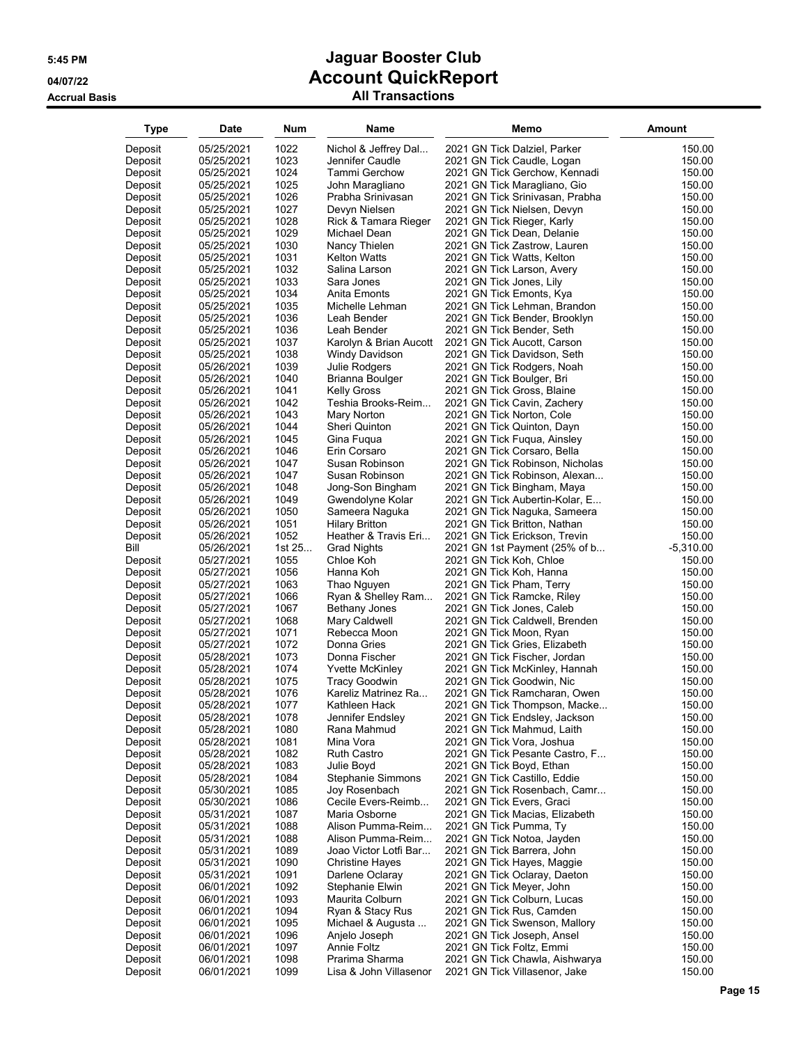| Type               | Date                     | <b>Num</b>   | Name                     | Memo                                                    | <b>Amount</b>    |
|--------------------|--------------------------|--------------|--------------------------|---------------------------------------------------------|------------------|
| Deposit            | 05/25/2021               | 1022         | Nichol & Jeffrey Dal     | 2021 GN Tick Dalziel, Parker                            | 150.00           |
| Deposit            | 05/25/2021               | 1023         | Jennifer Caudle          | 2021 GN Tick Caudle, Logan                              | 150.00           |
| Deposit            | 05/25/2021               | 1024         | Tammi Gerchow            | 2021 GN Tick Gerchow, Kennadi                           | 150.00           |
| Deposit            | 05/25/2021               | 1025         | John Maragliano          | 2021 GN Tick Maragliano, Gio                            | 150.00           |
| Deposit            | 05/25/2021               | 1026         | Prabha Srinivasan        | 2021 GN Tick Srinivasan, Prabha                         | 150.00           |
| Deposit            | 05/25/2021               | 1027         | Devyn Nielsen            | 2021 GN Tick Nielsen, Devyn                             | 150.00           |
| Deposit            | 05/25/2021               | 1028         | Rick & Tamara Rieger     | 2021 GN Tick Rieger, Karly                              | 150.00           |
| Deposit            | 05/25/2021               | 1029         | Michael Dean             | 2021 GN Tick Dean, Delanie                              | 150.00           |
| Deposit            | 05/25/2021               | 1030         | Nancy Thielen            | 2021 GN Tick Zastrow, Lauren                            | 150.00           |
| Deposit            | 05/25/2021               | 1031         | <b>Kelton Watts</b>      | 2021 GN Tick Watts, Kelton                              | 150.00           |
| Deposit            | 05/25/2021               | 1032         | Salina Larson            | 2021 GN Tick Larson, Avery                              | 150.00           |
| Deposit            | 05/25/2021               | 1033         | Sara Jones               | 2021 GN Tick Jones, Lily                                | 150.00           |
| Deposit            | 05/25/2021               | 1034         | Anita Emonts             | 2021 GN Tick Emonts, Kya                                | 150.00           |
| Deposit            | 05/25/2021               | 1035         | Michelle Lehman          | 2021 GN Tick Lehman, Brandon                            | 150.00           |
| Deposit            | 05/25/2021               | 1036         | Leah Bender              | 2021 GN Tick Bender, Brooklyn                           | 150.00           |
| Deposit            | 05/25/2021               | 1036         | Leah Bender              | 2021 GN Tick Bender, Seth                               | 150.00           |
| Deposit            | 05/25/2021               | 1037         | Karolyn & Brian Aucott   | 2021 GN Tick Aucott, Carson                             | 150.00           |
| Deposit            | 05/25/2021               | 1038         | Windy Davidson           | 2021 GN Tick Davidson, Seth                             | 150.00           |
| Deposit            | 05/26/2021               | 1039         | Julie Rodgers            | 2021 GN Tick Rodgers, Noah                              | 150.00           |
| Deposit            | 05/26/2021               | 1040         | Brianna Boulger          | 2021 GN Tick Boulger, Bri                               | 150.00           |
| Deposit            | 05/26/2021               | 1041         | <b>Kelly Gross</b>       | 2021 GN Tick Gross, Blaine                              | 150.00           |
| Deposit            | 05/26/2021               | 1042         | Teshia Brooks-Reim       | 2021 GN Tick Cavin, Zachery                             | 150.00           |
| Deposit            | 05/26/2021               | 1043         | Mary Norton              | 2021 GN Tick Norton, Cole                               | 150.00           |
| Deposit            | 05/26/2021               | 1044         | Sheri Quinton            | 2021 GN Tick Quinton, Dayn                              | 150.00           |
| Deposit            | 05/26/2021               | 1045         | Gina Fugua               | 2021 GN Tick Fuqua, Ainsley                             | 150.00           |
| Deposit            | 05/26/2021               | 1046         | Erin Corsaro             | 2021 GN Tick Corsaro, Bella                             | 150.00           |
| Deposit            | 05/26/2021               | 1047         | Susan Robinson           | 2021 GN Tick Robinson, Nicholas                         | 150.00           |
| Deposit            | 05/26/2021               | 1047         | Susan Robinson           | 2021 GN Tick Robinson, Alexan                           | 150.00           |
| Deposit            | 05/26/2021               | 1048         | Jong-Son Bingham         | 2021 GN Tick Bingham, Maya                              | 150.00           |
| Deposit            | 05/26/2021               | 1049         | Gwendolyne Kolar         | 2021 GN Tick Aubertin-Kolar, E                          | 150.00           |
| Deposit            | 05/26/2021               | 1050         | Sameera Naguka           | 2021 GN Tick Naguka, Sameera                            | 150.00           |
| Deposit            | 05/26/2021               | 1051         | <b>Hilary Britton</b>    | 2021 GN Tick Britton, Nathan                            | 150.00           |
| Deposit            | 05/26/2021               | 1052         | Heather & Travis Eri     | 2021 GN Tick Erickson, Trevin                           | 150.00           |
| Bill               | 05/26/2021               | 1st 25       | <b>Grad Nights</b>       | 2021 GN 1st Payment (25% of b                           | $-5,310.00$      |
| Deposit            | 05/27/2021               | 1055         | Chloe Koh                | 2021 GN Tick Koh, Chloe                                 | 150.00           |
| Deposit            | 05/27/2021               | 1056         | Hanna Koh                | 2021 GN Tick Koh, Hanna                                 | 150.00           |
| Deposit            | 05/27/2021               | 1063         | Thao Nguyen              | 2021 GN Tick Pham, Terry                                | 150.00           |
| Deposit            | 05/27/2021               | 1066         | Ryan & Shelley Ram       | 2021 GN Tick Ramcke, Riley                              | 150.00           |
| Deposit            | 05/27/2021               | 1067         | Bethany Jones            | 2021 GN Tick Jones, Caleb                               | 150.00           |
| Deposit            | 05/27/2021               | 1068         | Mary Caldwell            | 2021 GN Tick Caldwell, Brenden                          | 150.00           |
| Deposit            | 05/27/2021               | 1071         | Rebecca Moon             | 2021 GN Tick Moon, Ryan                                 | 150.00           |
| Deposit            | 05/27/2021               | 1072         | Donna Gries              | 2021 GN Tick Gries, Elizabeth                           | 150.00           |
| Deposit            | 05/28/2021               | 1073         | Donna Fischer            | 2021 GN Tick Fischer, Jordan                            | 150.00           |
| Deposit            | 05/28/2021               | 1074         | <b>Yvette McKinley</b>   | 2021 GN Tick McKinley, Hannah                           | 150.00           |
| Deposit            | 05/28/2021               | 1075         | <b>Tracy Goodwin</b>     | 2021 GN Tick Goodwin, Nic                               | 150.00           |
| Deposit            | 05/28/2021               | 1076         | Kareliz Matrinez Ra      | 2021 GN Tick Ramcharan, Owen                            | 150.00           |
| Deposit            | 05/28/2021               | 1077         | Kathleen Hack            | 2021 GN Tick Thompson, Macke                            | 150.00           |
| Deposit            | 05/28/2021               | 1078         | Jennifer Endsley         | 2021 GN Tick Endsley, Jackson                           | 150.00           |
| Deposit<br>Deposit | 05/28/2021<br>05/28/2021 | 1080<br>1081 | Rana Mahmud<br>Mina Vora | 2021 GN Tick Mahmud, Laith<br>2021 GN Tick Vora, Joshua | 150.00<br>150.00 |
| Deposit            | 05/28/2021               | 1082         | <b>Ruth Castro</b>       | 2021 GN Tick Pesante Castro, F                          | 150.00           |
| Deposit            | 05/28/2021               | 1083         | Julie Boyd               | 2021 GN Tick Boyd, Ethan                                | 150.00           |
| Deposit            | 05/28/2021               | 1084         | Stephanie Simmons        | 2021 GN Tick Castillo, Eddie                            | 150.00           |
| Deposit            | 05/30/2021               | 1085         | Joy Rosenbach            | 2021 GN Tick Rosenbach, Camr                            | 150.00           |
| Deposit            | 05/30/2021               | 1086         | Cecile Evers-Reimb       | 2021 GN Tick Evers, Graci                               | 150.00           |
| Deposit            | 05/31/2021               | 1087         | Maria Osborne            | 2021 GN Tick Macias, Elizabeth                          | 150.00           |
| Deposit            | 05/31/2021               | 1088         | Alison Pumma-Reim        | 2021 GN Tick Pumma, Ty                                  | 150.00           |
| Deposit            | 05/31/2021               | 1088         | Alison Pumma-Reim        | 2021 GN Tick Notoa, Jayden                              | 150.00           |
| Deposit            | 05/31/2021               | 1089         | Joao Victor Lotfi Bar    | 2021 GN Tick Barrera, John                              | 150.00           |
| Deposit            | 05/31/2021               | 1090         | <b>Christine Haves</b>   | 2021 GN Tick Hayes, Maggie                              | 150.00           |
| Deposit            | 05/31/2021               | 1091         | Darlene Oclaray          | 2021 GN Tick Oclaray, Daeton                            | 150.00           |
| Deposit            | 06/01/2021               | 1092         | Stephanie Elwin          | 2021 GN Tick Meyer, John                                | 150.00           |
| Deposit            | 06/01/2021               | 1093         | Maurita Colburn          | 2021 GN Tick Colburn, Lucas                             | 150.00           |
| Deposit            | 06/01/2021               | 1094         | Ryan & Stacy Rus         | 2021 GN Tick Rus, Camden                                | 150.00           |
| Deposit            | 06/01/2021               | 1095         | Michael & Augusta        | 2021 GN Tick Swenson, Mallory                           | 150.00           |
| Deposit            | 06/01/2021               | 1096         | Anjelo Joseph            | 2021 GN Tick Joseph, Ansel                              | 150.00           |
| Deposit            | 06/01/2021               | 1097         | Annie Foltz              | 2021 GN Tick Foltz, Emmi                                | 150.00           |
| Deposit            | 06/01/2021               | 1098         | Prarima Sharma           | 2021 GN Tick Chawla, Aishwarya                          | 150.00           |
| Deposit            | 06/01/2021               | 1099         | Lisa & John Villasenor   | 2021 GN Tick Villasenor, Jake                           | 150.00           |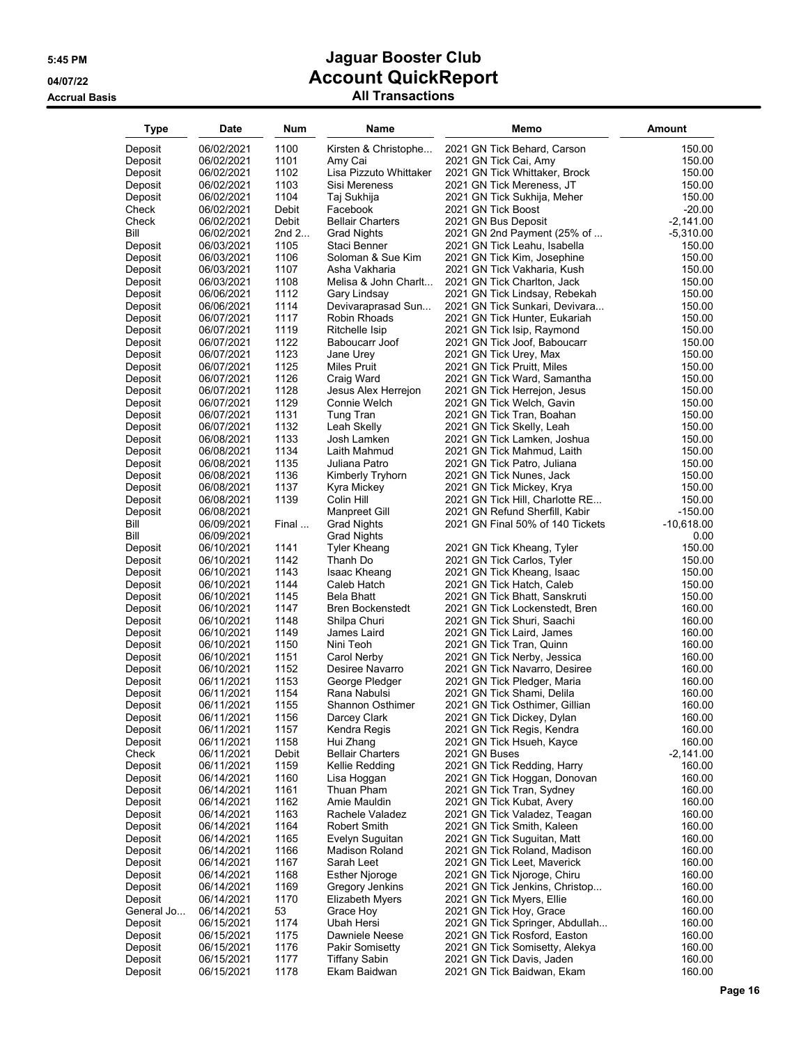| <b>All Transactions</b> |  |
|-------------------------|--|
|-------------------------|--|

| Type       | Date       | Num     | Name                    | Memo                             | <b>Amount</b> |
|------------|------------|---------|-------------------------|----------------------------------|---------------|
| Deposit    | 06/02/2021 | 1100    | Kirsten & Christophe    | 2021 GN Tick Behard, Carson      | 150.00        |
| Deposit    | 06/02/2021 | 1101    | Amy Cai                 | 2021 GN Tick Cai, Amy            | 150.00        |
| Deposit    | 06/02/2021 | 1102    | Lisa Pizzuto Whittaker  | 2021 GN Tick Whittaker, Brock    | 150.00        |
| Deposit    | 06/02/2021 | 1103    | Sisi Mereness           | 2021 GN Tick Mereness, JT        | 150.00        |
| Deposit    | 06/02/2021 | 1104    | Taj Sukhija             | 2021 GN Tick Sukhija, Meher      | 150.00        |
| Check      | 06/02/2021 | Debit   | Facebook                | 2021 GN Tick Boost               | $-20.00$      |
| Check      | 06/02/2021 | Debit   | <b>Bellair Charters</b> | 2021 GN Bus Deposit              | $-2,141.00$   |
| Bill       | 06/02/2021 | 2nd $2$ | <b>Grad Nights</b>      | 2021 GN 2nd Payment (25% of      | $-5,310.00$   |
| Deposit    | 06/03/2021 | 1105    | Staci Benner            | 2021 GN Tick Leahu, Isabella     | 150.00        |
| Deposit    | 06/03/2021 | 1106    | Soloman & Sue Kim       | 2021 GN Tick Kim, Josephine      | 150.00        |
| Deposit    | 06/03/2021 | 1107    | Asha Vakharia           | 2021 GN Tick Vakharia, Kush      | 150.00        |
| Deposit    | 06/03/2021 | 1108    | Melisa & John Charlt    | 2021 GN Tick Charlton, Jack      | 150.00        |
| Deposit    | 06/06/2021 | 1112    | Gary Lindsay            | 2021 GN Tick Lindsay, Rebekah    | 150.00        |
| Deposit    | 06/06/2021 | 1114    | Devivaraprasad Sun      | 2021 GN Tick Sunkari, Devivara   | 150.00        |
| Deposit    | 06/07/2021 | 1117    | Robin Rhoads            | 2021 GN Tick Hunter, Eukariah    | 150.00        |
| Deposit    | 06/07/2021 | 1119    | Ritchelle Isip          | 2021 GN Tick Isip, Raymond       | 150.00        |
| Deposit    | 06/07/2021 | 1122    | Baboucarr Joof          | 2021 GN Tick Joof, Baboucarr     | 150.00        |
| Deposit    | 06/07/2021 | 1123    | Jane Urey               | 2021 GN Tick Urey, Max           | 150.00        |
| Deposit    | 06/07/2021 | 1125    | Miles Pruit             | 2021 GN Tick Pruitt, Miles       | 150.00        |
| Deposit    | 06/07/2021 | 1126    | Craig Ward              | 2021 GN Tick Ward, Samantha      | 150.00        |
| Deposit    | 06/07/2021 | 1128    | Jesus Alex Herrejon     | 2021 GN Tick Herrejon, Jesus     | 150.00        |
| Deposit    | 06/07/2021 | 1129    | Connie Welch            | 2021 GN Tick Welch, Gavin        | 150.00        |
| Deposit    | 06/07/2021 | 1131    | Tung Tran               | 2021 GN Tick Tran, Boahan        | 150.00        |
| Deposit    | 06/07/2021 | 1132    | Leah Skelly             | 2021 GN Tick Skelly, Leah        | 150.00        |
| Deposit    | 06/08/2021 | 1133    | Josh Lamken             | 2021 GN Tick Lamken, Joshua      | 150.00        |
| Deposit    | 06/08/2021 | 1134    | Laith Mahmud            | 2021 GN Tick Mahmud, Laith       | 150.00        |
| Deposit    | 06/08/2021 | 1135    | Juliana Patro           | 2021 GN Tick Patro, Juliana      | 150.00        |
| Deposit    | 06/08/2021 | 1136    | Kimberly Tryhorn        | 2021 GN Tick Nunes, Jack         | 150.00        |
| Deposit    | 06/08/2021 | 1137    | Kyra Mickey             | 2021 GN Tick Mickey, Krya        | 150.00        |
| Deposit    | 06/08/2021 | 1139    | Colin Hill              | 2021 GN Tick Hill, Charlotte RE  | 150.00        |
| Deposit    | 06/08/2021 |         | Manpreet Gill           | 2021 GN Refund Sherfill, Kabir   | $-150.00$     |
| Bill       | 06/09/2021 | Final   | <b>Grad Nights</b>      | 2021 GN Final 50% of 140 Tickets | -10,618.00    |
| Bill       | 06/09/2021 |         | Grad Nights             |                                  | 0.00          |
| Deposit    | 06/10/2021 | 1141    | Tyler Kheang            | 2021 GN Tick Kheang, Tyler       | 150.00        |
| Deposit    | 06/10/2021 | 1142    | Thanh Do                | 2021 GN Tick Carlos, Tyler       | 150.00        |
| Deposit    | 06/10/2021 | 1143    | Isaac Kheang            | 2021 GN Tick Kheang, Isaac       | 150.00        |
| Deposit    | 06/10/2021 | 1144    | Caleb Hatch             | 2021 GN Tick Hatch, Caleb        | 150.00        |
| Deposit    | 06/10/2021 | 1145    | Bela Bhatt              | 2021 GN Tick Bhatt, Sanskruti    | 150.00        |
| Deposit    | 06/10/2021 | 1147    | Bren Bockenstedt        | 2021 GN Tick Lockenstedt, Bren   | 160.00        |
| Deposit    | 06/10/2021 | 1148    | Shilpa Churi            | 2021 GN Tick Shuri, Saachi       | 160.00        |
| Deposit    | 06/10/2021 | 1149    | James Laird             | 2021 GN Tick Laird, James        | 160.00        |
| Deposit    | 06/10/2021 | 1150    | Nini Teoh               | 2021 GN Tick Tran, Quinn         | 160.00        |
| Deposit    | 06/10/2021 | 1151    | Carol Nerby             | 2021 GN Tick Nerby, Jessica      | 160.00        |
| Deposit    | 06/10/2021 | 1152    | Desiree Navarro         | 2021 GN Tick Navarro, Desiree    | 160.00        |
| Deposit    | 06/11/2021 | 1153    | George Pledger          | 2021 GN Tick Pledger, Maria      | 160.00        |
| Deposit    | 06/11/2021 | 1154    | Rana Nabulsi            | 2021 GN Tick Shami, Delila       | 160.00        |
| Deposit    | 06/11/2021 | 1155    | Shannon Osthimer        | 2021 GN Tick Osthimer, Gillian   | 160.00        |
| Deposit    | 06/11/2021 | 1156    | Darcey Clark            | 2021 GN Tick Dickey, Dylan       | 160.00        |
| Deposit    | 06/11/2021 | 1157    | Kendra Regis            | 2021 GN Tick Regis, Kendra       | 160.00        |
| Deposit    | 06/11/2021 | 1158    | Hui Zhang               | 2021 GN Tick Hsueh, Kayce        | 160.00        |
| Check      | 06/11/2021 | Debit   | <b>Bellair Charters</b> | 2021 GN Buses                    | $-2,141.00$   |
| Deposit    | 06/11/2021 | 1159    | Kellie Redding          | 2021 GN Tick Redding, Harry      | 160.00        |
| Deposit    | 06/14/2021 | 1160    | Lisa Hoggan             | 2021 GN Tick Hoggan, Donovan     | 160.00        |
| Deposit    | 06/14/2021 | 1161    | Thuan Pham              | 2021 GN Tick Tran, Sydney        | 160.00        |
| Deposit    | 06/14/2021 | 1162    | Amie Mauldin            | 2021 GN Tick Kubat, Avery        | 160.00        |
| Deposit    | 06/14/2021 | 1163    | Rachele Valadez         | 2021 GN Tick Valadez, Teagan     | 160.00        |
| Deposit    | 06/14/2021 | 1164    | Robert Smith            | 2021 GN Tick Smith, Kaleen       | 160.00        |
| Deposit    | 06/14/2021 | 1165    | Evelyn Suguitan         | 2021 GN Tick Suguitan, Matt      | 160.00        |
| Deposit    | 06/14/2021 | 1166    | Madison Roland          | 2021 GN Tick Roland, Madison     | 160.00        |
| Deposit    | 06/14/2021 | 1167    | Sarah Leet              | 2021 GN Tick Leet, Maverick      | 160.00        |
| Deposit    | 06/14/2021 | 1168    | <b>Esther Njoroge</b>   | 2021 GN Tick Njoroge, Chiru      | 160.00        |
| Deposit    | 06/14/2021 | 1169    | Gregory Jenkins         | 2021 GN Tick Jenkins, Christop   | 160.00        |
| Deposit    | 06/14/2021 | 1170    | <b>Elizabeth Myers</b>  | 2021 GN Tick Myers, Ellie        | 160.00        |
| General Jo | 06/14/2021 | 53      | Grace Hoy               | 2021 GN Tick Hoy, Grace          | 160.00        |
| Deposit    | 06/15/2021 | 1174    | Ubah Hersi              | 2021 GN Tick Springer, Abdullah  | 160.00        |
| Deposit    | 06/15/2021 | 1175    | Dawniele Neese          | 2021 GN Tick Rosford, Easton     | 160.00        |
| Deposit    | 06/15/2021 | 1176    | <b>Pakir Somisetty</b>  | 2021 GN Tick Somisetty, Alekya   | 160.00        |
| Deposit    | 06/15/2021 | 1177    | Tiffany Sabin           | 2021 GN Tick Davis, Jaden        | 160.00        |
| Deposit    | 06/15/2021 | 1178    | Ekam Baidwan            | 2021 GN Tick Baidwan, Ekam       | 160.00        |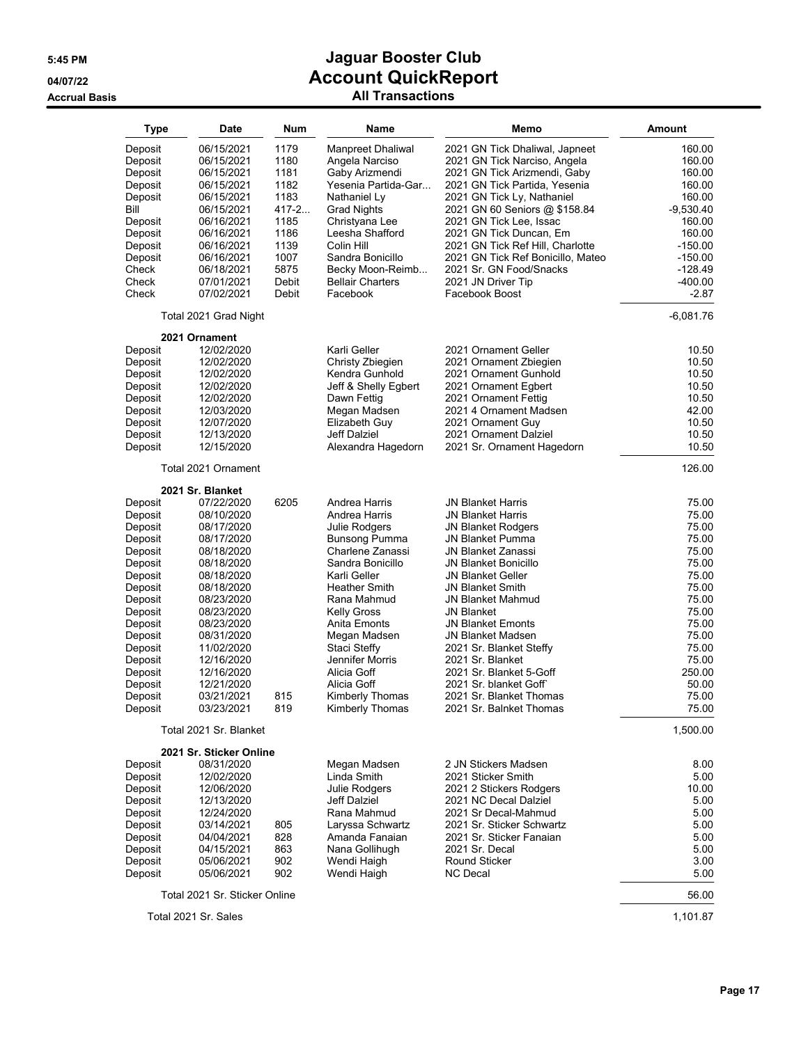| All Transactions |  |
|------------------|--|
|------------------|--|

| <b>Type</b>     | Date                          | Num   | Name                               | Memo                              | <b>Amount</b> |
|-----------------|-------------------------------|-------|------------------------------------|-----------------------------------|---------------|
| Deposit         | 06/15/2021                    | 1179  | Manpreet Dhaliwal                  | 2021 GN Tick Dhaliwal, Japneet    | 160.00        |
| Deposit         | 06/15/2021                    | 1180  | Angela Narciso                     | 2021 GN Tick Narciso, Angela      | 160.00        |
| Deposit         | 06/15/2021                    | 1181  | Gaby Arizmendi                     | 2021 GN Tick Arizmendi, Gaby      | 160.00        |
|                 |                               | 1182  | Yesenia Partida-Gar                | 2021 GN Tick Partida, Yesenia     | 160.00        |
| Deposit         | 06/15/2021<br>06/15/2021      | 1183  |                                    |                                   | 160.00        |
| Deposit<br>Bill | 06/15/2021                    | 417-2 | Nathaniel Ly<br><b>Grad Nights</b> | 2021 GN Tick Ly, Nathaniel        | $-9,530.40$   |
|                 |                               | 1185  |                                    | 2021 GN 60 Seniors @ \$158.84     | 160.00        |
| Deposit         | 06/16/2021                    |       | Christyana Lee                     | 2021 GN Tick Lee, Issac           |               |
| Deposit         | 06/16/2021                    | 1186  | Leesha Shafford                    | 2021 GN Tick Duncan, Em           | 160.00        |
| Deposit         | 06/16/2021                    | 1139  | Colin Hill                         | 2021 GN Tick Ref Hill, Charlotte  | $-150.00$     |
| Deposit         | 06/16/2021                    | 1007  | Sandra Bonicillo                   | 2021 GN Tick Ref Bonicillo, Mateo | $-150.00$     |
| Check           | 06/18/2021                    | 5875  | Becky Moon-Reimb                   | 2021 Sr. GN Food/Snacks           | $-128.49$     |
| Check           | 07/01/2021                    | Debit | <b>Bellair Charters</b>            | 2021 JN Driver Tip                | $-400.00$     |
| Check           | 07/02/2021                    | Debit | Facebook                           | Facebook Boost                    | $-2.87$       |
|                 | Total 2021 Grad Night         |       |                                    |                                   | $-6,081.76$   |
|                 | 2021 Ornament                 |       |                                    |                                   |               |
| Deposit         | 12/02/2020                    |       | Karli Geller                       | 2021 Ornament Geller              | 10.50         |
| Deposit         | 12/02/2020                    |       | Christy Zbiegien                   | 2021 Ornament Zbiegien            | 10.50         |
| Deposit         | 12/02/2020                    |       | Kendra Gunhold                     | 2021 Ornament Gunhold             | 10.50         |
| Deposit         | 12/02/2020                    |       | Jeff & Shelly Egbert               | 2021 Ornament Egbert              | 10.50         |
| Deposit         | 12/02/2020                    |       | Dawn Fettig                        | 2021 Ornament Fettig              | 10.50         |
| Deposit         | 12/03/2020                    |       | Megan Madsen                       | 2021 4 Ornament Madsen            | 42.00         |
| Deposit         | 12/07/2020                    |       | Elizabeth Guy                      | 2021 Ornament Guy                 | 10.50         |
| Deposit         | 12/13/2020                    |       | <b>Jeff Dalziel</b>                | 2021 Ornament Dalziel             | 10.50         |
| Deposit         | 12/15/2020                    |       | Alexandra Hagedorn                 | 2021 Sr. Ornament Hagedorn        | 10.50         |
|                 | Total 2021 Ornament           |       |                                    |                                   | 126.00        |
|                 | 2021 Sr. Blanket              |       |                                    |                                   |               |
| Deposit         | 07/22/2020                    | 6205  | Andrea Harris                      | JN Blanket Harris                 | 75.00         |
| Deposit         | 08/10/2020                    |       | Andrea Harris                      | JN Blanket Harris                 | 75.00         |
| Deposit         | 08/17/2020                    |       | Julie Rodgers                      | <b>JN Blanket Rodgers</b>         | 75.00         |
| Deposit         | 08/17/2020                    |       | <b>Bunsong Pumma</b>               | JN Blanket Pumma                  | 75.00         |
| Deposit         | 08/18/2020                    |       | Charlene Zanassi                   | JN Blanket Zanassi                | 75.00         |
| Deposit         | 08/18/2020                    |       | Sandra Bonicillo                   | JN Blanket Bonicillo              | 75.00         |
| Deposit         | 08/18/2020                    |       | Karli Geller                       | <b>JN Blanket Geller</b>          | 75.00         |
| Deposit         | 08/18/2020                    |       | <b>Heather Smith</b>               | <b>JN Blanket Smith</b>           | 75.00         |
| Deposit         | 08/23/2020                    |       | Rana Mahmud                        | JN Blanket Mahmud                 | 75.00         |
| Deposit         | 08/23/2020                    |       | <b>Kelly Gross</b>                 | <b>JN Blanket</b>                 | 75.00         |
| Deposit         | 08/23/2020                    |       | Anita Emonts                       | <b>JN Blanket Emonts</b>          | 75.00         |
| Deposit         | 08/31/2020                    |       | Megan Madsen                       | <b>JN Blanket Madsen</b>          | 75.00         |
| Deposit         | 11/02/2020                    |       | Staci Steffy                       | 2021 Sr. Blanket Steffy           | 75.00         |
| Deposit         | 12/16/2020                    |       | Jennifer Morris                    | 2021 Sr. Blanket                  | 75.00         |
| Deposit         | 12/16/2020                    |       | Alicia Goff                        | 2021 Sr. Blanket 5-Goff           | 250.00        |
| Deposit         | 12/21/2020                    |       | Alicia Goff                        | 2021 Sr. blanket Goff             | 50.00         |
| Deposit         | 03/21/2021                    | 815   | Kimberly Thomas                    | 2021 Sr. Blanket Thomas           | 75.00         |
| Deposit         | 03/23/2021                    | 819   | Kimberly Thomas                    | 2021 Sr. Balnket Thomas           | 75.00         |
|                 | Total 2021 Sr. Blanket        |       |                                    |                                   | 1,500.00      |
|                 | 2021 Sr. Sticker Online       |       |                                    |                                   |               |
| Deposit         | 08/31/2020                    |       | Megan Madsen                       | 2 JN Stickers Madsen              | 8.00          |
| Deposit         | 12/02/2020                    |       | Linda Smith                        | 2021 Sticker Smith                | 5.00          |
| Deposit         | 12/06/2020                    |       | Julie Rodgers                      | 2021 2 Stickers Rodgers           | 10.00         |
| Deposit         | 12/13/2020                    |       | Jeff Dalziel                       | 2021 NC Decal Dalziel             | 5.00          |
| Deposit         | 12/24/2020                    |       | Rana Mahmud                        | 2021 Sr Decal-Mahmud              | 5.00          |
| Deposit         | 03/14/2021                    | 805   | Laryssa Schwartz                   | 2021 Sr. Sticker Schwartz         | 5.00          |
| Deposit         | 04/04/2021                    | 828   | Amanda Fanaian                     | 2021 Sr. Sticker Fanaian          | 5.00          |
| Deposit         | 04/15/2021                    | 863   | Nana Gollihugh                     | 2021 Sr. Decal                    | 5.00          |
| Deposit         | 05/06/2021                    | 902   | Wendi Haigh                        | Round Sticker                     | 3.00          |
| Deposit         | 05/06/2021                    | 902   | Wendi Haigh                        | <b>NC Decal</b>                   | 5.00          |
|                 |                               |       |                                    |                                   |               |
|                 | Total 2021 Sr. Sticker Online |       |                                    |                                   | 56.00         |
|                 | Total 2021 Sr. Sales          |       |                                    |                                   | 1,101.87      |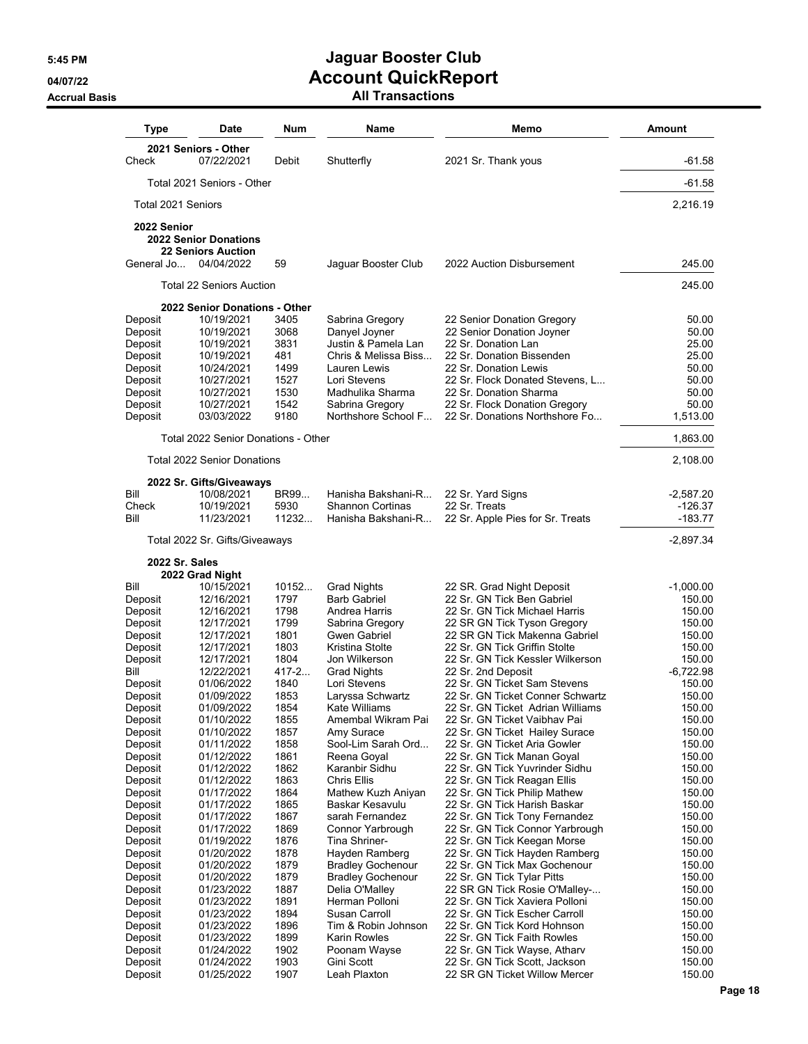| Type                      | Date                                                                    | Num          | <b>Name</b>                                | Memo                                                              | <b>Amount</b>    |
|---------------------------|-------------------------------------------------------------------------|--------------|--------------------------------------------|-------------------------------------------------------------------|------------------|
| Check                     | 2021 Seniors - Other<br>07/22/2021                                      | Debit        | Shutterfly                                 | 2021 Sr. Thank yous                                               | $-61.58$         |
|                           | Total 2021 Seniors - Other                                              |              |                                            |                                                                   | $-61.58$         |
| Total 2021 Seniors        |                                                                         |              |                                            |                                                                   | 2,216.19         |
| 2022 Senior<br>General Jo | <b>2022 Senior Donations</b><br><b>22 Seniors Auction</b><br>04/04/2022 | 59           | Jaquar Booster Club                        | 2022 Auction Disbursement                                         | 245.00           |
|                           |                                                                         |              |                                            |                                                                   |                  |
|                           | <b>Total 22 Seniors Auction</b>                                         |              |                                            |                                                                   | 245.00           |
| Deposit                   | 2022 Senior Donations - Other<br>10/19/2021                             | 3405         | Sabrina Gregory                            | 22 Senior Donation Gregory                                        | 50.00            |
| Deposit                   | 10/19/2021                                                              | 3068         | Danyel Joyner                              | 22 Senior Donation Joyner                                         | 50.00            |
| Deposit                   | 10/19/2021                                                              | 3831         | Justin & Pamela Lan                        | 22 Sr. Donation Lan                                               | 25.00            |
| Deposit                   | 10/19/2021                                                              | 481          | Chris & Melissa Biss                       | 22 Sr. Donation Bissenden                                         | 25.00            |
| Deposit                   | 10/24/2021                                                              | 1499         | Lauren Lewis                               | 22 Sr. Donation Lewis                                             | 50.00            |
| Deposit                   | 10/27/2021                                                              | 1527         | Lori Stevens                               | 22 Sr. Flock Donated Stevens, L                                   | 50.00            |
| Deposit<br>Deposit        | 10/27/2021<br>10/27/2021                                                | 1530<br>1542 | Madhulika Sharma<br>Sabrina Gregory        | 22 Sr. Donation Sharma<br>22 Sr. Flock Donation Gregory           | 50.00<br>50.00   |
| Deposit                   | 03/03/2022                                                              | 9180         | Northshore School F                        | 22 Sr. Donations Northshore Fo                                    | 1,513.00         |
|                           | Total 2022 Senior Donations - Other                                     |              |                                            |                                                                   | 1,863.00         |
|                           | <b>Total 2022 Senior Donations</b>                                      |              |                                            |                                                                   | 2,108.00         |
|                           | 2022 Sr. Gifts/Giveaways                                                |              |                                            |                                                                   |                  |
| Bill                      | 10/08/2021                                                              | BR99         | Hanisha Bakshani-R                         | 22 Sr. Yard Signs                                                 | -2,587.20        |
| Check                     | 10/19/2021                                                              | 5930         | <b>Shannon Cortinas</b>                    | 22 Sr. Treats                                                     | $-126.37$        |
| Bill                      | 11/23/2021                                                              | 11232        | Hanisha Bakshani-R                         | 22 Sr. Apple Pies for Sr. Treats                                  | $-183.77$        |
|                           | Total 2022 Sr. Gifts/Giveaways                                          |              |                                            |                                                                   | $-2,897.34$      |
|                           | 2022 Sr. Sales                                                          |              |                                            |                                                                   |                  |
| Bill                      | 2022 Grad Night<br>10/15/2021                                           | 10152        | Grad Nights                                | 22 SR. Grad Night Deposit                                         | $-1,000.00$      |
| Deposit                   | 12/16/2021                                                              | 1797         | <b>Barb Gabriel</b>                        | 22 Sr. GN Tick Ben Gabriel                                        | 150.00           |
| Deposit                   | 12/16/2021                                                              | 1798         | Andrea Harris                              | 22 Sr. GN Tick Michael Harris                                     | 150.00           |
| Deposit                   | 12/17/2021                                                              | 1799         | Sabrina Gregory                            | 22 SR GN Tick Tyson Gregory                                       | 150.00           |
| Deposit                   | 12/17/2021                                                              | 1801         | Gwen Gabriel                               | 22 SR GN Tick Makenna Gabriel                                     | 150.00           |
| Deposit<br>Deposit        | 12/17/2021<br>12/17/2021                                                | 1803<br>1804 | Kristina Stolte<br>Jon Wilkerson           | 22 Sr. GN Tick Griffin Stolte<br>22 Sr. GN Tick Kessler Wilkerson | 150.00<br>150.00 |
| Bill                      | 12/22/2021                                                              | 417-2        | <b>Grad Nights</b>                         | 22 Sr. 2nd Deposit                                                | $-6,722.98$      |
| Deposit                   | 01/06/2022                                                              | 1840         | Lori Stevens                               | 22 Sr. GN Ticket Sam Stevens                                      | 150.00           |
| Deposit                   | 01/09/2022                                                              | 1853         | Laryssa Schwartz                           | 22 Sr. GN Ticket Conner Schwartz                                  | 150.00           |
| Deposit                   | 01/09/2022                                                              | 1854         | Kate Williams                              | 22 Sr. GN Ticket Adrian Williams                                  | 150.00           |
| Deposit                   | 01/10/2022                                                              | 1855<br>1857 | Amembal Wikram Pai                         | 22 Sr. GN Ticket Vaibhav Pai<br>22 Sr. GN Ticket Hailey Surace    | 150.00<br>150.00 |
| Deposit<br>Deposit        | 01/10/2022<br>01/11/2022                                                | 1858         | Amy Surace<br>Sool-Lim Sarah Ord           | 22 Sr. GN Ticket Aria Gowler                                      | 150.00           |
| Deposit                   | 01/12/2022                                                              | 1861         | Reena Goyal                                | 22 Sr. GN Tick Manan Goyal                                        | 150.00           |
| Deposit                   | 01/12/2022                                                              | 1862         | Karanbir Sidhu                             | 22 Sr. GN Tick Yuvrinder Sidhu                                    | 150.00           |
| Deposit                   | 01/12/2022                                                              | 1863         | Chris Ellis                                | 22 Sr. GN Tick Reagan Ellis                                       | 150.00           |
| Deposit                   | 01/17/2022                                                              | 1864         | Mathew Kuzh Aniyan                         | 22 Sr. GN Tick Philip Mathew                                      | 150.00           |
| Deposit<br>Deposit        | 01/17/2022<br>01/17/2022                                                | 1865<br>1867 | Baskar Kesavulu<br>sarah Fernandez         | 22 Sr. GN Tick Harish Baskar<br>22 Sr. GN Tick Tony Fernandez     | 150.00<br>150.00 |
| Deposit                   | 01/17/2022                                                              | 1869         | Connor Yarbrough                           | 22 Sr. GN Tick Connor Yarbrough                                   | 150.00           |
| Deposit                   | 01/19/2022                                                              | 1876         | Tina Shriner-                              | 22 Sr. GN Tick Keegan Morse                                       | 150.00           |
| Deposit                   | 01/20/2022                                                              | 1878         | Hayden Ramberg                             | 22 Sr. GN Tick Hayden Ramberg                                     | 150.00           |
| Deposit                   | 01/20/2022                                                              | 1879         | <b>Bradley Gochenour</b>                   | 22 Sr. GN Tick Max Gochenour                                      | 150.00           |
| Deposit<br>Deposit        | 01/20/2022<br>01/23/2022                                                | 1879<br>1887 | <b>Bradley Gochenour</b><br>Delia O'Malley | 22 Sr. GN Tick Tylar Pitts<br>22 SR GN Tick Rosie O'Malley-       | 150.00<br>150.00 |
| Deposit                   | 01/23/2022                                                              | 1891         | Herman Polloni                             | 22 Sr. GN Tick Xaviera Polloni                                    | 150.00           |
| Deposit                   | 01/23/2022                                                              | 1894         | Susan Carroll                              | 22 Sr. GN Tick Escher Carroll                                     | 150.00           |
| Deposit                   | 01/23/2022                                                              | 1896         | Tim & Robin Johnson                        | 22 Sr. GN Tick Kord Hohnson                                       | 150.00           |
| Deposit                   | 01/23/2022                                                              | 1899         | Karin Rowles                               | 22 Sr. GN Tick Faith Rowles                                       | 150.00           |
| Deposit<br>Deposit        | 01/24/2022<br>01/24/2022                                                | 1902<br>1903 | Poonam Wayse<br>Gini Scott                 | 22 Sr. GN Tick Wayse, Atharv<br>22 Sr. GN Tick Scott, Jackson     | 150.00<br>150.00 |
| Deposit                   | 01/25/2022                                                              | 1907         | Leah Plaxton                               | 22 SR GN Ticket Willow Mercer                                     | 150.00           |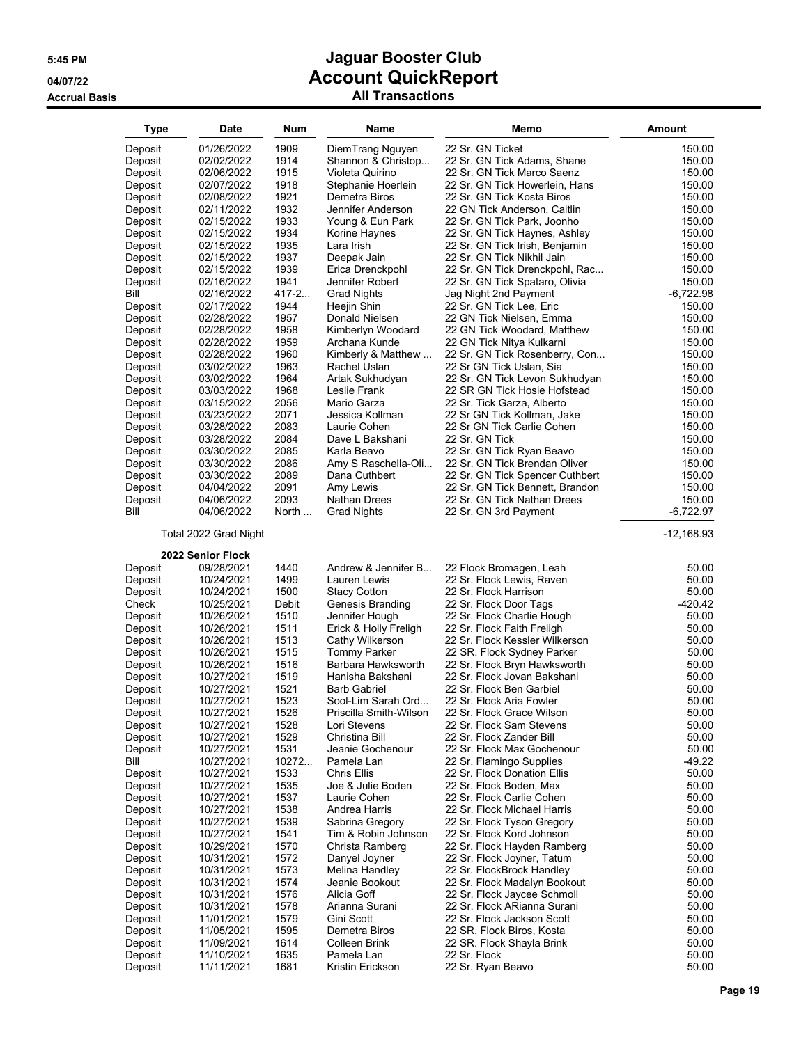| <b>Type</b>        | <b>Date</b>              | Num           | Name                                | Memo                                                    | <b>Amount</b>         |
|--------------------|--------------------------|---------------|-------------------------------------|---------------------------------------------------------|-----------------------|
| Deposit            | 01/26/2022               | 1909          | DiemTrang Nguyen                    | 22 Sr. GN Ticket                                        | 150.00                |
| Deposit            | 02/02/2022               | 1914          | Shannon & Christop                  | 22 Sr. GN Tick Adams, Shane                             | 150.00                |
| Deposit            | 02/06/2022               | 1915          | Violeta Quirino                     | 22 Sr. GN Tick Marco Saenz                              | 150.00                |
| Deposit            | 02/07/2022               | 1918          | Stephanie Hoerlein                  | 22 Sr. GN Tick Howerlein, Hans                          | 150.00                |
| Deposit            | 02/08/2022               | 1921          | Demetra Biros                       | 22 Sr. GN Tick Kosta Biros                              | 150.00                |
| Deposit            | 02/11/2022               | 1932          | Jennifer Anderson                   | 22 GN Tick Anderson, Caitlin                            | 150.00                |
| Deposit            | 02/15/2022               | 1933          | Young & Eun Park                    | 22 Sr. GN Tick Park, Joonho                             | 150.00                |
| Deposit            | 02/15/2022               | 1934          | Korine Haynes                       | 22 Sr. GN Tick Haynes, Ashley                           | 150.00                |
| Deposit            | 02/15/2022               | 1935          | Lara Irish                          | 22 Sr. GN Tick Irish, Benjamin                          | 150.00                |
| Deposit            | 02/15/2022               | 1937          | Deepak Jain                         | 22 Sr. GN Tick Nikhil Jain                              | 150.00                |
| Deposit            | 02/15/2022               | 1939          | Erica Drenckpohl                    | 22 Sr. GN Tick Drenckpohl, Rac                          | 150.00                |
| Deposit            | 02/16/2022               | 1941          | Jennifer Robert                     | 22 Sr. GN Tick Spataro, Olivia                          | 150.00                |
| Bill               | 02/16/2022               | $417 - 2$     | <b>Grad Nights</b>                  | Jag Night 2nd Payment                                   | $-6,722.98$           |
| Deposit            | 02/17/2022<br>02/28/2022 | 1944<br>1957  | Heejin Shin                         | 22 Sr. GN Tick Lee, Eric                                | 150.00<br>150.00      |
| Deposit<br>Deposit | 02/28/2022               | 1958          | Donald Nielsen<br>Kimberlyn Woodard | 22 GN Tick Nielsen, Emma<br>22 GN Tick Woodard, Matthew | 150.00                |
| Deposit            | 02/28/2022               | 1959          | Archana Kunde                       | 22 GN Tick Nitya Kulkarni                               | 150.00                |
| Deposit            | 02/28/2022               | 1960          | Kimberly & Matthew                  | 22 Sr. GN Tick Rosenberry, Con                          | 150.00                |
| Deposit            | 03/02/2022               | 1963          | Rachel Uslan                        | 22 Sr GN Tick Uslan, Sia                                | 150.00                |
| Deposit            | 03/02/2022               | 1964          | Artak Sukhudyan                     | 22 Sr. GN Tick Levon Sukhudyan                          | 150.00                |
| Deposit            | 03/03/2022               | 1968          | Leslie Frank                        | 22 SR GN Tick Hosie Hofstead                            | 150.00                |
| Deposit            | 03/15/2022               | 2056          | Mario Garza                         | 22 Sr. Tick Garza, Alberto                              | 150.00                |
| Deposit            | 03/23/2022               | 2071          | Jessica Kollman                     | 22 Sr GN Tick Kollman, Jake                             | 150.00                |
| Deposit            | 03/28/2022               | 2083          | Laurie Cohen                        | 22 Sr GN Tick Carlie Cohen                              | 150.00                |
| Deposit            | 03/28/2022               | 2084          | Dave L Bakshani                     | 22 Sr. GN Tick                                          | 150.00                |
| Deposit            | 03/30/2022               | 2085          | Karla Beavo                         | 22 Sr. GN Tick Ryan Beavo                               | 150.00                |
| Deposit            | 03/30/2022               | 2086          | Amy S Raschella-Oli                 | 22 Sr. GN Tick Brendan Oliver                           | 150.00                |
| Deposit            | 03/30/2022               | 2089          | Dana Cuthbert                       | 22 Sr. GN Tick Spencer Cuthbert                         | 150.00                |
| Deposit            | 04/04/2022               | 2091          | Amy Lewis                           | 22 Sr. GN Tick Bennett, Brandon                         | 150.00                |
| Deposit<br>Bill    | 04/06/2022<br>04/06/2022 | 2093<br>North | Nathan Drees                        | 22 Sr. GN Tick Nathan Drees                             | 150.00<br>$-6,722.97$ |
|                    |                          |               | <b>Grad Nights</b>                  | 22 Sr. GN 3rd Payment                                   |                       |
|                    | Total 2022 Grad Night    |               |                                     |                                                         | -12,168.93            |
|                    | 2022 Senior Flock        |               |                                     |                                                         |                       |
| Deposit            | 09/28/2021               | 1440          | Andrew & Jennifer B                 | 22 Flock Bromagen, Leah                                 | 50.00                 |
| Deposit            | 10/24/2021               | 1499          | Lauren Lewis                        | 22 Sr. Flock Lewis, Raven                               | 50.00                 |
| Deposit            | 10/24/2021               | 1500          | <b>Stacy Cotton</b>                 | 22 Sr. Flock Harrison                                   | 50.00                 |
| Check              | 10/25/2021<br>10/26/2021 | Debit<br>1510 | Genesis Branding<br>Jennifer Hough  | 22 Sr. Flock Door Tags<br>22 Sr. Flock Charlie Hough    | -420.42<br>50.00      |
| Deposit<br>Deposit | 10/26/2021               | 1511          | Erick & Holly Freligh               | 22 Sr. Flock Faith Freligh                              | 50.00                 |
| Deposit            | 10/26/2021               | 1513          | Cathy Wilkerson                     | 22 Sr. Flock Kessler Wilkerson                          | 50.00                 |
| Deposit            | 10/26/2021               | 1515          | <b>Tommy Parker</b>                 | 22 SR. Flock Sydney Parker                              | 50.00                 |
| Deposit            | 10/26/2021               | 1516          | Barbara Hawksworth                  | 22 Sr. Flock Bryn Hawksworth                            | 50.00                 |
| Deposit            | 10/27/2021               | 1519          | Hanisha Bakshani                    | 22 Sr. Flock Jovan Bakshani                             | 50.00                 |
| Deposit            | 10/27/2021               | 1521          | <b>Barb Gabriel</b>                 | 22 Sr. Flock Ben Garbiel                                | 50.00                 |
| Deposit            | 10/27/2021               | 1523          | Sool-Lim Sarah Ord                  | 22 Sr. Flock Aria Fowler                                | 50.00                 |
| Deposit            | 10/27/2021               | 1526          | Priscilla Smith-Wilson              | 22 Sr. Flock Grace Wilson                               | 50.00                 |
| Deposit            | 10/27/2021               | 1528          | Lori Stevens                        | 22 Sr. Flock Sam Stevens                                | 50.00                 |
| Deposit            | 10/27/2021               | 1529          | Christina Bill                      | 22 Sr. Flock Zander Bill                                | 50.00                 |
| Deposit            | 10/27/2021               | 1531          | Jeanie Gochenour                    | 22 Sr. Flock Max Gochenour                              | 50.00                 |
| Bill               | 10/27/2021               | 10272         | Pamela Lan                          | 22 Sr. Flamingo Supplies                                | -49.22                |
| Deposit            | 10/27/2021               | 1533<br>1535  | Chris Ellis<br>Joe & Julie Boden    | 22 Sr. Flock Donation Ellis<br>22 Sr. Flock Boden, Max  | 50.00<br>50.00        |
| Deposit<br>Deposit | 10/27/2021<br>10/27/2021 | 1537          | Laurie Cohen                        | 22 Sr. Flock Carlie Cohen                               | 50.00                 |
| Deposit            | 10/27/2021               | 1538          | Andrea Harris                       | 22 Sr. Flock Michael Harris                             | 50.00                 |
| Deposit            | 10/27/2021               | 1539          | Sabrina Gregory                     | 22 Sr. Flock Tyson Gregory                              | 50.00                 |
| Deposit            | 10/27/2021               | 1541          | Tim & Robin Johnson                 | 22 Sr. Flock Kord Johnson                               | 50.00                 |
| Deposit            | 10/29/2021               | 1570          | Christa Ramberg                     | 22 Sr. Flock Hayden Ramberg                             | 50.00                 |
| Deposit            | 10/31/2021               | 1572          | Danyel Joyner                       | 22 Sr. Flock Joyner, Tatum                              | 50.00                 |
| Deposit            | 10/31/2021               | 1573          | Melina Handley                      | 22 Sr. FlockBrock Handley                               | 50.00                 |
| Deposit            | 10/31/2021               | 1574          | Jeanie Bookout                      | 22 Sr. Flock Madalyn Bookout                            | 50.00                 |
| Deposit            | 10/31/2021               | 1576          | Alicia Goff                         | 22 Sr. Flock Jaycee Schmoll                             | 50.00                 |
| Deposit            | 10/31/2021               | 1578          | Arianna Surani                      | 22 Sr. Flock ARianna Surani                             | 50.00                 |
| Deposit            | 11/01/2021               | 1579          | Gini Scott                          | 22 Sr. Flock Jackson Scott                              | 50.00                 |
| Deposit            | 11/05/2021               | 1595          | Demetra Biros                       | 22 SR. Flock Biros, Kosta                               | 50.00                 |
| Deposit            | 11/09/2021               | 1614          | Colleen Brink                       | 22 SR. Flock Shayla Brink                               | 50.00                 |
| Deposit<br>Deposit | 11/10/2021<br>11/11/2021 | 1635<br>1681  | Pamela Lan<br>Kristin Erickson      | 22 Sr. Flock<br>22 Sr. Ryan Beavo                       | 50.00<br>50.00        |
|                    |                          |               |                                     |                                                         |                       |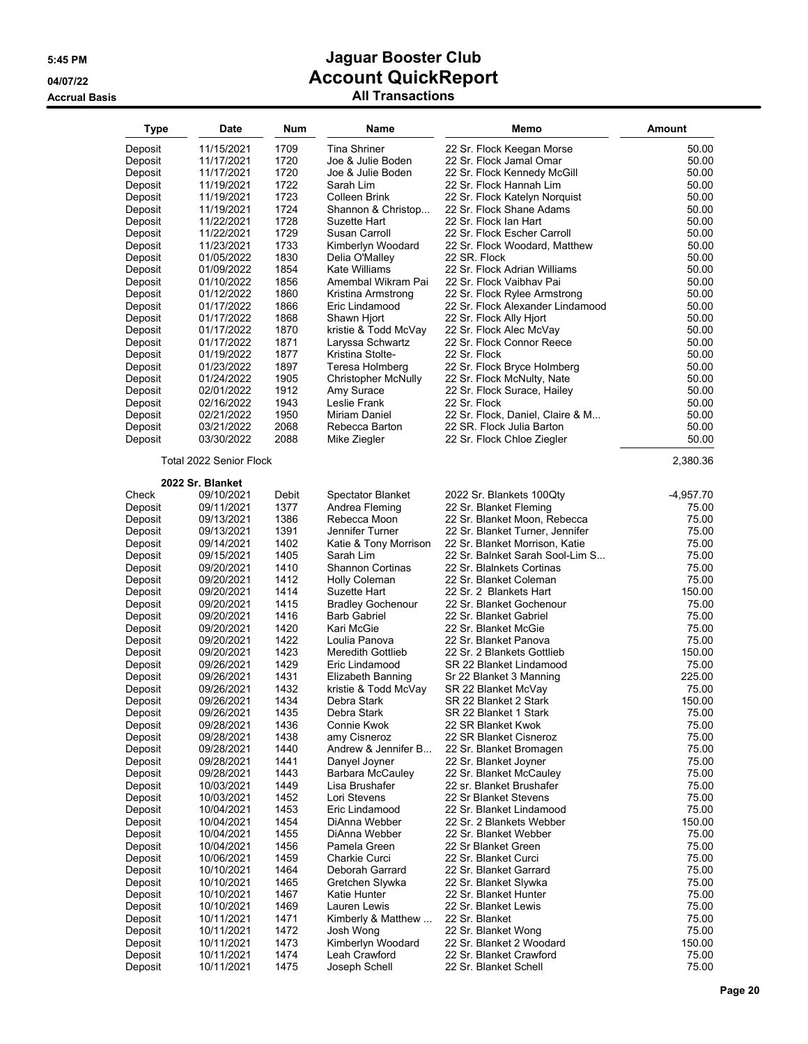| <b>Type</b>        | Date                     | Num           | Name                                            | Memo                                                         | <b>Amount</b>        |
|--------------------|--------------------------|---------------|-------------------------------------------------|--------------------------------------------------------------|----------------------|
| Deposit            | 11/15/2021               | 1709          | <b>Tina Shriner</b>                             | 22 Sr. Flock Keegan Morse                                    | 50.00                |
| Deposit            | 11/17/2021               | 1720          | Joe & Julie Boden                               | 22 Sr. Flock Jamal Omar                                      | 50.00                |
| Deposit            | 11/17/2021               | 1720          | Joe & Julie Boden                               | 22 Sr. Flock Kennedy McGill                                  | 50.00                |
| Deposit            | 11/19/2021               | 1722          | Sarah Lim                                       | 22 Sr. Flock Hannah Lim                                      | 50.00                |
| Deposit            | 11/19/2021               | 1723          | Colleen Brink                                   | 22 Sr. Flock Katelyn Norquist                                | 50.00                |
| Deposit            | 11/19/2021               | 1724          | Shannon & Christop                              | 22 Sr. Flock Shane Adams                                     | 50.00                |
| Deposit            | 11/22/2021               | 1728          | Suzette Hart                                    | 22 Sr. Flock Ian Hart                                        | 50.00                |
| Deposit<br>Deposit | 11/22/2021<br>11/23/2021 | 1729<br>1733  | Susan Carroll<br>Kimberlyn Woodard              | 22 Sr. Flock Escher Carroll<br>22 Sr. Flock Woodard, Matthew | 50.00<br>50.00       |
| Deposit            | 01/05/2022               | 1830          | Delia O'Malley                                  | 22 SR. Flock                                                 | 50.00                |
| Deposit            | 01/09/2022               | 1854          | Kate Williams                                   | 22 Sr. Flock Adrian Williams                                 | 50.00                |
| Deposit            | 01/10/2022               | 1856          | Amembal Wikram Pai                              | 22 Sr. Flock Vaibhav Pai                                     | 50.00                |
| Deposit            | 01/12/2022               | 1860          | Kristina Armstrong                              | 22 Sr. Flock Rylee Armstrong                                 | 50.00                |
| Deposit            | 01/17/2022               | 1866          | Eric Lindamood                                  | 22 Sr. Flock Alexander Lindamood                             | 50.00                |
| Deposit            | 01/17/2022               | 1868          | Shawn Hjort                                     | 22 Sr. Flock Ally Hjort                                      | 50.00                |
| Deposit<br>Deposit | 01/17/2022<br>01/17/2022 | 1870<br>1871  | kristie & Todd McVay<br>Laryssa Schwartz        | 22 Sr. Flock Alec McVay<br>22 Sr. Flock Connor Reece         | 50.00<br>50.00       |
| Deposit            | 01/19/2022               | 1877          | Kristina Stolte-                                | 22 Sr. Flock                                                 | 50.00                |
| Deposit            | 01/23/2022               | 1897          | Teresa Holmberg                                 | 22 Sr. Flock Bryce Holmberg                                  | 50.00                |
| Deposit            | 01/24/2022               | 1905          | <b>Christopher McNully</b>                      | 22 Sr. Flock McNulty, Nate                                   | 50.00                |
| Deposit            | 02/01/2022               | 1912          | Amy Surace                                      | 22 Sr. Flock Surace, Hailey                                  | 50.00                |
| Deposit            | 02/16/2022               | 1943          | Leslie Frank                                    | 22 Sr. Flock                                                 | 50.00                |
| Deposit            | 02/21/2022               | 1950          | Miriam Daniel                                   | 22 Sr. Flock, Daniel, Claire & M                             | 50.00                |
| Deposit            | 03/21/2022               | 2068          | Rebecca Barton                                  | 22 SR. Flock Julia Barton                                    | 50.00                |
| Deposit            | 03/30/2022               | 2088          | Mike Ziegler                                    | 22 Sr. Flock Chloe Ziegler                                   | 50.00                |
|                    | Total 2022 Senior Flock  |               |                                                 |                                                              | 2,380.36             |
|                    | 2022 Sr. Blanket         |               |                                                 |                                                              |                      |
| Check              | 09/10/2021               | Debit<br>1377 | <b>Spectator Blanket</b><br>Andrea Fleming      | 2022 Sr. Blankets 100Qty                                     | $-4,957.70$<br>75.00 |
| Deposit<br>Deposit | 09/11/2021<br>09/13/2021 | 1386          | Rebecca Moon                                    | 22 Sr. Blanket Fleming<br>22 Sr. Blanket Moon, Rebecca       | 75.00                |
| Deposit            | 09/13/2021               | 1391          | Jennifer Turner                                 | 22 Sr. Blanket Turner, Jennifer                              | 75.00                |
| Deposit            | 09/14/2021               | 1402          | Katie & Tony Morrison                           | 22 Sr. Blanket Morrison, Katie                               | 75.00                |
| Deposit            | 09/15/2021               | 1405          | Sarah Lim                                       | 22 Sr. Balnket Sarah Sool-Lim S                              | 75.00                |
| Deposit            | 09/20/2021               | 1410          | <b>Shannon Cortinas</b>                         | 22 Sr. Blainkets Cortinas                                    | 75.00                |
| Deposit            | 09/20/2021               | 1412          | Holly Coleman                                   | 22 Sr. Blanket Coleman                                       | 75.00                |
| Deposit            | 09/20/2021               | 1414          | Suzette Hart                                    | 22 Sr. 2 Blankets Hart                                       | 150.00               |
| Deposit<br>Deposit | 09/20/2021<br>09/20/2021 | 1415<br>1416  | <b>Bradley Gochenour</b><br><b>Barb Gabriel</b> | 22 Sr. Blanket Gochenour<br>22 Sr. Blanket Gabriel           | 75.00<br>75.00       |
| Deposit            | 09/20/2021               | 1420          | Kari McGie                                      | 22 Sr. Blanket McGie                                         | 75.00                |
| Deposit            | 09/20/2021               | 1422          | Loulia Panova                                   | 22 Sr. Blanket Panova                                        | 75.00                |
| Deposit            | 09/20/2021               | 1423          | <b>Meredith Gottlieb</b>                        | 22 Sr. 2 Blankets Gottlieb                                   | 150.00               |
| Deposit            | 09/26/2021               | 1429          | Eric Lindamood                                  | SR 22 Blanket Lindamood                                      | 75.00                |
| Deposit            | 09/26/2021               | 1431          | Elizabeth Banning                               | Sr 22 Blanket 3 Manning                                      | 225.00               |
| Deposit            | 09/26/2021               | 1432          | kristie & Todd McVay                            | SR 22 Blanket McVay                                          | 75.00<br>150.00      |
| Deposit            | 09/26/2021<br>09/26/2021 | 1434<br>1435  | Debra Stark<br>Debra Stark                      | SR 22 Blanket 2 Stark<br>SR 22 Blanket 1 Stark               | 75.00                |
| Deposit<br>Deposit | 09/28/2021               | 1436          | Connie Kwok                                     | 22 SR Blanket Kwok                                           | 75.00                |
| Deposit            | 09/28/2021               | 1438          | amy Cisneroz                                    | 22 SR Blanket Cisneroz                                       | 75.00                |
| Deposit            | 09/28/2021               | 1440          | Andrew & Jennifer B                             | 22 Sr. Blanket Bromagen                                      | 75.00                |
| Deposit            | 09/28/2021               | 1441          | Danyel Joyner                                   | 22 Sr. Blanket Joyner                                        | 75.00                |
| Deposit            | 09/28/2021               | 1443          | Barbara McCauley                                | 22 Sr. Blanket McCauley                                      | 75.00                |
| Deposit            | 10/03/2021               | 1449          | Lisa Brushafer                                  | 22 sr. Blanket Brushafer                                     | 75.00                |
| Deposit<br>Deposit | 10/03/2021<br>10/04/2021 | 1452<br>1453  | Lori Stevens<br>Eric Lindamood                  | 22 Sr Blanket Stevens<br>22 Sr. Blanket Lindamood            | 75.00<br>75.00       |
| Deposit            | 10/04/2021               | 1454          | DiAnna Webber                                   | 22 Sr. 2 Blankets Webber                                     | 150.00               |
| Deposit            | 10/04/2021               | 1455          | DiAnna Webber                                   | 22 Sr. Blanket Webber                                        | 75.00                |
| Deposit            | 10/04/2021               | 1456          | Pamela Green                                    | 22 Sr Blanket Green                                          | 75.00                |
| Deposit            | 10/06/2021               | 1459          | Charkie Curci                                   | 22 Sr. Blanket Curci                                         | 75.00                |
| Deposit            | 10/10/2021               | 1464          | Deborah Garrard                                 | 22 Sr. Blanket Garrard                                       | 75.00                |
| Deposit            | 10/10/2021               | 1465          | Gretchen Slywka                                 | 22 Sr. Blanket Slywka                                        | 75.00                |
| Deposit<br>Deposit | 10/10/2021<br>10/10/2021 | 1467<br>1469  | Katie Hunter<br>Lauren Lewis                    | 22 Sr. Blanket Hunter<br>22 Sr. Blanket Lewis                | 75.00<br>75.00       |
| Deposit            | 10/11/2021               | 1471          | Kimberly & Matthew                              | 22 Sr. Blanket                                               | 75.00                |
| Deposit            | 10/11/2021               | 1472          | Josh Wong                                       | 22 Sr. Blanket Wong                                          | 75.00                |
| Deposit            | 10/11/2021               | 1473          | Kimberlyn Woodard                               | 22 Sr. Blanket 2 Woodard                                     | 150.00               |
| Deposit            | 10/11/2021               | 1474          | Leah Crawford                                   | 22 Sr. Blanket Crawford                                      | 75.00                |
| Deposit            | 10/11/2021               | 1475          | Joseph Schell                                   | 22 Sr. Blanket Schell                                        | 75.00                |